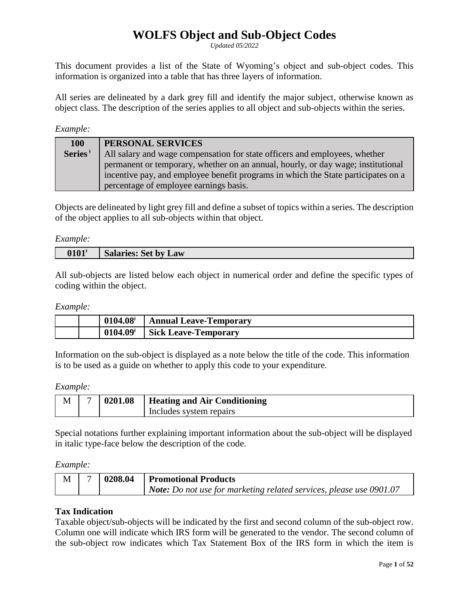# **WOLFS Object and Sub-Object Codes**

*Updated 05/2022*

This document provides a list of the State of Wyoming's object and sub-object codes. This information is organized into a table that has three layers of information.

All series are delineated by a dark grey fill and identify the major subject, otherwise known as object class. The description of the series applies to all object and sub-objects within the series.

## *Example:*

| <b>100</b>          | PERSONAL SERVICES                                                                 |
|---------------------|-----------------------------------------------------------------------------------|
| Series <sup>#</sup> | All salary and wage compensation for state officers and employees, whether        |
|                     | permanent or temporary, whether on an annual, hourly, or day wage; institutional  |
|                     | incentive pay, and employee benefit programs in which the State participates on a |
|                     | percentage of employee earnings basis.                                            |

Objects are delineated by light grey fill and define a subset of topics within a series. The description of the object applies to all sub-objects within that object.

*Example:* 

| 0101 <sup>*</sup> | salaries: Set by<br>Law |
|-------------------|-------------------------|

All sub-objects are listed below each object in numerical order and define the specific types of coding within the object.

## *Example:*

|  | $0104.08^{\circ}$      | <b>Annual Leave-Temporary</b> |
|--|------------------------|-------------------------------|
|  | $0104.09$ <sup>*</sup> | <b>Sick Leave-Temporary</b>   |

Information on the sub-object is displayed as a note below the title of the code. This information is to be used as a guide on whether to apply this code to your expenditure.

## *Example:*

| M | 0201.08 | <b>Heating and Air Conditioning</b> |
|---|---------|-------------------------------------|
|   |         | Includes system repairs             |

Special notations further explaining important information about the sub-object will be displayed in italic type-face below the description of the code.

*Example:* 

|  | 10208.04 | <b>Promotional Products</b>                                                |
|--|----------|----------------------------------------------------------------------------|
|  |          | <b>Note:</b> Do not use for marketing related services, please use 0901.07 |

# **Tax Indication**

Taxable object/sub-objects will be indicated by the first and second column of the sub-object row. Column one will indicate which IRS form will be generated to the vendor. The second column of the sub-object row indicates which Tax Statement Box of the IRS form in which the item is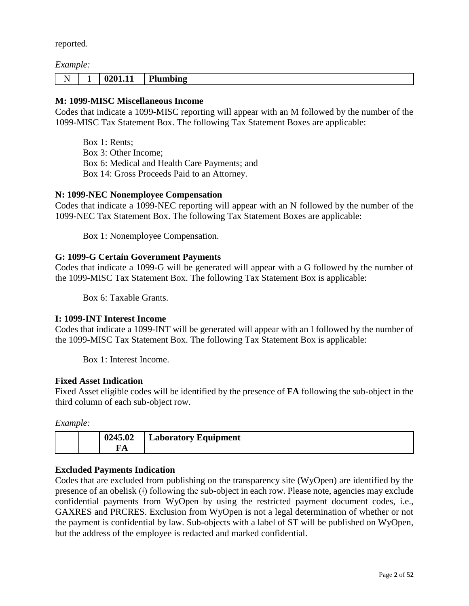reported.

## *Example:*

| - -<br>N<br>$\overline{\phantom{a}}$ | <b>.</b> | 201<br>,,,,,,, | 1 sumbing |
|--------------------------------------|----------|----------------|-----------|
|                                      |          |                |           |

# **M: 1099-MISC Miscellaneous Income**

Codes that indicate a 1099-MISC reporting will appear with an M followed by the number of the 1099-MISC Tax Statement Box. The following Tax Statement Boxes are applicable:

Box 1: Rents; Box 3: Other Income; Box 6: Medical and Health Care Payments; and Box 14: Gross Proceeds Paid to an Attorney.

## **N: 1099-NEC Nonemployee Compensation**

Codes that indicate a 1099-NEC reporting will appear with an N followed by the number of the 1099-NEC Tax Statement Box. The following Tax Statement Boxes are applicable:

Box 1: Nonemployee Compensation.

## **G: 1099-G Certain Government Payments**

Codes that indicate a 1099-G will be generated will appear with a G followed by the number of the 1099-MISC Tax Statement Box. The following Tax Statement Box is applicable:

Box 6: Taxable Grants.

## **I: 1099-INT Interest Income**

Codes that indicate a 1099-INT will be generated will appear with an I followed by the number of the 1099-MISC Tax Statement Box. The following Tax Statement Box is applicable:

Box 1: Interest Income.

## **Fixed Asset Indication**

Fixed Asset eligible codes will be identified by the presence of **FA** following the sub-object in the third column of each sub-object row.

*Example:*

| 0245.02 | <b>Laboratory Equipment</b> |
|---------|-----------------------------|
| A       |                             |

# **Excluded Payments Indication**

Codes that are excluded from publishing on the transparency site (WyOpen) are identified by the presence of an obelisk (ǂ) following the sub-object in each row. Please note, agencies may exclude confidential payments from WyOpen by using the restricted payment document codes, i.e., GAXRES and PRCRES. Exclusion from WyOpen is not a legal determination of whether or not the payment is confidential by law. Sub-objects with a label of ST will be published on WyOpen, but the address of the employee is redacted and marked confidential.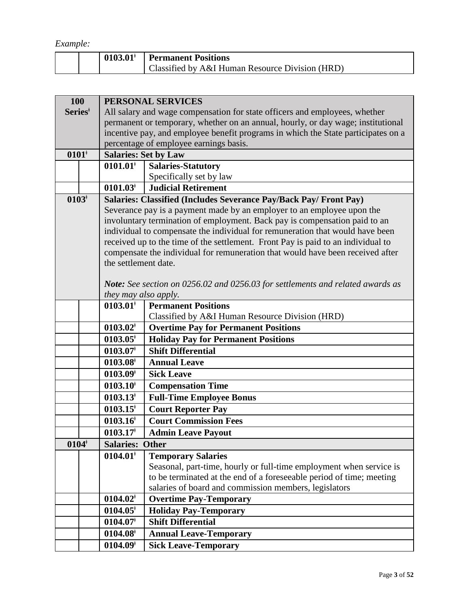*Example:*

|  | $\mid 0103.01^{\dagger} \mid$ Permanent Positions |
|--|---------------------------------------------------|
|  | Classified by A&I Human Resource Division (HRD)   |

| 100                 |  | PERSONAL SERVICES                                                                |                                                                                       |  |  |
|---------------------|--|----------------------------------------------------------------------------------|---------------------------------------------------------------------------------------|--|--|
| Series <sup>†</sup> |  |                                                                                  | All salary and wage compensation for state officers and employees, whether            |  |  |
|                     |  | permanent or temporary, whether on an annual, hourly, or day wage; institutional |                                                                                       |  |  |
|                     |  |                                                                                  | incentive pay, and employee benefit programs in which the State participates on a     |  |  |
|                     |  | percentage of employee earnings basis.                                           |                                                                                       |  |  |
| $0101*$             |  | <b>Salaries: Set by Law</b>                                                      |                                                                                       |  |  |
|                     |  | $0101.01$ <sup>+</sup>                                                           | <b>Salaries-Statutory</b>                                                             |  |  |
|                     |  |                                                                                  | Specifically set by law                                                               |  |  |
|                     |  | $0101.03^{\dagger}$                                                              | <b>Judicial Retirement</b>                                                            |  |  |
| $0103*$             |  |                                                                                  | Salaries: Classified (Includes Severance Pay/Back Pay/ Front Pay)                     |  |  |
|                     |  |                                                                                  | Severance pay is a payment made by an employer to an employee upon the                |  |  |
|                     |  |                                                                                  | involuntary termination of employment. Back pay is compensation paid to an            |  |  |
|                     |  |                                                                                  | individual to compensate the individual for remuneration that would have been         |  |  |
|                     |  |                                                                                  | received up to the time of the settlement. Front Pay is paid to an individual to      |  |  |
|                     |  |                                                                                  | compensate the individual for remuneration that would have been received after        |  |  |
|                     |  | the settlement date.                                                             |                                                                                       |  |  |
|                     |  |                                                                                  |                                                                                       |  |  |
|                     |  |                                                                                  | <b>Note:</b> See section on 0256.02 and 0256.03 for settlements and related awards as |  |  |
|                     |  | they may also apply.                                                             |                                                                                       |  |  |
|                     |  | $0103.01^{\dagger}$                                                              | <b>Permanent Positions</b>                                                            |  |  |
|                     |  | $0103.02^*$                                                                      | Classified by A&I Human Resource Division (HRD)                                       |  |  |
|                     |  |                                                                                  | <b>Overtime Pay for Permanent Positions</b>                                           |  |  |
|                     |  | $0103.05^{\dagger}$                                                              | <b>Holiday Pay for Permanent Positions</b><br><b>Shift Differential</b>               |  |  |
|                     |  | $0103.07$ <sup>+</sup>                                                           |                                                                                       |  |  |
|                     |  | $0103.08^{\dagger}$                                                              | <b>Annual Leave</b>                                                                   |  |  |
|                     |  | 0103.09 <sup>†</sup>                                                             | <b>Sick Leave</b>                                                                     |  |  |
|                     |  | $0103.10^{\dagger}$                                                              | <b>Compensation Time</b>                                                              |  |  |
|                     |  | $0103.13$ <sup>*</sup>                                                           | <b>Full-Time Employee Bonus</b>                                                       |  |  |
|                     |  | $0103.15$ <sup>*</sup>                                                           | <b>Court Reporter Pay</b>                                                             |  |  |
|                     |  | $0103.16^{\dagger}$                                                              | <b>Court Commission Fees</b>                                                          |  |  |
|                     |  | $0103.17$ <sup>+</sup>                                                           | <b>Admin Leave Payout</b>                                                             |  |  |
| $0104*$             |  | <b>Salaries:</b>                                                                 | <b>Other</b>                                                                          |  |  |
|                     |  | $0104.01$ <sup>*</sup>                                                           | <b>Temporary Salaries</b>                                                             |  |  |
|                     |  |                                                                                  | Seasonal, part-time, hourly or full-time employment when service is                   |  |  |
|                     |  |                                                                                  | to be terminated at the end of a foreseeable period of time; meeting                  |  |  |
|                     |  |                                                                                  | salaries of board and commission members, legislators                                 |  |  |
|                     |  | $0104.02*$                                                                       | <b>Overtime Pay-Temporary</b>                                                         |  |  |
|                     |  | $0104.05^*$                                                                      | <b>Holiday Pay-Temporary</b>                                                          |  |  |
|                     |  | $0104.07$ <sup>*</sup>                                                           | <b>Shift Differential</b>                                                             |  |  |
|                     |  | $0104.08^{\dagger}$                                                              | <b>Annual Leave-Temporary</b>                                                         |  |  |
|                     |  | $0104.09$ <sup>*</sup>                                                           | <b>Sick Leave-Temporary</b>                                                           |  |  |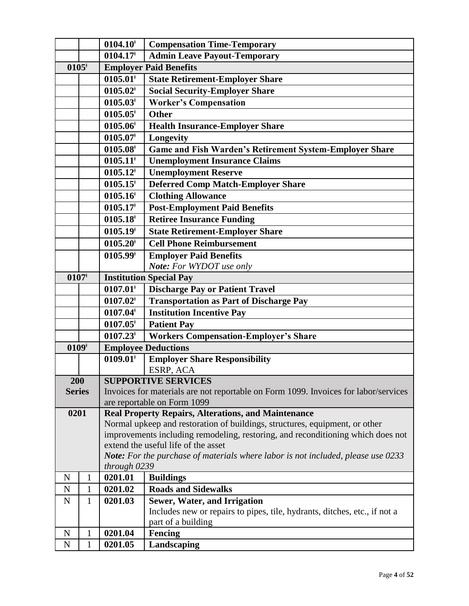|                                                                    |   | $0104.10$ <sup>*</sup>                                                                                                  | <b>Compensation Time-Temporary</b>                                                  |  |  |
|--------------------------------------------------------------------|---|-------------------------------------------------------------------------------------------------------------------------|-------------------------------------------------------------------------------------|--|--|
|                                                                    |   | $0104.17$ <sup>+</sup>                                                                                                  | <b>Admin Leave Payout-Temporary</b>                                                 |  |  |
| $0105*$                                                            |   |                                                                                                                         | <b>Employer Paid Benefits</b>                                                       |  |  |
|                                                                    |   | $0105.01*$                                                                                                              | <b>State Retirement-Employer Share</b>                                              |  |  |
|                                                                    |   | $0105.02*$                                                                                                              | <b>Social Security-Employer Share</b>                                               |  |  |
|                                                                    |   | $0105.03*$                                                                                                              | <b>Worker's Compensation</b>                                                        |  |  |
|                                                                    |   | $0105.05$ <sup>*</sup>                                                                                                  | <b>Other</b>                                                                        |  |  |
|                                                                    |   | $0105.06$ <sup>†</sup>                                                                                                  | <b>Health Insurance-Employer Share</b>                                              |  |  |
|                                                                    |   | $0105.07*$                                                                                                              | Longevity                                                                           |  |  |
|                                                                    |   | $0105.08$ <sup>†</sup>                                                                                                  | <b>Game and Fish Warden's Retirement System-Employer Share</b>                      |  |  |
|                                                                    |   | $0105.11*$                                                                                                              | <b>Unemployment Insurance Claims</b>                                                |  |  |
|                                                                    |   | $0105.12$ <sup>*</sup>                                                                                                  | <b>Unemployment Reserve</b>                                                         |  |  |
|                                                                    |   | $0105.15$ <sup>*</sup>                                                                                                  | <b>Deferred Comp Match-Employer Share</b>                                           |  |  |
|                                                                    |   | $0105.16$ <sup>†</sup>                                                                                                  | <b>Clothing Allowance</b>                                                           |  |  |
|                                                                    |   | $0105.17$ <sup>+</sup>                                                                                                  | <b>Post-Employment Paid Benefits</b>                                                |  |  |
|                                                                    |   | $0105.18^*$                                                                                                             | <b>Retiree Insurance Funding</b>                                                    |  |  |
|                                                                    |   | $0105.19*$                                                                                                              | <b>State Retirement-Employer Share</b>                                              |  |  |
|                                                                    |   | $0105.20$ <sup>†</sup>                                                                                                  | <b>Cell Phone Reimbursement</b>                                                     |  |  |
|                                                                    |   | $0105.99$ <sup>+</sup>                                                                                                  | <b>Employer Paid Benefits</b>                                                       |  |  |
|                                                                    |   |                                                                                                                         | Note: For WYDOT use only                                                            |  |  |
| $0107*$                                                            |   | <b>Institution Special Pay</b>                                                                                          |                                                                                     |  |  |
|                                                                    |   | $0107.01$ <sup>*</sup>                                                                                                  | <b>Discharge Pay or Patient Travel</b>                                              |  |  |
|                                                                    |   | $0107.02^*$                                                                                                             | <b>Transportation as Part of Discharge Pay</b>                                      |  |  |
|                                                                    |   | $0107.04$ <sup>*</sup>                                                                                                  | <b>Institution Incentive Pay</b>                                                    |  |  |
|                                                                    |   | $0107.05^*$                                                                                                             | <b>Patient Pay</b>                                                                  |  |  |
|                                                                    |   | $0107.23$ <sup>*</sup>                                                                                                  | <b>Workers Compensation-Employer's Share</b>                                        |  |  |
| $0109*$                                                            |   |                                                                                                                         | <b>Employee Deductions</b>                                                          |  |  |
|                                                                    |   | $0109.01$ <sup>*</sup>                                                                                                  | <b>Employer Share Responsibility</b>                                                |  |  |
|                                                                    |   |                                                                                                                         | ESRP, ACA                                                                           |  |  |
| 200                                                                |   |                                                                                                                         | <b>SUPPORTIVE SERVICES</b>                                                          |  |  |
| <b>Series</b>                                                      |   |                                                                                                                         | Invoices for materials are not reportable on Form 1099. Invoices for labor/services |  |  |
|                                                                    |   |                                                                                                                         | are reportable on Form 1099                                                         |  |  |
| 0201<br><b>Real Property Repairs, Alterations, and Maintenance</b> |   |                                                                                                                         |                                                                                     |  |  |
|                                                                    |   |                                                                                                                         | Normal upkeep and restoration of buildings, structures, equipment, or other         |  |  |
|                                                                    |   | improvements including remodeling, restoring, and reconditioning which does not                                         |                                                                                     |  |  |
|                                                                    |   | extend the useful life of the asset<br>Note: For the purchase of materials where labor is not included, please use 0233 |                                                                                     |  |  |
|                                                                    |   | through 0239                                                                                                            |                                                                                     |  |  |
| ${\bf N}$                                                          | 1 | 0201.01                                                                                                                 | <b>Buildings</b>                                                                    |  |  |
| $\mathbf N$                                                        | 1 | 0201.02                                                                                                                 | <b>Roads and Sidewalks</b>                                                          |  |  |
| $\mathbf N$                                                        | 1 | 0201.03                                                                                                                 | <b>Sewer, Water, and Irrigation</b>                                                 |  |  |
|                                                                    |   |                                                                                                                         | Includes new or repairs to pipes, tile, hydrants, ditches, etc., if not a           |  |  |
|                                                                    |   |                                                                                                                         | part of a building                                                                  |  |  |
| $\mathbf N$                                                        | 1 | 0201.04                                                                                                                 | Fencing                                                                             |  |  |
| ${\bf N}$                                                          | 1 | 0201.05                                                                                                                 | Landscaping                                                                         |  |  |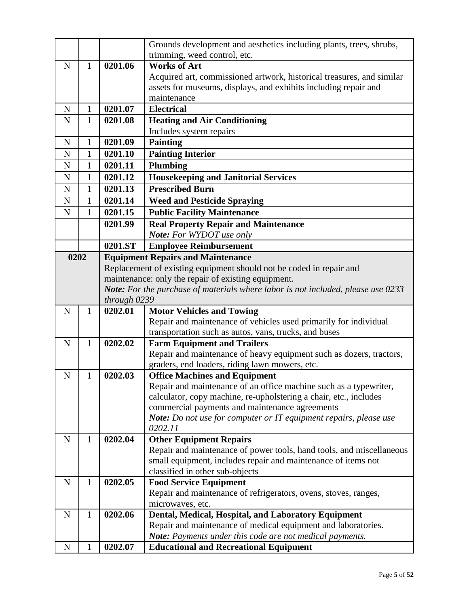|             |              |              | Grounds development and aesthetics including plants, trees, shrubs,                                                 |
|-------------|--------------|--------------|---------------------------------------------------------------------------------------------------------------------|
|             |              |              | trimming, weed control, etc.                                                                                        |
| $\mathbf N$ | $\mathbf{1}$ | 0201.06      | <b>Works of Art</b>                                                                                                 |
|             |              |              | Acquired art, commissioned artwork, historical treasures, and similar                                               |
|             |              |              | assets for museums, displays, and exhibits including repair and                                                     |
|             |              |              | maintenance                                                                                                         |
| $\mathbf N$ | $\mathbf{1}$ | 0201.07      | <b>Electrical</b>                                                                                                   |
| N           | 1            | 0201.08      | <b>Heating and Air Conditioning</b>                                                                                 |
|             |              |              | Includes system repairs                                                                                             |
| N           | $\mathbf{1}$ | 0201.09      | <b>Painting</b>                                                                                                     |
| $\mathbf N$ | 1            | 0201.10      | <b>Painting Interior</b>                                                                                            |
| $\mathbf N$ | $\mathbf{1}$ | 0201.11      | <b>Plumbing</b>                                                                                                     |
| $\mathbf N$ | $\mathbf{1}$ | 0201.12      | <b>Housekeeping and Janitorial Services</b>                                                                         |
| ${\bf N}$   | $\mathbf{1}$ | 0201.13      | <b>Prescribed Burn</b>                                                                                              |
| $\mathbf N$ | 1            | 0201.14      | <b>Weed and Pesticide Spraying</b>                                                                                  |
| $\mathbf N$ | 1            | 0201.15      | <b>Public Facility Maintenance</b>                                                                                  |
|             |              | 0201.99      | <b>Real Property Repair and Maintenance</b>                                                                         |
|             |              |              | Note: For WYDOT use only                                                                                            |
|             |              | 0201.ST      | <b>Employee Reimbursement</b>                                                                                       |
| 0202        |              |              | <b>Equipment Repairs and Maintenance</b>                                                                            |
|             |              |              | Replacement of existing equipment should not be coded in repair and                                                 |
|             |              |              | maintenance: only the repair of existing equipment.                                                                 |
|             |              |              | Note: For the purchase of materials where labor is not included, please use 0233                                    |
|             |              | through 0239 |                                                                                                                     |
| $\mathbf N$ | 1            | 0202.01      | <b>Motor Vehicles and Towing</b>                                                                                    |
|             |              |              | Repair and maintenance of vehicles used primarily for individual                                                    |
|             |              |              | transportation such as autos, vans, trucks, and buses                                                               |
| $\mathbf N$ | $\mathbf{1}$ | 0202.02      | <b>Farm Equipment and Trailers</b>                                                                                  |
|             |              |              | Repair and maintenance of heavy equipment such as dozers, tractors,                                                 |
|             |              |              | graders, end loaders, riding lawn mowers, etc.                                                                      |
| N           | 1            | 0202.03      | <b>Office Machines and Equipment</b>                                                                                |
|             |              |              | Repair and maintenance of an office machine such as a typewriter,                                                   |
|             |              |              |                                                                                                                     |
|             |              |              |                                                                                                                     |
|             |              |              | calculator, copy machine, re-upholstering a chair, etc., includes<br>commercial payments and maintenance agreements |
|             |              |              | Note: Do not use for computer or IT equipment repairs, please use                                                   |
|             |              |              | 0202.11                                                                                                             |
| $\mathbf N$ | $\mathbf{1}$ | 0202.04      | <b>Other Equipment Repairs</b>                                                                                      |
|             |              |              | Repair and maintenance of power tools, hand tools, and miscellaneous                                                |
|             |              |              | small equipment, includes repair and maintenance of items not                                                       |
|             |              |              | classified in other sub-objects                                                                                     |
| N           | $\mathbf{1}$ | 0202.05      | <b>Food Service Equipment</b>                                                                                       |
|             |              |              | Repair and maintenance of refrigerators, ovens, stoves, ranges,                                                     |
|             |              |              | microwaves, etc.                                                                                                    |
| $\mathbf N$ | $\mathbf{1}$ | 0202.06      | Dental, Medical, Hospital, and Laboratory Equipment                                                                 |
|             |              |              | Repair and maintenance of medical equipment and laboratories.                                                       |
|             |              |              | Note: Payments under this code are not medical payments.                                                            |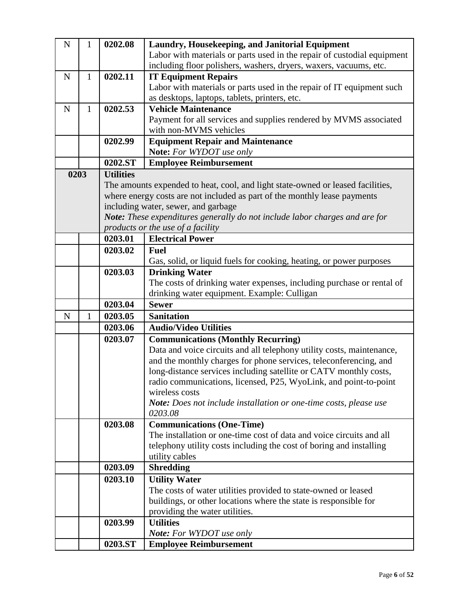| ${\bf N}$   | 1            | 0202.08          | Laundry, Housekeeping, and Janitorial Equipment                                 |
|-------------|--------------|------------------|---------------------------------------------------------------------------------|
|             |              |                  | Labor with materials or parts used in the repair of custodial equipment         |
|             |              |                  | including floor polishers, washers, dryers, waxers, vacuums, etc.               |
| $\mathbf N$ | $\mathbf{1}$ | 0202.11          | <b>IT Equipment Repairs</b>                                                     |
|             |              |                  | Labor with materials or parts used in the repair of IT equipment such           |
|             |              |                  | as desktops, laptops, tablets, printers, etc.                                   |
| $\mathbf N$ | $\mathbf{1}$ | 0202.53          | <b>Vehicle Maintenance</b>                                                      |
|             |              |                  | Payment for all services and supplies rendered by MVMS associated               |
|             |              |                  | with non-MVMS vehicles                                                          |
|             |              | 0202.99          | <b>Equipment Repair and Maintenance</b>                                         |
|             |              |                  | Note: For WYDOT use only                                                        |
|             |              | 0202.ST          |                                                                                 |
|             |              |                  | <b>Employee Reimbursement</b>                                                   |
| 0203        |              | <b>Utilities</b> |                                                                                 |
|             |              |                  | The amounts expended to heat, cool, and light state-owned or leased facilities, |
|             |              |                  | where energy costs are not included as part of the monthly lease payments       |
|             |              |                  | including water, sewer, and garbage                                             |
|             |              |                  | Note: These expenditures generally do not include labor charges and are for     |
|             |              |                  | products or the use of a facility<br><b>Electrical Power</b>                    |
|             |              | 0203.01          |                                                                                 |
|             |              | 0203.02          | <b>Fuel</b>                                                                     |
|             |              |                  | Gas, solid, or liquid fuels for cooking, heating, or power purposes             |
|             |              | 0203.03          | <b>Drinking Water</b>                                                           |
|             |              |                  | The costs of drinking water expenses, including purchase or rental of           |
|             |              |                  | drinking water equipment. Example: Culligan                                     |
|             |              | 0203.04          | <b>Sewer</b>                                                                    |
| N           | 1            | 0203.05          | <b>Sanitation</b>                                                               |
|             |              | 0203.06          | <b>Audio/Video Utilities</b>                                                    |
|             |              | 0203.07          | <b>Communications (Monthly Recurring)</b>                                       |
|             |              |                  | Data and voice circuits and all telephony utility costs, maintenance,           |
|             |              |                  | and the monthly charges for phone services, teleconferencing, and               |
|             |              |                  | long-distance services including satellite or CATV monthly costs,               |
|             |              |                  | radio communications, licensed, P25, WyoLink, and point-to-point                |
|             |              |                  | wireless costs                                                                  |
|             |              |                  | Note: Does not include installation or one-time costs, please use               |
|             |              |                  | 0203.08                                                                         |
|             |              | 0203.08          | <b>Communications (One-Time)</b>                                                |
|             |              |                  | The installation or one-time cost of data and voice circuits and all            |
|             |              |                  | telephony utility costs including the cost of boring and installing             |
|             |              |                  | utility cables                                                                  |
|             |              | 0203.09          | <b>Shredding</b>                                                                |
|             |              | 0203.10          | <b>Utility Water</b>                                                            |
|             |              |                  | The costs of water utilities provided to state-owned or leased                  |
|             |              |                  | buildings, or other locations where the state is responsible for                |
|             |              |                  | providing the water utilities.                                                  |
|             |              | 0203.99          | <b>Utilities</b>                                                                |
|             |              |                  | <b>Note:</b> For WYDOT use only                                                 |
|             |              | 0203.ST          | <b>Employee Reimbursement</b>                                                   |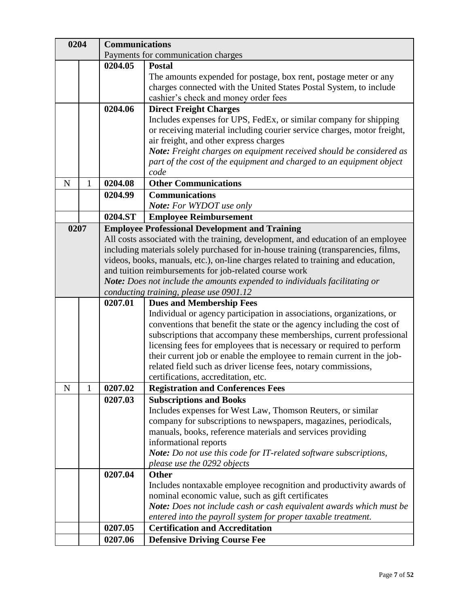| 0204 |   | <b>Communications</b> |                                                                                    |
|------|---|-----------------------|------------------------------------------------------------------------------------|
|      |   |                       | Payments for communication charges                                                 |
|      |   | 0204.05               | <b>Postal</b>                                                                      |
|      |   |                       | The amounts expended for postage, box rent, postage meter or any                   |
|      |   |                       | charges connected with the United States Postal System, to include                 |
|      |   |                       | cashier's check and money order fees                                               |
|      |   | 0204.06               | <b>Direct Freight Charges</b>                                                      |
|      |   |                       | Includes expenses for UPS, FedEx, or similar company for shipping                  |
|      |   |                       | or receiving material including courier service charges, motor freight,            |
|      |   |                       | air freight, and other express charges                                             |
|      |   |                       | Note: Freight charges on equipment received should be considered as                |
|      |   |                       | part of the cost of the equipment and charged to an equipment object               |
|      |   |                       | code                                                                               |
| N    | 1 | 0204.08               | <b>Other Communications</b>                                                        |
|      |   | 0204.99               | <b>Communications</b>                                                              |
|      |   |                       | Note: For WYDOT use only                                                           |
|      |   | 0204.ST               | <b>Employee Reimbursement</b>                                                      |
| 0207 |   |                       | <b>Employee Professional Development and Training</b>                              |
|      |   |                       | All costs associated with the training, development, and education of an employee  |
|      |   |                       | including materials solely purchased for in-house training (transparencies, films, |
|      |   |                       | videos, books, manuals, etc.), on-line charges related to training and education,  |
|      |   |                       | and tuition reimbursements for job-related course work                             |
|      |   |                       | Note: Does not include the amounts expended to individuals facilitating or         |
|      |   | 0207.01               | conducting training, please use 0901.12<br><b>Dues and Membership Fees</b>         |
|      |   |                       | Individual or agency participation in associations, organizations, or              |
|      |   |                       | conventions that benefit the state or the agency including the cost of             |
|      |   |                       | subscriptions that accompany these memberships, current professional               |
|      |   |                       | licensing fees for employees that is necessary or required to perform              |
|      |   |                       | their current job or enable the employee to remain current in the job-             |
|      |   |                       | related field such as driver license fees, notary commissions,                     |
|      |   |                       | certifications, accreditation, etc.                                                |
| N    | 1 | 0207.02               | <b>Registration and Conferences Fees</b>                                           |
|      |   | 0207.03               | <b>Subscriptions and Books</b>                                                     |
|      |   |                       | Includes expenses for West Law, Thomson Reuters, or similar                        |
|      |   |                       | company for subscriptions to newspapers, magazines, periodicals,                   |
|      |   |                       | manuals, books, reference materials and services providing                         |
|      |   |                       | informational reports                                                              |
|      |   |                       | Note: Do not use this code for IT-related software subscriptions,                  |
|      |   |                       | please use the 0292 objects                                                        |
|      |   | 0207.04               | <b>Other</b>                                                                       |
|      |   |                       | Includes nontaxable employee recognition and productivity awards of                |
|      |   |                       | nominal economic value, such as gift certificates                                  |
|      |   |                       | Note: Does not include cash or cash equivalent awards which must be                |
|      |   |                       | entered into the payroll system for proper taxable treatment.                      |
|      |   | 0207.05               | <b>Certification and Accreditation</b>                                             |
|      |   | 0207.06               | <b>Defensive Driving Course Fee</b>                                                |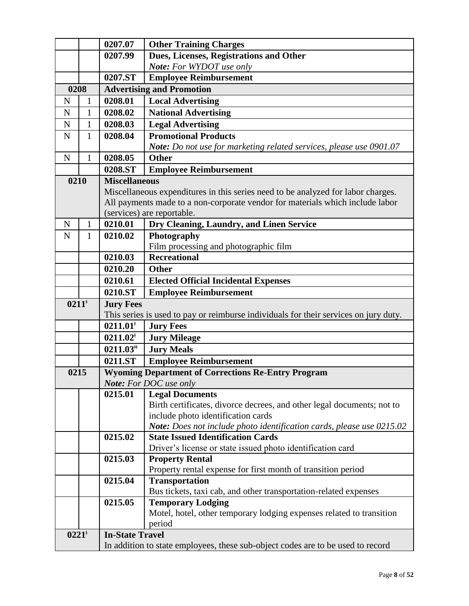|             |              | 0207.07                | <b>Other Training Charges</b>                                                                          |
|-------------|--------------|------------------------|--------------------------------------------------------------------------------------------------------|
|             |              | 0207.99                | Dues, Licenses, Registrations and Other                                                                |
|             |              |                        | Note: For WYDOT use only                                                                               |
|             |              | 0207.ST                | <b>Employee Reimbursement</b>                                                                          |
| 0208        |              |                        | <b>Advertising and Promotion</b>                                                                       |
| N           | 1            | 0208.01                | <b>Local Advertising</b>                                                                               |
| N           | $\mathbf{1}$ | 0208.02                | <b>National Advertising</b>                                                                            |
| N           | $\mathbf{1}$ | 0208.03                | <b>Legal Advertising</b>                                                                               |
| $\mathbf N$ | $\mathbf{1}$ | 0208.04                | <b>Promotional Products</b>                                                                            |
|             |              |                        | Note: Do not use for marketing related services, please use 0901.07                                    |
| $\mathbf N$ | $\mathbf{1}$ | 0208.05                | <b>Other</b>                                                                                           |
|             |              | 0208.ST                | <b>Employee Reimbursement</b>                                                                          |
| 0210        |              | <b>Miscellaneous</b>   |                                                                                                        |
|             |              |                        | Miscellaneous expenditures in this series need to be analyzed for labor charges.                       |
|             |              |                        | All payments made to a non-corporate vendor for materials which include labor                          |
|             |              |                        | (services) are reportable.                                                                             |
| $\mathbf N$ | $\mathbf{1}$ | 0210.01                | Dry Cleaning, Laundry, and Linen Service                                                               |
| N           | 1            | 0210.02                | Photography                                                                                            |
|             |              |                        | Film processing and photographic film                                                                  |
|             |              | 0210.03                | <b>Recreational</b>                                                                                    |
|             |              | 0210.20                | <b>Other</b>                                                                                           |
|             |              | 0210.61                | <b>Elected Official Incidental Expenses</b>                                                            |
|             |              | 0210.ST                | <b>Employee Reimbursement</b>                                                                          |
| $0211^*$    |              | <b>Jury Fees</b>       |                                                                                                        |
|             |              |                        | This series is used to pay or reimburse individuals for their services on jury duty.                   |
|             |              | $0211.01*$             | <b>Jury Fees</b>                                                                                       |
|             |              | $0211.02*$             | <b>Jury Mileage</b>                                                                                    |
|             |              | $0211.03^{\text{#}}$   | <b>Jury Meals</b>                                                                                      |
|             |              | 0211.ST                | <b>Employee Reimbursement</b>                                                                          |
| 0215        |              |                        | <b>Wyoming Department of Corrections Re-Entry Program</b>                                              |
|             |              |                        | <b>Note:</b> For DOC use only                                                                          |
|             |              | 0215.01                | <b>Legal Documents</b>                                                                                 |
|             |              |                        | Birth certificates, divorce decrees, and other legal documents; not to                                 |
|             |              |                        | include photo identification cards                                                                     |
|             |              |                        | Note: Does not include photo identification cards, please use 0215.02                                  |
|             |              | 0215.02                | <b>State Issued Identification Cards</b><br>Driver's license or state issued photo identification card |
|             |              | 0215.03                | <b>Property Rental</b>                                                                                 |
|             |              |                        | Property rental expense for first month of transition period                                           |
|             |              | 0215.04                | <b>Transportation</b>                                                                                  |
|             |              |                        | Bus tickets, taxi cab, and other transportation-related expenses                                       |
|             |              | 0215.05                | <b>Temporary Lodging</b>                                                                               |
|             |              |                        | Motel, hotel, other temporary lodging expenses related to transition                                   |
|             |              |                        | period                                                                                                 |
| $0221^*$    |              | <b>In-State Travel</b> |                                                                                                        |
|             |              |                        | In addition to state employees, these sub-object codes are to be used to record                        |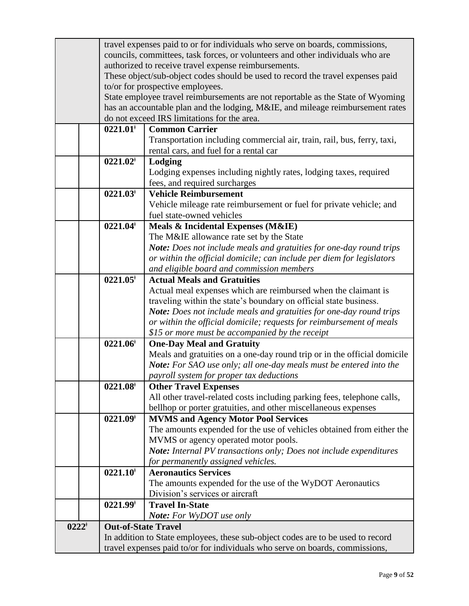| councils, committees, task forces, or volunteers and other individuals who are<br>authorized to receive travel expense reimbursements. |
|----------------------------------------------------------------------------------------------------------------------------------------|
|                                                                                                                                        |
|                                                                                                                                        |
| These object/sub-object codes should be used to record the travel expenses paid                                                        |
| to/or for prospective employees.                                                                                                       |
| State employee travel reimbursements are not reportable as the State of Wyoming                                                        |
| has an accountable plan and the lodging, M&IE, and mileage reimbursement rates                                                         |
| do not exceed IRS limitations for the area.                                                                                            |
| <b>Common Carrier</b><br>$0221.01$ <sup>*</sup>                                                                                        |
| Transportation including commercial air, train, rail, bus, ferry, taxi,                                                                |
| rental cars, and fuel for a rental car                                                                                                 |
| $0221.02^*$<br>Lodging                                                                                                                 |
| Lodging expenses including nightly rates, lodging taxes, required                                                                      |
| fees, and required surcharges                                                                                                          |
| $0221.03^*$<br><b>Vehicle Reimbursement</b>                                                                                            |
| Vehicle mileage rate reimbursement or fuel for private vehicle; and                                                                    |
| fuel state-owned vehicles                                                                                                              |
| $0221.04$ <sup>*</sup><br>Meals & Incidental Expenses (M&IE)                                                                           |
| The M&IE allowance rate set by the State                                                                                               |
| Note: Does not include meals and gratuities for one-day round trips                                                                    |
| or within the official domicile; can include per diem for legislators                                                                  |
| and eligible board and commission members                                                                                              |
| $0221.05^{\dagger}$<br><b>Actual Meals and Gratuities</b>                                                                              |
| Actual meal expenses which are reimbursed when the claimant is                                                                         |
| traveling within the state's boundary on official state business.                                                                      |
| Note: Does not include meals and gratuities for one-day round trips                                                                    |
| or within the official domicile; requests for reimbursement of meals                                                                   |
| \$15 or more must be accompanied by the receipt                                                                                        |
| $0221.06^{\dagger}$<br><b>One-Day Meal and Gratuity</b>                                                                                |
| Meals and gratuities on a one-day round trip or in the official domicile                                                               |
| Note: For SAO use only; all one-day meals must be entered into the                                                                     |
| payroll system for proper tax deductions                                                                                               |
| $0221.08^{\dagger}$<br><b>Other Travel Expenses</b>                                                                                    |
| All other travel-related costs including parking fees, telephone calls,                                                                |
| bellhop or porter gratuities, and other miscellaneous expenses                                                                         |
| $0221.09^{\dagger}$<br><b>MVMS and Agency Motor Pool Services</b>                                                                      |
| The amounts expended for the use of vehicles obtained from either the                                                                  |
| MVMS or agency operated motor pools.                                                                                                   |
| Note: Internal PV transactions only; Does not include expenditures                                                                     |
| for permanently assigned vehicles.                                                                                                     |
| $0221.10^*$<br><b>Aeronautics Services</b>                                                                                             |
| The amounts expended for the use of the WyDOT Aeronautics                                                                              |
| Division's services or aircraft                                                                                                        |
| $0221.99^{\dagger}$<br><b>Travel In-State</b>                                                                                          |
| <b>Note:</b> For WyDOT use only                                                                                                        |
| $0222^*$<br><b>Out-of-State Travel</b>                                                                                                 |
| In addition to State employees, these sub-object codes are to be used to record                                                        |
| travel expenses paid to/or for individuals who serve on boards, commissions,                                                           |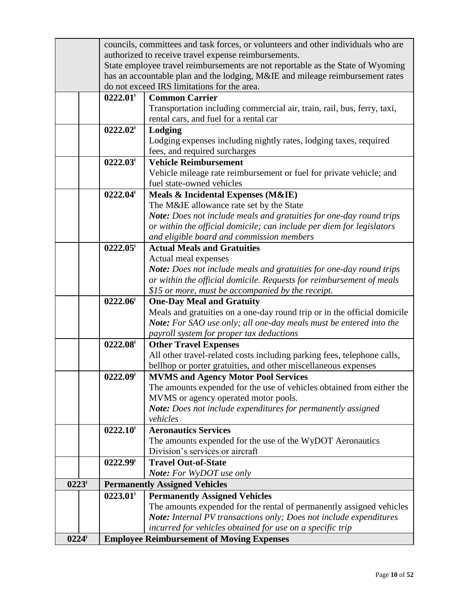| $0224^{\dagger}$ |                        | <b>Employee Reimbursement of Moving Expenses</b>                                                                                        |
|------------------|------------------------|-----------------------------------------------------------------------------------------------------------------------------------------|
|                  |                        | incurred for vehicles obtained for use on a specific trip                                                                               |
|                  |                        | Note: Internal PV transactions only; Does not include expenditures                                                                      |
|                  |                        | The amounts expended for the rental of permanently assigned vehicles                                                                    |
|                  | $0223.01^*$            | <b>Permanently Assigned Vehicles</b>                                                                                                    |
| $0223^{\dagger}$ |                        | <b>Permanently Assigned Vehicles</b>                                                                                                    |
|                  |                        | <b>Note:</b> For WyDOT use only                                                                                                         |
|                  | $0222.99^{\dagger}$    | <b>Travel Out-of-State</b>                                                                                                              |
|                  |                        | Division's services or aircraft                                                                                                         |
|                  |                        | The amounts expended for the use of the WyDOT Aeronautics                                                                               |
|                  | $0222.10^+$            | <b>Aeronautics Services</b>                                                                                                             |
|                  |                        | Note: Does not include expenditures for permanently assigned<br>vehicles                                                                |
|                  |                        | MVMS or agency operated motor pools.                                                                                                    |
|                  |                        | The amounts expended for the use of vehicles obtained from either the                                                                   |
|                  | $0222.09^{\dagger}$    | <b>MVMS and Agency Motor Pool Services</b>                                                                                              |
|                  |                        | bellhop or porter gratuities, and other miscellaneous expenses                                                                          |
|                  |                        | All other travel-related costs including parking fees, telephone calls,                                                                 |
|                  | $0222.08^{\dagger}$    | <b>Other Travel Expenses</b>                                                                                                            |
|                  |                        | payroll system for proper tax deductions                                                                                                |
|                  |                        | Note: For SAO use only; all one-day meals must be entered into the                                                                      |
|                  |                        | Meals and gratuities on a one-day round trip or in the official domicile                                                                |
|                  | $0222.06^{\dagger}$    | <b>One-Day Meal and Gratuity</b>                                                                                                        |
|                  |                        | or within the official domicile. Requests for reimbursement of meals<br>\$15 or more, must be accompanied by the receipt.               |
|                  |                        | Note: Does not include meals and gratuities for one-day round trips                                                                     |
|                  |                        | Actual meal expenses                                                                                                                    |
|                  | $0222.05^*$            | <b>Actual Meals and Gratuities</b>                                                                                                      |
|                  |                        | and eligible board and commission members                                                                                               |
|                  |                        | or within the official domicile; can include per diem for legislators                                                                   |
|                  |                        | Note: Does not include meals and gratuities for one-day round trips                                                                     |
|                  |                        | The M&IE allowance rate set by the State                                                                                                |
|                  | $0222.04$ <sup>*</sup> | Meals & Incidental Expenses (M&IE)                                                                                                      |
|                  |                        | fuel state-owned vehicles                                                                                                               |
|                  |                        | Vehicle mileage rate reimbursement or fuel for private vehicle; and                                                                     |
|                  | $0222.03^{\dagger}$    | <b>Vehicle Reimbursement</b>                                                                                                            |
|                  |                        | Lodging expenses including nightly rates, lodging taxes, required<br>fees, and required surcharges                                      |
|                  | $0222.02^*$            | Lodging                                                                                                                                 |
|                  |                        | rental cars, and fuel for a rental car                                                                                                  |
|                  |                        | Transportation including commercial air, train, rail, bus, ferry, taxi,                                                                 |
|                  | $0222.01^*$            | <b>Common Carrier</b>                                                                                                                   |
|                  |                        | do not exceed IRS limitations for the area.                                                                                             |
|                  |                        | has an accountable plan and the lodging, M&IE and mileage reimbursement rates                                                           |
|                  |                        | authorized to receive travel expense reimbursements.<br>State employee travel reimbursements are not reportable as the State of Wyoming |
|                  |                        | councils, committees and task forces, or volunteers and other individuals who are                                                       |
|                  |                        |                                                                                                                                         |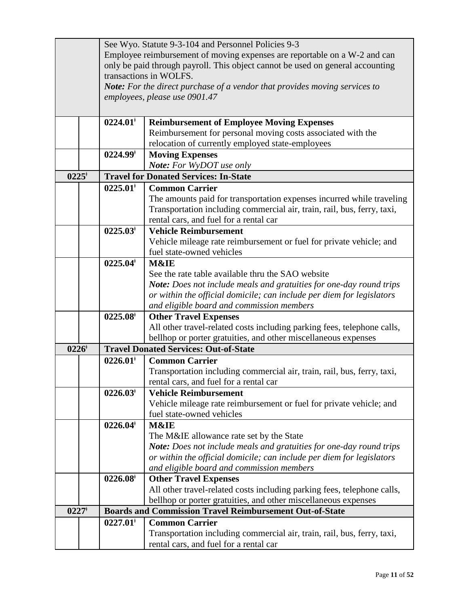|                  |                        | See Wyo. Statute 9-3-104 and Personnel Policies 9-3                                              |
|------------------|------------------------|--------------------------------------------------------------------------------------------------|
|                  |                        | Employee reimbursement of moving expenses are reportable on a W-2 and can                        |
|                  |                        | only be paid through payroll. This object cannot be used on general accounting                   |
|                  |                        | transactions in WOLFS.                                                                           |
|                  |                        | <b>Note:</b> For the direct purchase of a vendor that provides moving services to                |
|                  |                        | employees, please use 0901.47                                                                    |
|                  |                        |                                                                                                  |
|                  | $0224.01^*$            | <b>Reimbursement of Employee Moving Expenses</b>                                                 |
|                  |                        | Reimbursement for personal moving costs associated with the                                      |
|                  |                        | relocation of currently employed state-employees                                                 |
|                  | $0224.99^{\dagger}$    | <b>Moving Expenses</b>                                                                           |
|                  |                        | <b>Note:</b> For WyDOT use only                                                                  |
| $0225^{\dagger}$ |                        | <b>Travel for Donated Services: In-State</b>                                                     |
|                  | $0225.01$ <sup>*</sup> | <b>Common Carrier</b>                                                                            |
|                  |                        | The amounts paid for transportation expenses incurred while traveling                            |
|                  |                        | Transportation including commercial air, train, rail, bus, ferry, taxi,                          |
|                  |                        | rental cars, and fuel for a rental car                                                           |
|                  | $0225.03^*$            | <b>Vehicle Reimbursement</b>                                                                     |
|                  |                        | Vehicle mileage rate reimbursement or fuel for private vehicle; and                              |
|                  |                        | fuel state-owned vehicles                                                                        |
|                  | $0225.04^*$            | M&IE                                                                                             |
|                  |                        | See the rate table available thru the SAO website                                                |
|                  |                        | Note: Does not include meals and gratuities for one-day round trips                              |
|                  |                        | or within the official domicile; can include per diem for legislators                            |
|                  |                        | and eligible board and commission members                                                        |
|                  | $0225.08^{\dagger}$    | <b>Other Travel Expenses</b>                                                                     |
|                  |                        | All other travel-related costs including parking fees, telephone calls,                          |
|                  |                        | bellhop or porter gratuities, and other miscellaneous expenses                                   |
| $0226^{\dagger}$ |                        | <b>Travel Donated Services: Out-of-State</b>                                                     |
|                  | $0226.01$ <sup>*</sup> | <b>Common Carrier</b>                                                                            |
|                  |                        | Transportation including commercial air, train, rail, bus, ferry, taxi,                          |
|                  |                        | rental cars, and fuel for a rental car                                                           |
|                  | $0226.03^{\dagger}$    | <b>Vehicle Reimbursement</b>                                                                     |
|                  |                        | Vehicle mileage rate reimbursement or fuel for private vehicle; and<br>fuel state-owned vehicles |
|                  | $0226.04$ <sup>*</sup> | M&IE                                                                                             |
|                  |                        | The M&IE allowance rate set by the State                                                         |
|                  |                        | Note: Does not include meals and gratuities for one-day round trips                              |
|                  |                        | or within the official domicile; can include per diem for legislators                            |
|                  |                        | and eligible board and commission members                                                        |
|                  | $0226.08$ <sup>*</sup> | <b>Other Travel Expenses</b>                                                                     |
|                  |                        | All other travel-related costs including parking fees, telephone calls,                          |
|                  |                        | bellhop or porter gratuities, and other miscellaneous expenses                                   |
| $0227*$          |                        | <b>Boards and Commission Travel Reimbursement Out-of-State</b>                                   |
|                  | $0227.01$ <sup>*</sup> | <b>Common Carrier</b>                                                                            |
|                  |                        | Transportation including commercial air, train, rail, bus, ferry, taxi,                          |
|                  |                        | rental cars, and fuel for a rental car                                                           |
|                  |                        |                                                                                                  |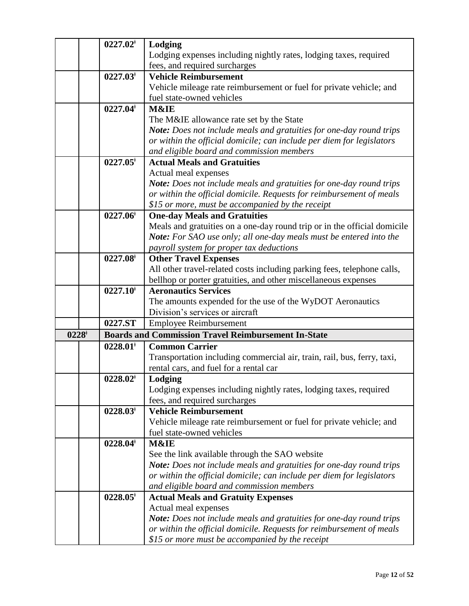|                  | $0227.02^*$            | Lodging                                                                  |
|------------------|------------------------|--------------------------------------------------------------------------|
|                  |                        | Lodging expenses including nightly rates, lodging taxes, required        |
|                  |                        | fees, and required surcharges                                            |
|                  | $0227.03$ <sup>*</sup> | <b>Vehicle Reimbursement</b>                                             |
|                  |                        | Vehicle mileage rate reimbursement or fuel for private vehicle; and      |
|                  |                        | fuel state-owned vehicles                                                |
|                  | 0227.04                | M&IE                                                                     |
|                  |                        | The M&IE allowance rate set by the State                                 |
|                  |                        | Note: Does not include meals and gratuities for one-day round trips      |
|                  |                        | or within the official domicile; can include per diem for legislators    |
|                  |                        | and eligible board and commission members                                |
|                  | $0227.05^*$            | <b>Actual Meals and Gratuities</b>                                       |
|                  |                        | Actual meal expenses                                                     |
|                  |                        | Note: Does not include meals and gratuities for one-day round trips      |
|                  |                        | or within the official domicile. Requests for reimbursement of meals     |
|                  |                        | \$15 or more, must be accompanied by the receipt                         |
|                  | $0227.06^{\dagger}$    | <b>One-day Meals and Gratuities</b>                                      |
|                  |                        | Meals and gratuities on a one-day round trip or in the official domicile |
|                  |                        | Note: For SAO use only; all one-day meals must be entered into the       |
|                  |                        | payroll system for proper tax deductions                                 |
|                  | $0227.08^+$            | <b>Other Travel Expenses</b>                                             |
|                  |                        | All other travel-related costs including parking fees, telephone calls,  |
|                  |                        | bellhop or porter gratuities, and other miscellaneous expenses           |
|                  | $0227.10^+$            | <b>Aeronautics Services</b>                                              |
|                  |                        | The amounts expended for the use of the WyDOT Aeronautics                |
|                  |                        | Division's services or aircraft                                          |
|                  | 0227.ST                | <b>Employee Reimbursement</b>                                            |
| $0228^{\dagger}$ |                        | <b>Boards and Commission Travel Reimbursement In-State</b>               |
|                  | $0228.01$ <sup>*</sup> | <b>Common Carrier</b>                                                    |
|                  |                        | Transportation including commercial air, train, rail, bus, ferry, taxi,  |
|                  |                        | rental cars, and fuel for a rental car                                   |
|                  | $0228.02^*$            | Lodging                                                                  |
|                  |                        | Lodging expenses including nightly rates, lodging taxes, required        |
|                  |                        | fees, and required surcharges                                            |
|                  | $0228.03^{\dagger}$    | <b>Vehicle Reimbursement</b>                                             |
|                  |                        | Vehicle mileage rate reimbursement or fuel for private vehicle; and      |
|                  |                        | fuel state-owned vehicles                                                |
|                  | $0228.04^*$            | M&IE                                                                     |
|                  |                        | See the link available through the SAO website                           |
|                  |                        | Note: Does not include meals and gratuities for one-day round trips      |
|                  |                        | or within the official domicile; can include per diem for legislators    |
|                  |                        | and eligible board and commission members                                |
|                  | $0228.05$ <sup>*</sup> | <b>Actual Meals and Gratuity Expenses</b>                                |
|                  |                        | Actual meal expenses                                                     |
|                  |                        | Note: Does not include meals and gratuities for one-day round trips      |
|                  |                        | or within the official domicile. Requests for reimbursement of meals     |
|                  |                        | \$15 or more must be accompanied by the receipt                          |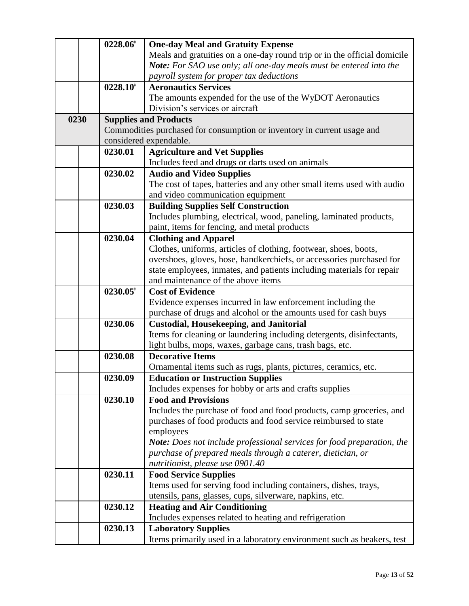|      | $0228.06^{\dagger}$ | <b>One-day Meal and Gratuity Expense</b>                                 |
|------|---------------------|--------------------------------------------------------------------------|
|      |                     | Meals and gratuities on a one-day round trip or in the official domicile |
|      |                     | Note: For SAO use only; all one-day meals must be entered into the       |
|      |                     | payroll system for proper tax deductions                                 |
|      | $0228.10^{\dagger}$ | <b>Aeronautics Services</b>                                              |
|      |                     | The amounts expended for the use of the WyDOT Aeronautics                |
|      |                     | Division's services or aircraft                                          |
| 0230 |                     | <b>Supplies and Products</b>                                             |
|      |                     | Commodities purchased for consumption or inventory in current usage and  |
|      |                     | considered expendable.                                                   |
|      | 0230.01             | <b>Agriculture and Vet Supplies</b>                                      |
|      |                     | Includes feed and drugs or darts used on animals                         |
|      | 0230.02             | <b>Audio and Video Supplies</b>                                          |
|      |                     | The cost of tapes, batteries and any other small items used with audio   |
|      |                     | and video communication equipment                                        |
|      | 0230.03             | <b>Building Supplies Self Construction</b>                               |
|      |                     | Includes plumbing, electrical, wood, paneling, laminated products,       |
|      |                     | paint, items for fencing, and metal products                             |
|      | 0230.04             | <b>Clothing and Apparel</b>                                              |
|      |                     | Clothes, uniforms, articles of clothing, footwear, shoes, boots,         |
|      |                     | overshoes, gloves, hose, handkerchiefs, or accessories purchased for     |
|      |                     | state employees, inmates, and patients including materials for repair    |
|      |                     | and maintenance of the above items                                       |
|      | $0230.05^*$         | <b>Cost of Evidence</b>                                                  |
|      |                     | Evidence expenses incurred in law enforcement including the              |
|      |                     | purchase of drugs and alcohol or the amounts used for cash buys          |
|      | 0230.06             | <b>Custodial, Housekeeping, and Janitorial</b>                           |
|      |                     | Items for cleaning or laundering including detergents, disinfectants,    |
|      |                     | light bulbs, mops, waxes, garbage cans, trash bags, etc.                 |
|      | 0230.08             | <b>Decorative Items</b>                                                  |
|      |                     | Ornamental items such as rugs, plants, pictures, ceramics, etc.          |
|      | 0230.09             | <b>Education or Instruction Supplies</b>                                 |
|      |                     | Includes expenses for hobby or arts and crafts supplies                  |
|      | 0230.10             | <b>Food and Provisions</b>                                               |
|      |                     | Includes the purchase of food and food products, camp groceries, and     |
|      |                     | purchases of food products and food service reimbursed to state          |
|      |                     | employees                                                                |
|      |                     | Note: Does not include professional services for food preparation, the   |
|      |                     | purchase of prepared meals through a caterer, dietician, or              |
|      |                     | nutritionist, please use 0901.40                                         |
|      | 0230.11             | <b>Food Service Supplies</b>                                             |
|      |                     | Items used for serving food including containers, dishes, trays,         |
|      |                     | utensils, pans, glasses, cups, silverware, napkins, etc.                 |
|      | 0230.12             | <b>Heating and Air Conditioning</b>                                      |
|      |                     | Includes expenses related to heating and refrigeration                   |
|      | 0230.13             | <b>Laboratory Supplies</b>                                               |
|      |                     | Items primarily used in a laboratory environment such as beakers, test   |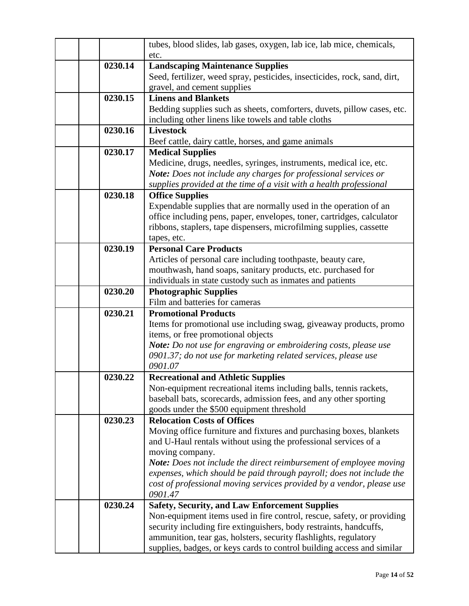|         | tubes, blood slides, lab gases, oxygen, lab ice, lab mice, chemicals,<br>etc.    |
|---------|----------------------------------------------------------------------------------|
| 0230.14 | <b>Landscaping Maintenance Supplies</b>                                          |
|         | Seed, fertilizer, weed spray, pesticides, insecticides, rock, sand, dirt,        |
|         | gravel, and cement supplies                                                      |
| 0230.15 | <b>Linens and Blankets</b>                                                       |
|         | Bedding supplies such as sheets, comforters, duvets, pillow cases, etc.          |
|         | including other linens like towels and table cloths                              |
| 0230.16 | <b>Livestock</b>                                                                 |
|         | Beef cattle, dairy cattle, horses, and game animals                              |
| 0230.17 | <b>Medical Supplies</b>                                                          |
|         | Medicine, drugs, needles, syringes, instruments, medical ice, etc.               |
|         | Note: Does not include any charges for professional services or                  |
|         | supplies provided at the time of a visit with a health professional              |
| 0230.18 | <b>Office Supplies</b>                                                           |
|         | Expendable supplies that are normally used in the operation of an                |
|         | office including pens, paper, envelopes, toner, cartridges, calculator           |
|         | ribbons, staplers, tape dispensers, microfilming supplies, cassette              |
|         | tapes, etc.                                                                      |
| 0230.19 | <b>Personal Care Products</b>                                                    |
|         | Articles of personal care including toothpaste, beauty care,                     |
|         | mouthwash, hand soaps, sanitary products, etc. purchased for                     |
|         | individuals in state custody such as inmates and patients                        |
| 0230.20 | <b>Photographic Supplies</b>                                                     |
|         | Film and batteries for cameras                                                   |
| 0230.21 | <b>Promotional Products</b>                                                      |
|         | Items for promotional use including swag, giveaway products, promo               |
|         | items, or free promotional objects                                               |
|         | Note: Do not use for engraving or embroidering costs, please use                 |
|         | 0901.37; do not use for marketing related services, please use                   |
|         | 0901.07                                                                          |
| 0230.22 | <b>Recreational and Athletic Supplies</b>                                        |
|         | Non-equipment recreational items including balls, tennis rackets,                |
|         | baseball bats, scorecards, admission fees, and any other sporting                |
|         | goods under the \$500 equipment threshold                                        |
| 0230.23 | <b>Relocation Costs of Offices</b>                                               |
|         | Moving office furniture and fixtures and purchasing boxes, blankets              |
|         | and U-Haul rentals without using the professional services of a                  |
|         | moving company.                                                                  |
|         | Note: Does not include the direct reimbursement of employee moving               |
|         | expenses, which should be paid through payroll; does not include the             |
|         | cost of professional moving services provided by a vendor, please use<br>0901.47 |
| 0230.24 | <b>Safety, Security, and Law Enforcement Supplies</b>                            |
|         | Non-equipment items used in fire control, rescue, safety, or providing           |
|         | security including fire extinguishers, body restraints, handcuffs,               |
|         | ammunition, tear gas, holsters, security flashlights, regulatory                 |
|         | supplies, badges, or keys cards to control building access and similar           |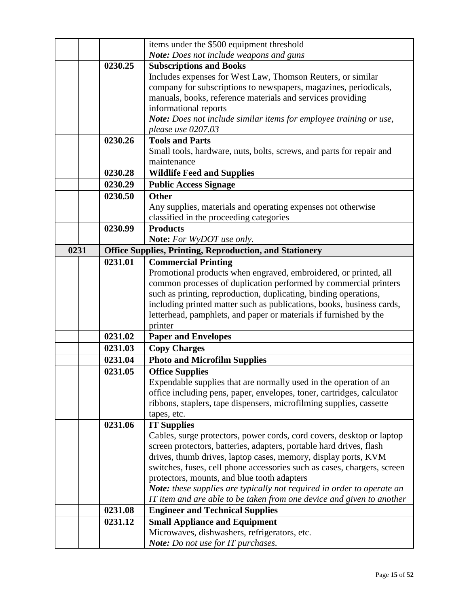|      |         | items under the \$500 equipment threshold                                                                                                 |
|------|---------|-------------------------------------------------------------------------------------------------------------------------------------------|
|      |         | <b>Note:</b> Does not include weapons and guns                                                                                            |
|      | 0230.25 | <b>Subscriptions and Books</b>                                                                                                            |
|      |         | Includes expenses for West Law, Thomson Reuters, or similar                                                                               |
|      |         | company for subscriptions to newspapers, magazines, periodicals,                                                                          |
|      |         | manuals, books, reference materials and services providing                                                                                |
|      |         | informational reports                                                                                                                     |
|      |         | Note: Does not include similar items for employee training or use,                                                                        |
|      |         | please use 0207.03                                                                                                                        |
|      | 0230.26 | <b>Tools and Parts</b>                                                                                                                    |
|      |         | Small tools, hardware, nuts, bolts, screws, and parts for repair and                                                                      |
|      |         | maintenance                                                                                                                               |
|      | 0230.28 | <b>Wildlife Feed and Supplies</b>                                                                                                         |
|      | 0230.29 | <b>Public Access Signage</b>                                                                                                              |
|      | 0230.50 | <b>Other</b>                                                                                                                              |
|      |         | Any supplies, materials and operating expenses not otherwise                                                                              |
|      |         | classified in the proceeding categories                                                                                                   |
|      | 0230.99 | <b>Products</b>                                                                                                                           |
|      |         | Note: For WyDOT use only.                                                                                                                 |
| 0231 |         | <b>Office Supplies, Printing, Reproduction, and Stationery</b>                                                                            |
|      | 0231.01 | <b>Commercial Printing</b>                                                                                                                |
|      |         | Promotional products when engraved, embroidered, or printed, all                                                                          |
|      |         | common processes of duplication performed by commercial printers                                                                          |
|      |         | such as printing, reproduction, duplicating, binding operations,                                                                          |
|      |         | including printed matter such as publications, books, business cards,                                                                     |
|      |         | letterhead, pamphlets, and paper or materials if furnished by the                                                                         |
|      |         | printer                                                                                                                                   |
|      | 0231.02 | <b>Paper and Envelopes</b>                                                                                                                |
|      | 0231.03 | <b>Copy Charges</b>                                                                                                                       |
|      | 0231.04 | <b>Photo and Microfilm Supplies</b>                                                                                                       |
|      | 0231.05 | <b>Office Supplies</b>                                                                                                                    |
|      |         | Expendable supplies that are normally used in the operation of an                                                                         |
|      |         | office including pens, paper, envelopes, toner, cartridges, calculator                                                                    |
|      |         | ribbons, staplers, tape dispensers, microfilming supplies, cassette                                                                       |
|      |         | tapes, etc.                                                                                                                               |
|      | 0231.06 | <b>IT Supplies</b>                                                                                                                        |
|      |         | Cables, surge protectors, power cords, cord covers, desktop or laptop                                                                     |
|      |         | screen protectors, batteries, adapters, portable hard drives, flash                                                                       |
|      |         | drives, thumb drives, laptop cases, memory, display ports, KVM<br>switches, fuses, cell phone accessories such as cases, chargers, screen |
|      |         | protectors, mounts, and blue tooth adapters                                                                                               |
|      |         | <b>Note:</b> these supplies are typically not required in order to operate an                                                             |
|      |         | IT item and are able to be taken from one device and given to another                                                                     |
|      | 0231.08 | <b>Engineer and Technical Supplies</b>                                                                                                    |
|      | 0231.12 | <b>Small Appliance and Equipment</b>                                                                                                      |
|      |         | Microwaves, dishwashers, refrigerators, etc.                                                                                              |
|      |         | Note: Do not use for IT purchases.                                                                                                        |
|      |         |                                                                                                                                           |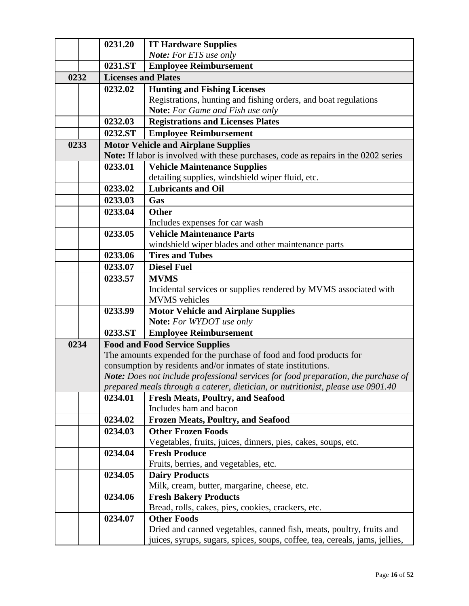|      | 0231.20                    | <b>IT Hardware Supplies</b>                                                         |
|------|----------------------------|-------------------------------------------------------------------------------------|
|      |                            | Note: For ETS use only                                                              |
|      | 0231.ST                    | <b>Employee Reimbursement</b>                                                       |
| 0232 | <b>Licenses and Plates</b> |                                                                                     |
|      | 0232.02                    | <b>Hunting and Fishing Licenses</b>                                                 |
|      |                            | Registrations, hunting and fishing orders, and boat regulations                     |
|      |                            | <b>Note:</b> For Game and Fish use only                                             |
|      | 0232.03                    | <b>Registrations and Licenses Plates</b>                                            |
|      | 0232.ST                    | <b>Employee Reimbursement</b>                                                       |
| 0233 |                            | <b>Motor Vehicle and Airplane Supplies</b>                                          |
|      |                            | Note: If labor is involved with these purchases, code as repairs in the 0202 series |
|      | 0233.01                    | <b>Vehicle Maintenance Supplies</b>                                                 |
|      |                            | detailing supplies, windshield wiper fluid, etc.                                    |
|      | 0233.02                    | <b>Lubricants and Oil</b>                                                           |
|      | 0233.03                    | Gas                                                                                 |
|      | 0233.04                    | <b>Other</b>                                                                        |
|      |                            | Includes expenses for car wash                                                      |
|      | 0233.05                    | <b>Vehicle Maintenance Parts</b>                                                    |
|      |                            | windshield wiper blades and other maintenance parts                                 |
|      | 0233.06                    | <b>Tires and Tubes</b>                                                              |
|      | 0233.07                    | <b>Diesel Fuel</b>                                                                  |
|      | 0233.57                    | <b>MVMS</b>                                                                         |
|      |                            | Incidental services or supplies rendered by MVMS associated with                    |
|      |                            | <b>MVMS</b> vehicles                                                                |
|      | 0233.99                    | <b>Motor Vehicle and Airplane Supplies</b>                                          |
|      |                            | <b>Note:</b> For WYDOT use only                                                     |
|      | 0233.ST                    | <b>Employee Reimbursement</b>                                                       |
| 0234 |                            | <b>Food and Food Service Supplies</b>                                               |
|      |                            | The amounts expended for the purchase of food and food products for                 |
|      |                            | consumption by residents and/or inmates of state institutions.                      |
|      |                            | Note: Does not include professional services for food preparation, the purchase of  |
|      |                            | prepared meals through a caterer, dietician, or nutritionist, please use 0901.40    |
|      | 0234.01                    | <b>Fresh Meats, Poultry, and Seafood</b>                                            |
|      |                            | Includes ham and bacon                                                              |
|      | 0234.02                    | <b>Frozen Meats, Poultry, and Seafood</b>                                           |
|      | 0234.03                    | <b>Other Frozen Foods</b>                                                           |
|      |                            | Vegetables, fruits, juices, dinners, pies, cakes, soups, etc.                       |
|      | 0234.04                    | <b>Fresh Produce</b>                                                                |
|      |                            | Fruits, berries, and vegetables, etc.                                               |
|      | 0234.05                    | <b>Dairy Products</b>                                                               |
|      | 0234.06                    | Milk, cream, butter, margarine, cheese, etc.                                        |
|      |                            | <b>Fresh Bakery Products</b><br>Bread, rolls, cakes, pies, cookies, crackers, etc.  |
|      | 0234.07                    | <b>Other Foods</b>                                                                  |
|      |                            | Dried and canned vegetables, canned fish, meats, poultry, fruits and                |
|      |                            | juices, syrups, sugars, spices, soups, coffee, tea, cereals, jams, jellies,         |
|      |                            |                                                                                     |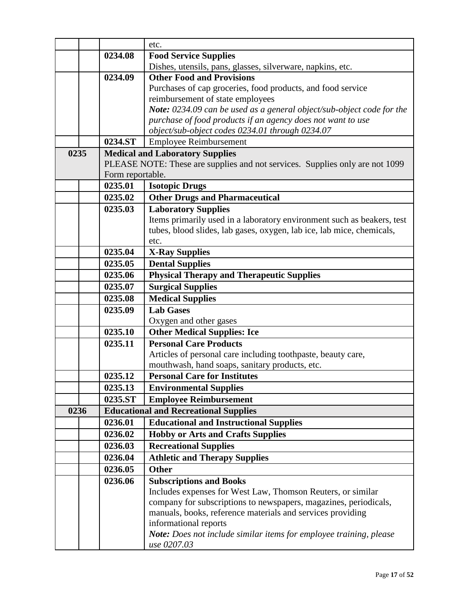|      |                  | etc.                                                                         |
|------|------------------|------------------------------------------------------------------------------|
|      | 0234.08          | <b>Food Service Supplies</b>                                                 |
|      |                  | Dishes, utensils, pans, glasses, silverware, napkins, etc.                   |
|      | 0234.09          | <b>Other Food and Provisions</b>                                             |
|      |                  | Purchases of cap groceries, food products, and food service                  |
|      |                  | reimbursement of state employees                                             |
|      |                  | Note: 0234.09 can be used as a general object/sub-object code for the        |
|      |                  | purchase of food products if an agency does not want to use                  |
|      |                  | object/sub-object codes 0234.01 through 0234.07                              |
|      | 0234.ST          | <b>Employee Reimbursement</b>                                                |
| 0235 |                  | <b>Medical and Laboratory Supplies</b>                                       |
|      |                  | PLEASE NOTE: These are supplies and not services. Supplies only are not 1099 |
|      | Form reportable. |                                                                              |
|      | 0235.01          | <b>Isotopic Drugs</b>                                                        |
|      | 0235.02          | <b>Other Drugs and Pharmaceutical</b>                                        |
|      | 0235.03          | <b>Laboratory Supplies</b>                                                   |
|      |                  | Items primarily used in a laboratory environment such as beakers, test       |
|      |                  | tubes, blood slides, lab gases, oxygen, lab ice, lab mice, chemicals,        |
|      |                  | etc.                                                                         |
|      | 0235.04          | <b>X-Ray Supplies</b>                                                        |
|      | 0235.05          | <b>Dental Supplies</b>                                                       |
|      | 0235.06          | <b>Physical Therapy and Therapeutic Supplies</b>                             |
|      | 0235.07          | <b>Surgical Supplies</b>                                                     |
|      | 0235.08          | <b>Medical Supplies</b>                                                      |
|      | 0235.09          | <b>Lab Gases</b>                                                             |
|      |                  | Oxygen and other gases                                                       |
|      | 0235.10          | <b>Other Medical Supplies: Ice</b>                                           |
|      | 0235.11          | <b>Personal Care Products</b>                                                |
|      |                  | Articles of personal care including toothpaste, beauty care,                 |
|      |                  | mouthwash, hand soaps, sanitary products, etc.                               |
|      | 0235.12          | <b>Personal Care for Institutes</b>                                          |
|      | 0235.13          | <b>Environmental Supplies</b>                                                |
|      | 0235.ST          | <b>Employee Reimbursement</b>                                                |
| 0236 |                  | <b>Educational and Recreational Supplies</b>                                 |
|      | 0236.01          | <b>Educational and Instructional Supplies</b>                                |
|      | 0236.02          | <b>Hobby or Arts and Crafts Supplies</b>                                     |
|      | 0236.03          | <b>Recreational Supplies</b>                                                 |
|      | 0236.04          | <b>Athletic and Therapy Supplies</b>                                         |
|      | 0236.05          | <b>Other</b>                                                                 |
|      | 0236.06          | <b>Subscriptions and Books</b>                                               |
|      |                  | Includes expenses for West Law, Thomson Reuters, or similar                  |
|      |                  | company for subscriptions to newspapers, magazines, periodicals,             |
|      |                  | manuals, books, reference materials and services providing                   |
|      |                  | informational reports                                                        |
|      |                  | Note: Does not include similar items for employee training, please           |
|      |                  | use 0207.03                                                                  |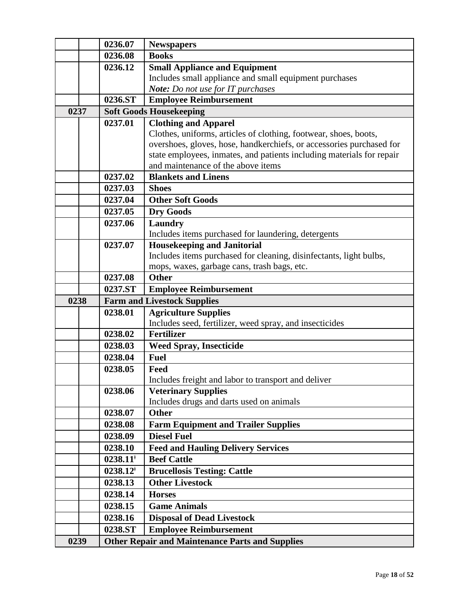|      | 0236.07     | <b>Newspapers</b>                                                                                        |
|------|-------------|----------------------------------------------------------------------------------------------------------|
|      | 0236.08     | <b>Books</b>                                                                                             |
|      | 0236.12     | <b>Small Appliance and Equipment</b>                                                                     |
|      |             | Includes small appliance and small equipment purchases                                                   |
|      |             | Note: Do not use for IT purchases                                                                        |
|      | 0236.ST     | <b>Employee Reimbursement</b>                                                                            |
| 0237 |             | <b>Soft Goods Housekeeping</b>                                                                           |
|      | 0237.01     | <b>Clothing and Apparel</b>                                                                              |
|      |             | Clothes, uniforms, articles of clothing, footwear, shoes, boots,                                         |
|      |             | overshoes, gloves, hose, handkerchiefs, or accessories purchased for                                     |
|      |             | state employees, inmates, and patients including materials for repair                                    |
|      |             | and maintenance of the above items                                                                       |
|      | 0237.02     | <b>Blankets and Linens</b>                                                                               |
|      | 0237.03     | <b>Shoes</b>                                                                                             |
|      | 0237.04     | <b>Other Soft Goods</b>                                                                                  |
|      | 0237.05     | <b>Dry Goods</b>                                                                                         |
|      | 0237.06     | Laundry                                                                                                  |
|      |             | Includes items purchased for laundering, detergents                                                      |
|      | 0237.07     | <b>Housekeeping and Janitorial</b><br>Includes items purchased for cleaning, disinfectants, light bulbs, |
|      |             | mops, waxes, garbage cans, trash bags, etc.                                                              |
|      | 0237.08     | <b>Other</b>                                                                                             |
|      | 0237.ST     | <b>Employee Reimbursement</b>                                                                            |
| 0238 |             | <b>Farm and Livestock Supplies</b>                                                                       |
|      |             |                                                                                                          |
|      |             |                                                                                                          |
|      | 0238.01     | <b>Agriculture Supplies</b>                                                                              |
|      |             | Includes seed, fertilizer, weed spray, and insecticides                                                  |
|      | 0238.02     | <b>Fertilizer</b>                                                                                        |
|      | 0238.03     | <b>Weed Spray, Insecticide</b>                                                                           |
|      | 0238.04     | <b>Fuel</b>                                                                                              |
|      | 0238.05     | Feed                                                                                                     |
|      | 0238.06     | Includes freight and labor to transport and deliver                                                      |
|      |             | <b>Veterinary Supplies</b><br>Includes drugs and darts used on animals                                   |
|      | 0238.07     | <b>Other</b>                                                                                             |
|      | 0238.08     | <b>Farm Equipment and Trailer Supplies</b>                                                               |
|      | 0238.09     | <b>Diesel Fuel</b>                                                                                       |
|      | 0238.10     | <b>Feed and Hauling Delivery Services</b>                                                                |
|      | $0238.11^*$ | <b>Beef Cattle</b>                                                                                       |
|      | $0238.12^*$ | <b>Brucellosis Testing: Cattle</b>                                                                       |
|      | 0238.13     | <b>Other Livestock</b>                                                                                   |
|      | 0238.14     | <b>Horses</b>                                                                                            |
|      | 0238.15     | <b>Game Animals</b>                                                                                      |
|      | 0238.16     | <b>Disposal of Dead Livestock</b>                                                                        |
|      | 0238.ST     | <b>Employee Reimbursement</b>                                                                            |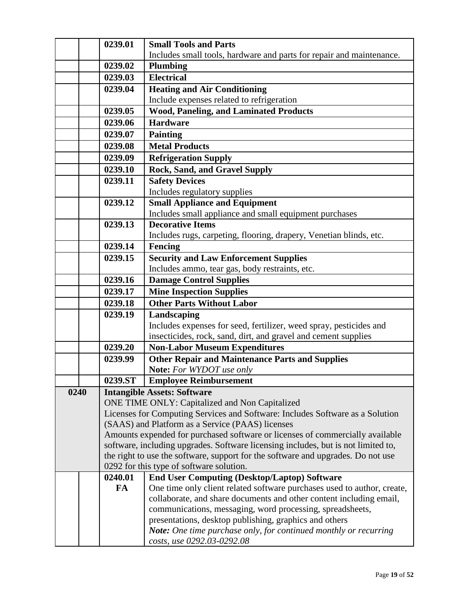|      | 0239.01 | <b>Small Tools and Parts</b>                                                                                                      |
|------|---------|-----------------------------------------------------------------------------------------------------------------------------------|
|      |         | Includes small tools, hardware and parts for repair and maintenance.                                                              |
|      | 0239.02 | <b>Plumbing</b>                                                                                                                   |
|      | 0239.03 | <b>Electrical</b>                                                                                                                 |
|      | 0239.04 | <b>Heating and Air Conditioning</b>                                                                                               |
|      |         | Include expenses related to refrigeration                                                                                         |
|      | 0239.05 | <b>Wood, Paneling, and Laminated Products</b>                                                                                     |
|      | 0239.06 | <b>Hardware</b>                                                                                                                   |
|      | 0239.07 | <b>Painting</b>                                                                                                                   |
|      | 0239.08 | <b>Metal Products</b>                                                                                                             |
|      | 0239.09 | <b>Refrigeration Supply</b>                                                                                                       |
|      | 0239.10 | <b>Rock, Sand, and Gravel Supply</b>                                                                                              |
|      | 0239.11 | <b>Safety Devices</b>                                                                                                             |
|      |         | Includes regulatory supplies                                                                                                      |
|      | 0239.12 | <b>Small Appliance and Equipment</b>                                                                                              |
|      |         | Includes small appliance and small equipment purchases                                                                            |
|      | 0239.13 | <b>Decorative Items</b>                                                                                                           |
|      |         | Includes rugs, carpeting, flooring, drapery, Venetian blinds, etc.                                                                |
|      | 0239.14 | Fencing                                                                                                                           |
|      | 0239.15 | <b>Security and Law Enforcement Supplies</b>                                                                                      |
|      |         | Includes ammo, tear gas, body restraints, etc.                                                                                    |
|      | 0239.16 | <b>Damage Control Supplies</b>                                                                                                    |
|      | 0239.17 | <b>Mine Inspection Supplies</b>                                                                                                   |
|      | 0239.18 | <b>Other Parts Without Labor</b>                                                                                                  |
|      | 0239.19 | Landscaping                                                                                                                       |
|      |         | Includes expenses for seed, fertilizer, weed spray, pesticides and                                                                |
|      |         | insecticides, rock, sand, dirt, and gravel and cement supplies                                                                    |
|      | 0239.20 | <b>Non-Labor Museum Expenditures</b>                                                                                              |
|      | 0239.99 | <b>Other Repair and Maintenance Parts and Supplies</b>                                                                            |
|      |         | Note: For WYDOT use only                                                                                                          |
|      | 0239.ST | <b>Employee Reimbursement</b>                                                                                                     |
| 0240 |         | <b>Intangible Assets: Software</b>                                                                                                |
|      |         | ONE TIME ONLY: Capitalized and Non Capitalized                                                                                    |
|      |         | Licenses for Computing Services and Software: Includes Software as a Solution<br>(SAAS) and Platform as a Service (PAAS) licenses |
|      |         | Amounts expended for purchased software or licenses of commercially available                                                     |
|      |         | software, including upgrades. Software licensing includes, but is not limited to,                                                 |
|      |         | the right to use the software, support for the software and upgrades. Do not use                                                  |
|      |         | 0292 for this type of software solution.                                                                                          |
|      | 0240.01 | <b>End User Computing (Desktop/Laptop) Software</b>                                                                               |
|      | FA      | One time only client related software purchases used to author, create,                                                           |
|      |         | collaborate, and share documents and other content including email,                                                               |
|      |         | communications, messaging, word processing, spreadsheets,                                                                         |
|      |         | presentations, desktop publishing, graphics and others                                                                            |
|      |         | <b>Note:</b> One time purchase only, for continued monthly or recurring                                                           |
|      |         | costs, use 0292.03-0292.08                                                                                                        |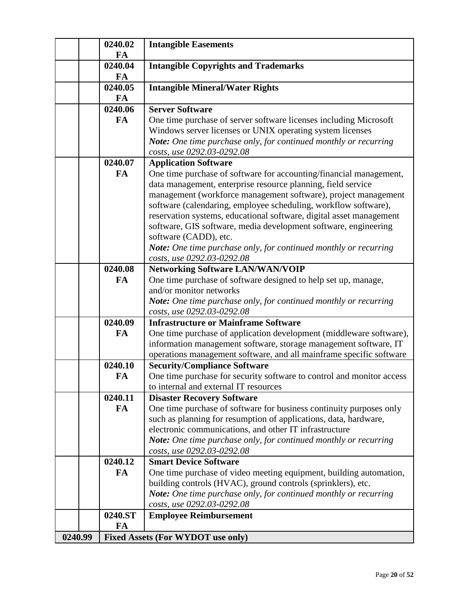|         | 0240.02       | <b>Intangible Easements</b>                                                                                |
|---------|---------------|------------------------------------------------------------------------------------------------------------|
|         | FA            |                                                                                                            |
|         | 0240.04       | <b>Intangible Copyrights and Trademarks</b>                                                                |
|         | <b>FA</b>     |                                                                                                            |
|         | 0240.05       | <b>Intangible Mineral/Water Rights</b>                                                                     |
|         | <b>FA</b>     |                                                                                                            |
|         | 0240.06       | <b>Server Software</b>                                                                                     |
|         | FA            | One time purchase of server software licenses including Microsoft                                          |
|         |               | Windows server licenses or UNIX operating system licenses                                                  |
|         |               | Note: One time purchase only, for continued monthly or recurring                                           |
|         |               | costs, use 0292.03-0292.08                                                                                 |
|         | 0240.07       | <b>Application Software</b>                                                                                |
|         | <b>FA</b>     | One time purchase of software for accounting/financial management,                                         |
|         |               | data management, enterprise resource planning, field service                                               |
|         |               | management (workforce management software), project management                                             |
|         |               | software (calendaring, employee scheduling, workflow software),                                            |
|         |               | reservation systems, educational software, digital asset management                                        |
|         |               | software, GIS software, media development software, engineering                                            |
|         |               | software (CADD), etc.                                                                                      |
|         |               | Note: One time purchase only, for continued monthly or recurring                                           |
|         |               | costs, use 0292.03-0292.08                                                                                 |
|         | 0240.08       | <b>Networking Software LAN/WAN/VOIP</b>                                                                    |
|         | <b>FA</b>     | One time purchase of software designed to help set up, manage,                                             |
|         |               | and/or monitor networks                                                                                    |
|         |               | Note: One time purchase only, for continued monthly or recurring                                           |
|         |               | costs, use 0292.03-0292.08                                                                                 |
|         | 0240.09<br>FA | <b>Infrastructure or Mainframe Software</b>                                                                |
|         |               | One time purchase of application development (middleware software),                                        |
|         |               | information management software, storage management software, IT                                           |
|         | 0240.10       | operations management software, and all mainframe specific software<br><b>Security/Compliance Software</b> |
|         | FA            | One time purchase for security software to control and monitor access                                      |
|         |               | to internal and external IT resources                                                                      |
|         | 0240.11       | <b>Disaster Recovery Software</b>                                                                          |
|         | <b>FA</b>     | One time purchase of software for business continuity purposes only                                        |
|         |               | such as planning for resumption of applications, data, hardware,                                           |
|         |               | electronic communications, and other IT infrastructure                                                     |
|         |               | Note: One time purchase only, for continued monthly or recurring                                           |
|         |               | costs, use 0292.03-0292.08                                                                                 |
|         | 0240.12       | <b>Smart Device Software</b>                                                                               |
|         | <b>FA</b>     | One time purchase of video meeting equipment, building automation,                                         |
|         |               | building controls (HVAC), ground controls (sprinklers), etc.                                               |
|         |               | Note: One time purchase only, for continued monthly or recurring                                           |
|         |               | costs, use 0292.03-0292.08                                                                                 |
|         | 0240.ST       | <b>Employee Reimbursement</b>                                                                              |
|         | FA            |                                                                                                            |
| 0240.99 |               | <b>Fixed Assets (For WYDOT use only)</b>                                                                   |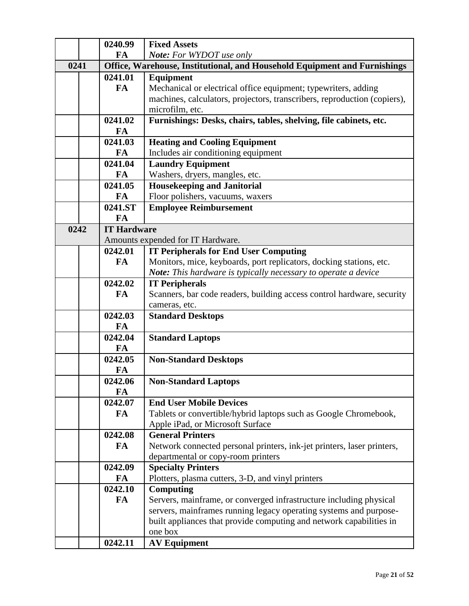|      | 0240.99            | <b>Fixed Assets</b>                                                       |
|------|--------------------|---------------------------------------------------------------------------|
|      | FA                 | Note: For WYDOT use only                                                  |
| 0241 |                    | Office, Warehouse, Institutional, and Household Equipment and Furnishings |
|      | 0241.01            | Equipment                                                                 |
|      | FA                 | Mechanical or electrical office equipment; typewriters, adding            |
|      |                    | machines, calculators, projectors, transcribers, reproduction (copiers),  |
|      |                    | microfilm, etc.                                                           |
|      | 0241.02            | Furnishings: Desks, chairs, tables, shelving, file cabinets, etc.         |
|      | FA                 |                                                                           |
|      | 0241.03            | <b>Heating and Cooling Equipment</b>                                      |
|      | FA                 | Includes air conditioning equipment                                       |
|      | 0241.04            | <b>Laundry Equipment</b>                                                  |
|      | <b>FA</b>          | Washers, dryers, mangles, etc.                                            |
|      | 0241.05            | <b>Housekeeping and Janitorial</b>                                        |
|      | FA                 | Floor polishers, vacuums, waxers                                          |
|      | 0241.ST            | <b>Employee Reimbursement</b>                                             |
|      | FA                 |                                                                           |
| 0242 | <b>IT Hardware</b> |                                                                           |
|      |                    | Amounts expended for IT Hardware.                                         |
|      | 0242.01            | <b>IT Peripherals for End User Computing</b>                              |
|      | FA                 | Monitors, mice, keyboards, port replicators, docking stations, etc.       |
|      |                    | Note: This hardware is typically necessary to operate a device            |
|      | 0242.02            | <b>IT Peripherals</b>                                                     |
|      | FA                 | Scanners, bar code readers, building access control hardware, security    |
|      | 0242.03            | cameras, etc.                                                             |
|      | <b>FA</b>          | <b>Standard Desktops</b>                                                  |
|      | 0242.04            | <b>Standard Laptops</b>                                                   |
|      | <b>FA</b>          |                                                                           |
|      | 0242.05            | <b>Non-Standard Desktops</b>                                              |
|      | FA                 |                                                                           |
|      | 0242.06            | <b>Non-Standard Laptops</b>                                               |
|      | FA                 |                                                                           |
|      | 0242.07            | <b>End User Mobile Devices</b>                                            |
|      | FA                 | Tablets or convertible/hybrid laptops such as Google Chromebook,          |
|      |                    | Apple iPad, or Microsoft Surface                                          |
|      | 0242.08            | <b>General Printers</b>                                                   |
|      | FA                 | Network connected personal printers, ink-jet printers, laser printers,    |
|      |                    | departmental or copy-room printers                                        |
|      | 0242.09            | <b>Specialty Printers</b>                                                 |
|      | FA                 | Plotters, plasma cutters, 3-D, and vinyl printers                         |
|      | 0242.10            | <b>Computing</b>                                                          |
|      | FA                 | Servers, mainframe, or converged infrastructure including physical        |
|      |                    | servers, mainframes running legacy operating systems and purpose-         |
|      |                    | built appliances that provide computing and network capabilities in       |
|      |                    | one box                                                                   |
|      | 0242.11            | <b>AV Equipment</b>                                                       |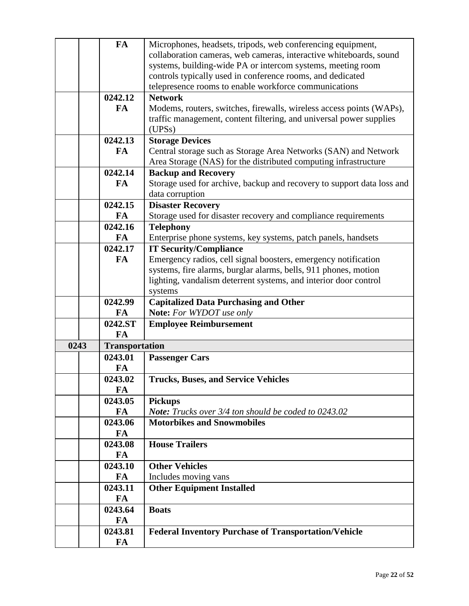|      | <b>FA</b>             | Microphones, headsets, tripods, web conferencing equipment,            |
|------|-----------------------|------------------------------------------------------------------------|
|      |                       | collaboration cameras, web cameras, interactive whiteboards, sound     |
|      |                       | systems, building-wide PA or intercom systems, meeting room            |
|      |                       | controls typically used in conference rooms, and dedicated             |
|      |                       | telepresence rooms to enable workforce communications                  |
|      | 0242.12               | <b>Network</b>                                                         |
|      | <b>FA</b>             | Modems, routers, switches, firewalls, wireless access points (WAPs),   |
|      |                       | traffic management, content filtering, and universal power supplies    |
|      |                       | (UPSs)                                                                 |
|      | 0242.13               | <b>Storage Devices</b>                                                 |
|      | FA                    | Central storage such as Storage Area Networks (SAN) and Network        |
|      |                       | Area Storage (NAS) for the distributed computing infrastructure        |
|      | 0242.14               | <b>Backup and Recovery</b>                                             |
|      | <b>FA</b>             | Storage used for archive, backup and recovery to support data loss and |
|      |                       | data corruption                                                        |
|      | 0242.15               | <b>Disaster Recovery</b>                                               |
|      | FA                    | Storage used for disaster recovery and compliance requirements         |
|      | 0242.16               | <b>Telephony</b>                                                       |
|      | FA                    | Enterprise phone systems, key systems, patch panels, handsets          |
|      | 0242.17               | <b>IT Security/Compliance</b>                                          |
|      | FA                    | Emergency radios, cell signal boosters, emergency notification         |
|      |                       | systems, fire alarms, burglar alarms, bells, 911 phones, motion        |
|      |                       | lighting, vandalism deterrent systems, and interior door control       |
|      |                       | systems                                                                |
|      | 0242.99               | <b>Capitalized Data Purchasing and Other</b>                           |
|      | FA                    | Note: For WYDOT use only                                               |
|      | 0242.ST               | <b>Employee Reimbursement</b>                                          |
|      | <b>FA</b>             |                                                                        |
| 0243 | <b>Transportation</b> |                                                                        |
|      | 0243.01               | <b>Passenger Cars</b>                                                  |
|      | FA                    |                                                                        |
|      |                       |                                                                        |
|      | 0243.02               | <b>Trucks, Buses, and Service Vehicles</b>                             |
|      | FA<br>0243.05         |                                                                        |
|      |                       | <b>Pickups</b><br>Note: Trucks over 3/4 ton should be coded to 0243.02 |
|      | FA                    | <b>Motorbikes and Snowmobiles</b>                                      |
|      | 0243.06               |                                                                        |
|      | FA                    |                                                                        |
|      | 0243.08               | <b>House Trailers</b>                                                  |
|      | FA                    |                                                                        |
|      | 0243.10               | <b>Other Vehicles</b>                                                  |
|      | FA                    | Includes moving vans                                                   |
|      | 0243.11               | <b>Other Equipment Installed</b>                                       |
|      | FA                    |                                                                        |
|      | 0243.64               | <b>Boats</b>                                                           |
|      | FA                    |                                                                        |
|      | 0243.81               | <b>Federal Inventory Purchase of Transportation/Vehicle</b>            |
|      | FA                    |                                                                        |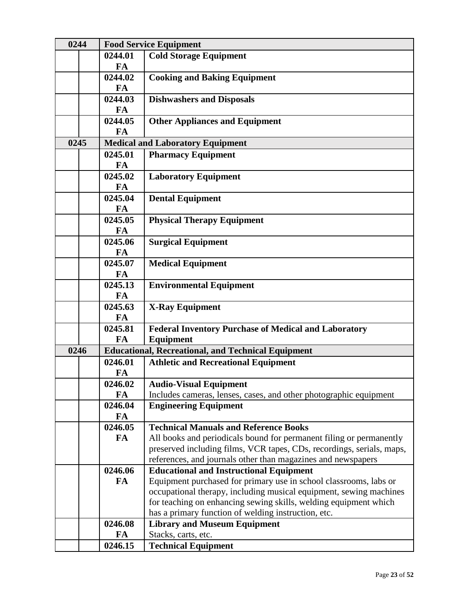| 0244 |                      | <b>Food Service Equipment</b>                                         |
|------|----------------------|-----------------------------------------------------------------------|
|      | 0244.01              | <b>Cold Storage Equipment</b>                                         |
|      | <b>FA</b>            |                                                                       |
|      | 0244.02              | <b>Cooking and Baking Equipment</b>                                   |
|      | FA                   |                                                                       |
|      | 0244.03              | <b>Dishwashers and Disposals</b>                                      |
|      | <b>FA</b>            |                                                                       |
|      | 0244.05              | <b>Other Appliances and Equipment</b>                                 |
|      | <b>FA</b>            |                                                                       |
| 0245 |                      | <b>Medical and Laboratory Equipment</b>                               |
|      | 0245.01<br><b>FA</b> | <b>Pharmacy Equipment</b>                                             |
|      | 0245.02              |                                                                       |
|      | <b>FA</b>            | <b>Laboratory Equipment</b>                                           |
|      | 0245.04              | <b>Dental Equipment</b>                                               |
|      | FA                   |                                                                       |
|      | 0245.05              | <b>Physical Therapy Equipment</b>                                     |
|      | FA                   |                                                                       |
|      | 0245.06              | <b>Surgical Equipment</b>                                             |
|      | <b>FA</b>            |                                                                       |
|      | 0245.07              | <b>Medical Equipment</b>                                              |
|      | <b>FA</b>            |                                                                       |
|      | 0245.13              | <b>Environmental Equipment</b>                                        |
|      | FA                   |                                                                       |
|      | 0245.63              | <b>X-Ray Equipment</b>                                                |
|      | <b>FA</b>            |                                                                       |
|      | 0245.81              | <b>Federal Inventory Purchase of Medical and Laboratory</b>           |
|      | <b>FA</b>            | Equipment                                                             |
| 0246 | 0246.01              | <b>Educational, Recreational, and Technical Equipment</b>             |
|      | FA                   | <b>Athletic and Recreational Equipment</b>                            |
|      | 0246.02              | <b>Audio-Visual Equipment</b>                                         |
|      | FA                   | Includes cameras, lenses, cases, and other photographic equipment     |
|      | 0246.04              | <b>Engineering Equipment</b>                                          |
|      | FA                   |                                                                       |
|      | 0246.05              | <b>Technical Manuals and Reference Books</b>                          |
|      | FA                   | All books and periodicals bound for permanent filing or permanently   |
|      |                      | preserved including films, VCR tapes, CDs, recordings, serials, maps, |
|      |                      | references, and journals other than magazines and newspapers          |
|      | 0246.06              | <b>Educational and Instructional Equipment</b>                        |
|      | FA                   | Equipment purchased for primary use in school classrooms, labs or     |
|      |                      | occupational therapy, including musical equipment, sewing machines    |
|      |                      | for teaching on enhancing sewing skills, welding equipment which      |
|      | 0246.08              | has a primary function of welding instruction, etc.                   |
|      | FA                   | <b>Library and Museum Equipment</b><br>Stacks, carts, etc.            |
|      |                      | <b>Technical Equipment</b>                                            |
|      | 0246.15              |                                                                       |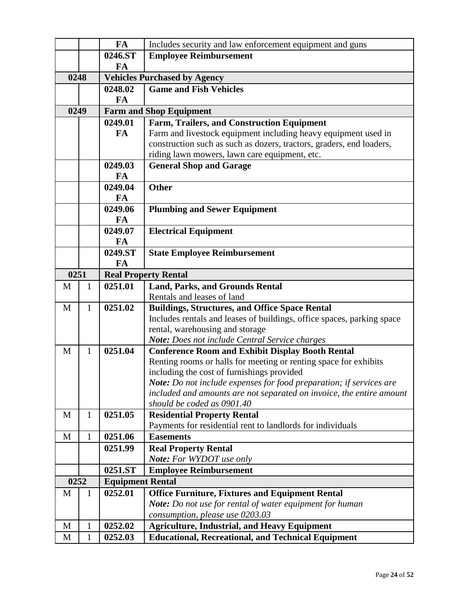|      |              | FA                      | Includes security and law enforcement equipment and guns                          |
|------|--------------|-------------------------|-----------------------------------------------------------------------------------|
|      |              | 0246.ST                 | <b>Employee Reimbursement</b>                                                     |
|      |              | FA                      |                                                                                   |
| 0248 |              |                         | <b>Vehicles Purchased by Agency</b>                                               |
|      |              | 0248.02                 | <b>Game and Fish Vehicles</b>                                                     |
|      |              | <b>FA</b>               |                                                                                   |
| 0249 |              |                         | <b>Farm and Shop Equipment</b>                                                    |
|      |              | 0249.01                 | <b>Farm, Trailers, and Construction Equipment</b>                                 |
|      |              | FA                      | Farm and livestock equipment including heavy equipment used in                    |
|      |              |                         | construction such as such as dozers, tractors, graders, end loaders,              |
|      |              |                         | riding lawn mowers, lawn care equipment, etc.                                     |
|      |              | 0249.03                 | <b>General Shop and Garage</b>                                                    |
|      |              | FA                      |                                                                                   |
|      |              | 0249.04                 | <b>Other</b>                                                                      |
|      |              | <b>FA</b>               |                                                                                   |
|      |              | 0249.06                 | <b>Plumbing and Sewer Equipment</b>                                               |
|      |              | <b>FA</b>               |                                                                                   |
|      |              | 0249.07                 | <b>Electrical Equipment</b>                                                       |
|      |              | FA                      |                                                                                   |
|      |              | 0249.ST                 | <b>State Employee Reimbursement</b>                                               |
|      |              | FA                      |                                                                                   |
| 0251 |              |                         | <b>Real Property Rental</b>                                                       |
| M    | $\mathbf{1}$ | 0251.01                 | <b>Land, Parks, and Grounds Rental</b>                                            |
|      |              |                         | Rentals and leases of land                                                        |
| M    | $\mathbf{1}$ | 0251.02                 | <b>Buildings, Structures, and Office Space Rental</b>                             |
|      |              |                         | Includes rentals and leases of buildings, office spaces, parking space            |
|      |              |                         | rental, warehousing and storage<br>Note: Does not include Central Service charges |
| M    | $\mathbf{1}$ | 0251.04                 | <b>Conference Room and Exhibit Display Booth Rental</b>                           |
|      |              |                         | Renting rooms or halls for meeting or renting space for exhibits                  |
|      |              |                         | including the cost of furnishings provided                                        |
|      |              |                         | Note: Do not include expenses for food preparation; if services are               |
|      |              |                         | included and amounts are not separated on invoice, the entire amount              |
|      |              |                         | should be coded as 0901.40                                                        |
| M    | $\mathbf{1}$ | 0251.05                 | <b>Residential Property Rental</b>                                                |
|      |              |                         | Payments for residential rent to landlords for individuals                        |
| M    | 1            | 0251.06                 | <b>Easements</b>                                                                  |
|      |              | 0251.99                 | <b>Real Property Rental</b>                                                       |
|      |              |                         | <b>Note:</b> For WYDOT use only                                                   |
|      |              | 0251.ST                 | <b>Employee Reimbursement</b>                                                     |
| 0252 |              | <b>Equipment Rental</b> |                                                                                   |
| M    | 1            | 0252.01                 | <b>Office Furniture, Fixtures and Equipment Rental</b>                            |
|      |              |                         | Note: Do not use for rental of water equipment for human                          |
|      |              |                         | consumption, please use 0203.03                                                   |
| M    | 1            | 0252.02                 | <b>Agriculture, Industrial, and Heavy Equipment</b>                               |
| M    | $\mathbf{1}$ | 0252.03                 | <b>Educational, Recreational, and Technical Equipment</b>                         |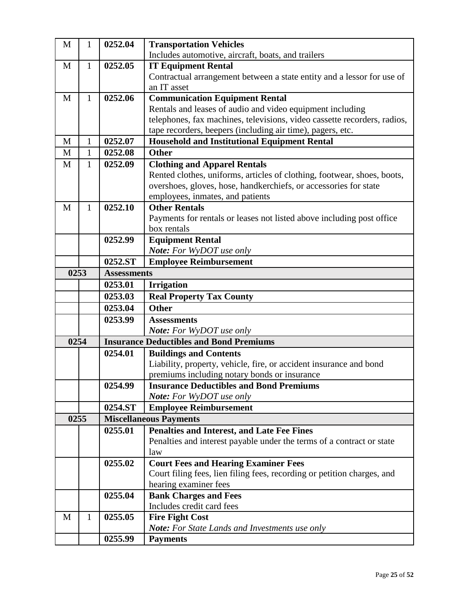| M    | 1            | 0252.04            | <b>Transportation Vehicles</b>                                           |
|------|--------------|--------------------|--------------------------------------------------------------------------|
|      |              |                    | Includes automotive, aircraft, boats, and trailers                       |
| M    | 1            | 0252.05            | <b>IT Equipment Rental</b>                                               |
|      |              |                    | Contractual arrangement between a state entity and a lessor for use of   |
|      |              |                    | an IT asset                                                              |
| M    | 1            | 0252.06            | <b>Communication Equipment Rental</b>                                    |
|      |              |                    | Rentals and leases of audio and video equipment including                |
|      |              |                    | telephones, fax machines, televisions, video cassette recorders, radios, |
|      |              |                    | tape recorders, beepers (including air time), pagers, etc.               |
| M    | $\mathbf{1}$ | 0252.07            | <b>Household and Institutional Equipment Rental</b>                      |
| M    | 1            | 0252.08            | <b>Other</b>                                                             |
| M    | $\mathbf{1}$ | 0252.09            | <b>Clothing and Apparel Rentals</b>                                      |
|      |              |                    | Rented clothes, uniforms, articles of clothing, footwear, shoes, boots,  |
|      |              |                    | overshoes, gloves, hose, handkerchiefs, or accessories for state         |
|      |              |                    | employees, inmates, and patients                                         |
| M    | 1            | 0252.10            | <b>Other Rentals</b>                                                     |
|      |              |                    | Payments for rentals or leases not listed above including post office    |
|      |              |                    | box rentals                                                              |
|      |              | 0252.99            | <b>Equipment Rental</b>                                                  |
|      |              |                    | Note: For WyDOT use only                                                 |
|      |              | 0252.ST            | <b>Employee Reimbursement</b>                                            |
| 0253 |              | <b>Assessments</b> |                                                                          |
|      |              | 0253.01            | <b>Irrigation</b>                                                        |
|      |              | 0253.03            | <b>Real Property Tax County</b>                                          |
|      |              | 0253.04            | <b>Other</b>                                                             |
|      |              | 0253.99            | <b>Assessments</b>                                                       |
|      |              |                    | <b>Note:</b> For WyDOT use only                                          |
| 0254 |              |                    | <b>Insurance Deductibles and Bond Premiums</b>                           |
|      |              | 0254.01            | <b>Buildings and Contents</b>                                            |
|      |              |                    | Liability, property, vehicle, fire, or accident insurance and bond       |
|      |              |                    | premiums including notary bonds or insurance                             |
|      |              | 0254.99            | <b>Insurance Deductibles and Bond Premiums</b>                           |
|      |              | 0254.ST            | <b>Note:</b> For WyDOT use only<br><b>Employee Reimbursement</b>         |
| 0255 |              |                    | <b>Miscellaneous Payments</b>                                            |
|      |              | 0255.01            | <b>Penalties and Interest, and Late Fee Fines</b>                        |
|      |              |                    | Penalties and interest payable under the terms of a contract or state    |
|      |              |                    | law                                                                      |
|      |              | 0255.02            | <b>Court Fees and Hearing Examiner Fees</b>                              |
|      |              |                    | Court filing fees, lien filing fees, recording or petition charges, and  |
|      |              |                    | hearing examiner fees                                                    |
|      |              | 0255.04            | <b>Bank Charges and Fees</b>                                             |
|      |              |                    | Includes credit card fees                                                |
| M    | $\mathbf{1}$ | 0255.05            | <b>Fire Fight Cost</b>                                                   |
|      |              |                    | <b>Note:</b> For State Lands and Investments use only                    |
|      |              | 0255.99            | <b>Payments</b>                                                          |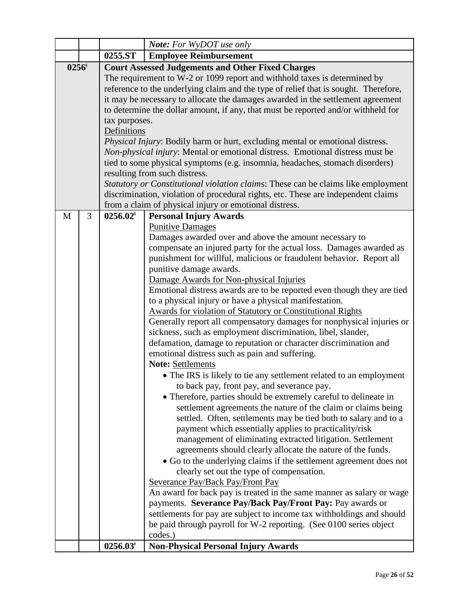|                  |   |                     | <b>Note:</b> For WyDOT use only                                                     |
|------------------|---|---------------------|-------------------------------------------------------------------------------------|
|                  |   | 0255.ST             | <b>Employee Reimbursement</b>                                                       |
| $0256^{\dagger}$ |   |                     | <b>Court Assessed Judgements and Other Fixed Charges</b>                            |
|                  |   |                     | The requirement to W-2 or 1099 report and withhold taxes is determined by           |
|                  |   |                     | reference to the underlying claim and the type of relief that is sought. Therefore, |
|                  |   |                     | it may be necessary to allocate the damages awarded in the settlement agreement     |
|                  |   |                     | to determine the dollar amount, if any, that must be reported and/or withheld for   |
|                  |   | tax purposes.       |                                                                                     |
|                  |   | Definitions         |                                                                                     |
|                  |   |                     | Physical Injury: Bodily harm or hurt, excluding mental or emotional distress.       |
|                  |   |                     | Non-physical injury: Mental or emotional distress. Emotional distress must be       |
|                  |   |                     | tied to some physical symptoms (e.g. insomnia, headaches, stomach disorders)        |
|                  |   |                     | resulting from such distress.                                                       |
|                  |   |                     | Statutory or Constitutional violation claims: These can be claims like employment   |
|                  |   |                     | discrimination, violation of procedural rights, etc. These are independent claims   |
|                  |   |                     | from a claim of physical injury or emotional distress.                              |
| M                | 3 | $0256.02^{\dagger}$ | <b>Personal Injury Awards</b>                                                       |
|                  |   |                     | <b>Punitive Damages</b>                                                             |
|                  |   |                     | Damages awarded over and above the amount necessary to                              |
|                  |   |                     | compensate an injured party for the actual loss. Damages awarded as                 |
|                  |   |                     | punishment for willful, malicious or fraudulent behavior. Report all                |
|                  |   |                     | punitive damage awards.                                                             |
|                  |   |                     | Damage Awards for Non-physical Injuries                                             |
|                  |   |                     | Emotional distress awards are to be reported even though they are tied              |
|                  |   |                     | to a physical injury or have a physical manifestation.                              |
|                  |   |                     | <b>Awards for violation of Statutory or Constitutional Rights</b>                   |
|                  |   |                     | Generally report all compensatory damages for nonphysical injuries or               |
|                  |   |                     | sickness, such as employment discrimination, libel, slander,                        |
|                  |   |                     | defamation, damage to reputation or character discrimination and                    |
|                  |   |                     | emotional distress such as pain and suffering.                                      |
|                  |   |                     | <b>Note: Settlements</b>                                                            |
|                  |   |                     | • The IRS is likely to tie any settlement related to an employment                  |
|                  |   |                     | to back pay, front pay, and severance pay.                                          |
|                  |   |                     | • Therefore, parties should be extremely careful to delineate in                    |
|                  |   |                     | settlement agreements the nature of the claim or claims being                       |
|                  |   |                     | settled. Often, settlements may be tied both to salary and to a                     |
|                  |   |                     | payment which essentially applies to practicality/risk                              |
|                  |   |                     | management of eliminating extracted litigation. Settlement                          |
|                  |   |                     | agreements should clearly allocate the nature of the funds.                         |
|                  |   |                     | • Go to the underlying claims if the settlement agreement does not                  |
|                  |   |                     | clearly set out the type of compensation.                                           |
|                  |   |                     | Severance Pay/Back Pay/Front Pay                                                    |
|                  |   |                     | An award for back pay is treated in the same manner as salary or wage               |
|                  |   |                     | payments. Severance Pay/Back Pay/Front Pay: Pay awards or                           |
|                  |   |                     | settlements for pay are subject to income tax withholdings and should               |
|                  |   |                     | be paid through payroll for W-2 reporting. (See 0100 series object                  |
|                  |   |                     | codes.)                                                                             |
|                  |   | $0256.03*$          | <b>Non-Physical Personal Injury Awards</b>                                          |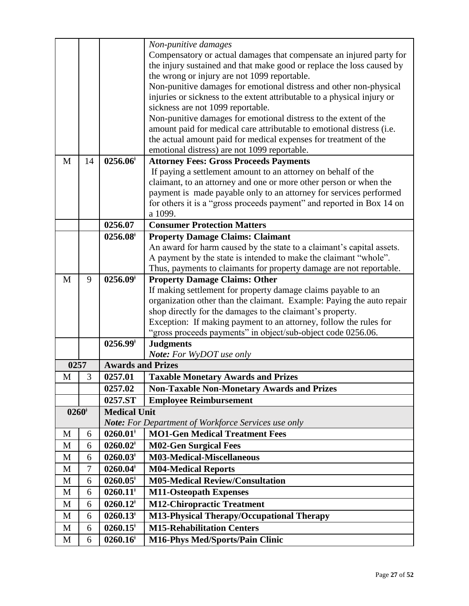|                  |    |                          | Non-punitive damages                                                    |
|------------------|----|--------------------------|-------------------------------------------------------------------------|
|                  |    |                          | Compensatory or actual damages that compensate an injured party for     |
|                  |    |                          | the injury sustained and that make good or replace the loss caused by   |
|                  |    |                          | the wrong or injury are not 1099 reportable.                            |
|                  |    |                          | Non-punitive damages for emotional distress and other non-physical      |
|                  |    |                          | injuries or sickness to the extent attributable to a physical injury or |
|                  |    |                          | sickness are not 1099 reportable.                                       |
|                  |    |                          | Non-punitive damages for emotional distress to the extent of the        |
|                  |    |                          | amount paid for medical care attributable to emotional distress (i.e.   |
|                  |    |                          | the actual amount paid for medical expenses for treatment of the        |
|                  |    |                          | emotional distress) are not 1099 reportable.                            |
| M                | 14 | $0256.06$ <sup>+</sup>   | <b>Attorney Fees: Gross Proceeds Payments</b>                           |
|                  |    |                          | If paying a settlement amount to an attorney on behalf of the           |
|                  |    |                          | claimant, to an attorney and one or more other person or when the       |
|                  |    |                          | payment is made payable only to an attorney for services performed      |
|                  |    |                          | for others it is a "gross proceeds payment" and reported in Box 14 on   |
|                  |    |                          | a 1099.                                                                 |
|                  |    | 0256.07                  | <b>Consumer Protection Matters</b>                                      |
|                  |    | $0256.08^{\dagger}$      | <b>Property Damage Claims: Claimant</b>                                 |
|                  |    |                          | An award for harm caused by the state to a claimant's capital assets.   |
|                  |    |                          | A payment by the state is intended to make the claimant "whole".        |
|                  |    |                          | Thus, payments to claimants for property damage are not reportable.     |
| M                | 9  | $0256.09^{\dagger}$      | <b>Property Damage Claims: Other</b>                                    |
|                  |    |                          | If making settlement for property damage claims payable to an           |
|                  |    |                          | organization other than the claimant. Example: Paying the auto repair   |
|                  |    |                          | shop directly for the damages to the claimant's property.               |
|                  |    |                          | Exception: If making payment to an attorney, follow the rules for       |
|                  |    |                          | "gross proceeds payments" in object/sub-object code 0256.06.            |
|                  |    | $0256.99^{\dagger}$      | <b>Judgments</b>                                                        |
|                  |    |                          | <b>Note:</b> For WyDOT use only                                         |
| 0257             |    | <b>Awards and Prizes</b> |                                                                         |
| M                | 3  | 0257.01                  | <b>Taxable Monetary Awards and Prizes</b>                               |
|                  |    | 0257.02                  | <b>Non-Taxable Non-Monetary Awards and Prizes</b>                       |
|                  |    | 0257.ST                  | <b>Employee Reimbursement</b>                                           |
| $0260^{\dagger}$ |    | <b>Medical Unit</b>      |                                                                         |
|                  |    |                          | <b>Note:</b> For Department of Workforce Services use only              |
| M                | 6  | $0260.01$ <sup>*</sup>   | <b>MO1-Gen Medical Treatment Fees</b>                                   |
| M                | 6  | $0260.02$ <sup>*</sup>   | <b>M02-Gen Surgical Fees</b>                                            |
| M                | 6  | $0260.03*$               | <b>M03-Medical-Miscellaneous</b>                                        |
| M                | 7  | $0260.04^{\dagger}$      | <b>M04-Medical Reports</b>                                              |
| M                | 6  | $0260.05^*$              | <b>M05-Medical Review/Consultation</b>                                  |
| M                | 6  | $0260.11$ <sup>*</sup>   | <b>M11-Osteopath Expenses</b>                                           |
| M                | 6  | $0260.12^*$              | <b>M12-Chiropractic Treatment</b>                                       |
| M                | 6  | $0260.13^{\dagger}$      | M13-Physical Therapy/Occupational Therapy                               |
| M                | 6  | $0260.15$ <sup>*</sup>   | <b>M15-Rehabilitation Centers</b>                                       |
| M                | 6  | $0260.16$ <sup>*</sup>   | <b>M16-Phys Med/Sports/Pain Clinic</b>                                  |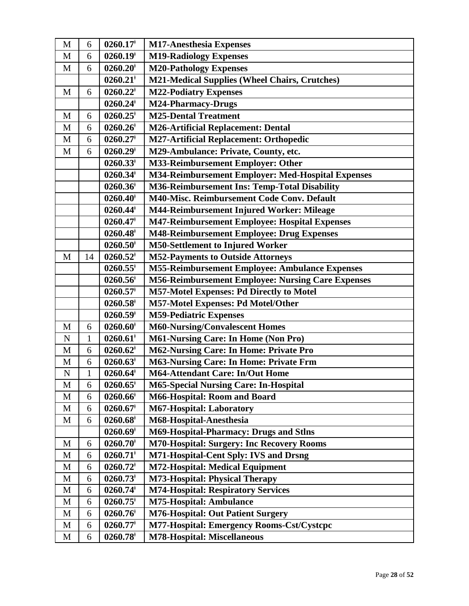| M           | 6            | $0260.17$ <sup>+</sup> | <b>M17-Anesthesia Expenses</b>                           |
|-------------|--------------|------------------------|----------------------------------------------------------|
| M           | 6            | $0260.19$ <sup>*</sup> | <b>M19-Radiology Expenses</b>                            |
| M           | 6            | $0260.20$ <sup>*</sup> | <b>M20-Pathology Expenses</b>                            |
|             |              | $0260.21$ <sup>*</sup> | <b>M21-Medical Supplies (Wheel Chairs, Crutches)</b>     |
| M           | 6            | $0260.22^*$            | <b>M22-Podiatry Expenses</b>                             |
|             |              | $0260.24$ <sup>*</sup> | <b>M24-Pharmacy-Drugs</b>                                |
| M           | 6            | $0260.25$ <sup>+</sup> | <b>M25-Dental Treatment</b>                              |
| M           | 6            | $0260.26^*$            | <b>M26-Artificial Replacement: Dental</b>                |
| M           | 6            | $0260.27$ <sup>*</sup> | <b>M27-Artificial Replacement: Orthopedic</b>            |
| $\mathbf M$ | 6            | $0260.29$ <sup>+</sup> | M29-Ambulance: Private, County, etc.                     |
|             |              | $0260.33^*$            | M33-Reimbursement Employer: Other                        |
|             |              | $0260.34$ <sup>*</sup> | M34-Reimbursement Employer: Med-Hospital Expenses        |
|             |              | $0260.36$ <sup>†</sup> | M36-Reimbursement Ins: Temp-Total Disability             |
|             |              | $0260.40$ <sup>*</sup> | M40-Misc. Reimbursement Code Conv. Default               |
|             |              | $0260.44^*$            | M44-Reimbursement Injured Worker: Mileage                |
|             |              | $0260.47$ <sup>*</sup> | M47-Reimbursement Employee: Hospital Expenses            |
|             |              | $0260.48$ <sup>*</sup> | M48-Reimbursement Employee: Drug Expenses                |
|             |              | $0260.50$ <sup>+</sup> | <b>M50-Settlement to Injured Worker</b>                  |
| M           | 14           | $0260.52$ <sup>*</sup> | <b>M52-Payments to Outside Attorneys</b>                 |
|             |              | $0260.55^*$            | <b>M55-Reimbursement Employee: Ambulance Expenses</b>    |
|             |              | $0260.56$ <sup>†</sup> | <b>M56-Reimbursement Employee: Nursing Care Expenses</b> |
|             |              | $0260.57$ <sup>+</sup> | M57-Motel Expenses: Pd Directly to Motel                 |
|             |              | $0260.58$ <sup>*</sup> | M57-Motel Expenses: Pd Motel/Other                       |
|             |              | $0260.59$ <sup>*</sup> | <b>M59-Pediatric Expenses</b>                            |
| M           | 6            | $0260.60*$             | <b>M60-Nursing/Convalescent Homes</b>                    |
| ${\bf N}$   | $\mathbf{1}$ | $0260.61$ <sup>*</sup> | <b>M61-Nursing Care: In Home (Non Pro)</b>               |
| M           | 6            | $0260.62$ <sup>*</sup> | M62-Nursing Care: In Home: Private Pro                   |
| $\mathbf M$ | 6            | $0260.63^*$            | <b>M63-Nursing Care: In Home: Private Frm</b>            |
| ${\bf N}$   | $\mathbf{1}$ | 0260.64                | <b>M64-Attendant Care: In/Out Home</b>                   |
| $\mathbf M$ | 6            | $0260.65$ <sup>*</sup> | <b>M65-Special Nursing Care: In-Hospital</b>             |
| M           | 6            | $0260.66^{\dagger}$    | <b>M66-Hospital: Room and Board</b>                      |
| M           | 6            | $0260.67$ <sup>*</sup> | M67-Hospital: Laboratory                                 |
| M           | 6            | $0260.68$ <sup>†</sup> | M68-Hospital-Anesthesia                                  |
|             |              | $0260.69*$             | <b>M69-Hospital-Pharmacy: Drugs and Stlns</b>            |
| M           | 6            | $0260.70*$             | <b>M70-Hospital: Surgery: Inc Recovery Rooms</b>         |
| M           | 6            | $0260.71$ <sup>*</sup> | M71-Hospital-Cent Sply: IVS and Drsng                    |
| M           | 6            | $0260.72^*$            | <b>M72-Hospital: Medical Equipment</b>                   |
| M           | 6            | $0260.73*$             | <b>M73-Hospital: Physical Therapy</b>                    |
| M           | 6            | $0260.74^*$            | <b>M74-Hospital: Respiratory Services</b>                |
| M           | 6            | $0260.75$ <sup>*</sup> | <b>M75-Hospital: Ambulance</b>                           |
| M           | 6            | $0260.76^{\dagger}$    | <b>M76-Hospital: Out Patient Surgery</b>                 |
| M           | 6            | $0260.77$ <sup>+</sup> | M77-Hospital: Emergency Rooms-Cst/Cystcpc                |
| $\mathbf M$ | 6            | $0260.78$ <sup>*</sup> | <b>M78-Hospital: Miscellaneous</b>                       |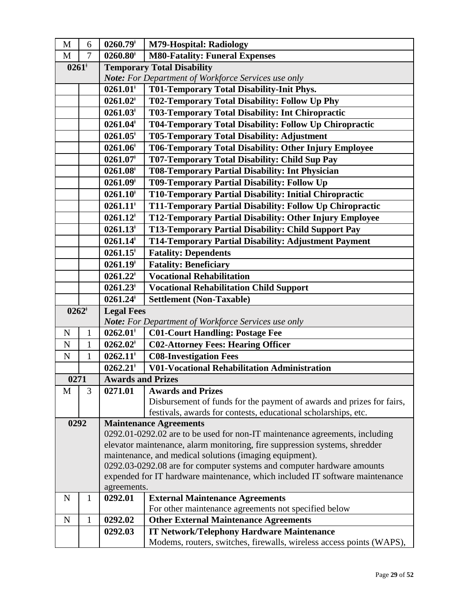| $0260.80$ <sup>+</sup><br><b>M80-Fatality: Funeral Expenses</b><br>$\overline{7}$<br>M<br>$0261*$<br><b>Temporary Total Disability</b><br>Note: For Department of Workforce Services use only<br>$0261.01$ <sup>*</sup><br><b>T01-Temporary Total Disability-Init Phys.</b><br>$0261.02^*$<br>T02-Temporary Total Disability: Follow Up Phy<br>T03-Temporary Total Disability: Int Chiropractic<br>$0261.03*$<br>$0261.04$ <sup>*</sup><br>T04-Temporary Total Disability: Follow Up Chiropractic<br><b>T05-Temporary Total Disability: Adjustment</b><br>$0261.05^*$<br>$0261.06$ <sup>‡</sup><br>T06-Temporary Total Disability: Other Injury Employee<br>T07-Temporary Total Disability: Child Sup Pay<br>$0261.07$ <sup>+</sup><br>$0261.08$ <sup>*</sup><br>T08-Temporary Partial Disability: Int Physician<br>$0261.09$ <sup>+</sup><br>T09-Temporary Partial Disability: Follow Up<br>T10-Temporary Partial Disability: Initial Chiropractic<br>$0261.10$ <sup>*</sup><br>$0261.11$ <sup>*</sup><br>T11-Temporary Partial Disability: Follow Up Chiropractic<br>T12-Temporary Partial Disability: Other Injury Employee<br>$0261.12$ <sup>+</sup><br><b>T13-Temporary Partial Disability: Child Support Pay</b><br>$0261.13^*$<br>$0261.14$ <sup>*</sup><br><b>T14-Temporary Partial Disability: Adjustment Payment</b><br>$0261.15$ <sup>*</sup><br><b>Fatality: Dependents</b><br><b>Fatality: Beneficiary</b><br>$0261.19$ <sup>†</sup><br>$0261.22^*$<br><b>Vocational Rehabilitation</b> | $\mathbf M$ | 6 | $0260.79^{\dagger}$ | <b>M79-Hospital: Radiology</b>                                        |
|------------------------------------------------------------------------------------------------------------------------------------------------------------------------------------------------------------------------------------------------------------------------------------------------------------------------------------------------------------------------------------------------------------------------------------------------------------------------------------------------------------------------------------------------------------------------------------------------------------------------------------------------------------------------------------------------------------------------------------------------------------------------------------------------------------------------------------------------------------------------------------------------------------------------------------------------------------------------------------------------------------------------------------------------------------------------------------------------------------------------------------------------------------------------------------------------------------------------------------------------------------------------------------------------------------------------------------------------------------------------------------------------------------------------------------------------------------------------------------------------------|-------------|---|---------------------|-----------------------------------------------------------------------|
|                                                                                                                                                                                                                                                                                                                                                                                                                                                                                                                                                                                                                                                                                                                                                                                                                                                                                                                                                                                                                                                                                                                                                                                                                                                                                                                                                                                                                                                                                                      |             |   |                     |                                                                       |
|                                                                                                                                                                                                                                                                                                                                                                                                                                                                                                                                                                                                                                                                                                                                                                                                                                                                                                                                                                                                                                                                                                                                                                                                                                                                                                                                                                                                                                                                                                      |             |   |                     |                                                                       |
|                                                                                                                                                                                                                                                                                                                                                                                                                                                                                                                                                                                                                                                                                                                                                                                                                                                                                                                                                                                                                                                                                                                                                                                                                                                                                                                                                                                                                                                                                                      |             |   |                     |                                                                       |
|                                                                                                                                                                                                                                                                                                                                                                                                                                                                                                                                                                                                                                                                                                                                                                                                                                                                                                                                                                                                                                                                                                                                                                                                                                                                                                                                                                                                                                                                                                      |             |   |                     |                                                                       |
|                                                                                                                                                                                                                                                                                                                                                                                                                                                                                                                                                                                                                                                                                                                                                                                                                                                                                                                                                                                                                                                                                                                                                                                                                                                                                                                                                                                                                                                                                                      |             |   |                     |                                                                       |
|                                                                                                                                                                                                                                                                                                                                                                                                                                                                                                                                                                                                                                                                                                                                                                                                                                                                                                                                                                                                                                                                                                                                                                                                                                                                                                                                                                                                                                                                                                      |             |   |                     |                                                                       |
|                                                                                                                                                                                                                                                                                                                                                                                                                                                                                                                                                                                                                                                                                                                                                                                                                                                                                                                                                                                                                                                                                                                                                                                                                                                                                                                                                                                                                                                                                                      |             |   |                     |                                                                       |
|                                                                                                                                                                                                                                                                                                                                                                                                                                                                                                                                                                                                                                                                                                                                                                                                                                                                                                                                                                                                                                                                                                                                                                                                                                                                                                                                                                                                                                                                                                      |             |   |                     |                                                                       |
|                                                                                                                                                                                                                                                                                                                                                                                                                                                                                                                                                                                                                                                                                                                                                                                                                                                                                                                                                                                                                                                                                                                                                                                                                                                                                                                                                                                                                                                                                                      |             |   |                     |                                                                       |
|                                                                                                                                                                                                                                                                                                                                                                                                                                                                                                                                                                                                                                                                                                                                                                                                                                                                                                                                                                                                                                                                                                                                                                                                                                                                                                                                                                                                                                                                                                      |             |   |                     |                                                                       |
|                                                                                                                                                                                                                                                                                                                                                                                                                                                                                                                                                                                                                                                                                                                                                                                                                                                                                                                                                                                                                                                                                                                                                                                                                                                                                                                                                                                                                                                                                                      |             |   |                     |                                                                       |
|                                                                                                                                                                                                                                                                                                                                                                                                                                                                                                                                                                                                                                                                                                                                                                                                                                                                                                                                                                                                                                                                                                                                                                                                                                                                                                                                                                                                                                                                                                      |             |   |                     |                                                                       |
|                                                                                                                                                                                                                                                                                                                                                                                                                                                                                                                                                                                                                                                                                                                                                                                                                                                                                                                                                                                                                                                                                                                                                                                                                                                                                                                                                                                                                                                                                                      |             |   |                     |                                                                       |
|                                                                                                                                                                                                                                                                                                                                                                                                                                                                                                                                                                                                                                                                                                                                                                                                                                                                                                                                                                                                                                                                                                                                                                                                                                                                                                                                                                                                                                                                                                      |             |   |                     |                                                                       |
|                                                                                                                                                                                                                                                                                                                                                                                                                                                                                                                                                                                                                                                                                                                                                                                                                                                                                                                                                                                                                                                                                                                                                                                                                                                                                                                                                                                                                                                                                                      |             |   |                     |                                                                       |
|                                                                                                                                                                                                                                                                                                                                                                                                                                                                                                                                                                                                                                                                                                                                                                                                                                                                                                                                                                                                                                                                                                                                                                                                                                                                                                                                                                                                                                                                                                      |             |   |                     |                                                                       |
|                                                                                                                                                                                                                                                                                                                                                                                                                                                                                                                                                                                                                                                                                                                                                                                                                                                                                                                                                                                                                                                                                                                                                                                                                                                                                                                                                                                                                                                                                                      |             |   |                     |                                                                       |
|                                                                                                                                                                                                                                                                                                                                                                                                                                                                                                                                                                                                                                                                                                                                                                                                                                                                                                                                                                                                                                                                                                                                                                                                                                                                                                                                                                                                                                                                                                      |             |   |                     |                                                                       |
|                                                                                                                                                                                                                                                                                                                                                                                                                                                                                                                                                                                                                                                                                                                                                                                                                                                                                                                                                                                                                                                                                                                                                                                                                                                                                                                                                                                                                                                                                                      |             |   |                     |                                                                       |
|                                                                                                                                                                                                                                                                                                                                                                                                                                                                                                                                                                                                                                                                                                                                                                                                                                                                                                                                                                                                                                                                                                                                                                                                                                                                                                                                                                                                                                                                                                      |             |   |                     |                                                                       |
| $0261.23^{\dagger}$<br><b>Vocational Rehabilitation Child Support</b>                                                                                                                                                                                                                                                                                                                                                                                                                                                                                                                                                                                                                                                                                                                                                                                                                                                                                                                                                                                                                                                                                                                                                                                                                                                                                                                                                                                                                                |             |   |                     |                                                                       |
| $0261.24$ <sup>*</sup><br><b>Settlement (Non-Taxable)</b>                                                                                                                                                                                                                                                                                                                                                                                                                                                                                                                                                                                                                                                                                                                                                                                                                                                                                                                                                                                                                                                                                                                                                                                                                                                                                                                                                                                                                                            |             |   |                     |                                                                       |
| $0262^{\dagger}$<br><b>Legal Fees</b>                                                                                                                                                                                                                                                                                                                                                                                                                                                                                                                                                                                                                                                                                                                                                                                                                                                                                                                                                                                                                                                                                                                                                                                                                                                                                                                                                                                                                                                                |             |   |                     |                                                                       |
| <b>Note:</b> For Department of Workforce Services use only                                                                                                                                                                                                                                                                                                                                                                                                                                                                                                                                                                                                                                                                                                                                                                                                                                                                                                                                                                                                                                                                                                                                                                                                                                                                                                                                                                                                                                           |             |   |                     |                                                                       |
| $0262.01$ <sup>*</sup><br><b>C01-Court Handling: Postage Fee</b><br>$\mathbf N$<br>$\mathbf{1}$                                                                                                                                                                                                                                                                                                                                                                                                                                                                                                                                                                                                                                                                                                                                                                                                                                                                                                                                                                                                                                                                                                                                                                                                                                                                                                                                                                                                      |             |   |                     |                                                                       |
| $0262.02^*$<br><b>C02-Attorney Fees: Hearing Officer</b><br>$\mathbf N$<br>$\mathbf{1}$                                                                                                                                                                                                                                                                                                                                                                                                                                                                                                                                                                                                                                                                                                                                                                                                                                                                                                                                                                                                                                                                                                                                                                                                                                                                                                                                                                                                              |             |   |                     |                                                                       |
| <b>C08-Investigation Fees</b><br>$0262.11^*$<br>${\bf N}$<br>$\mathbf{1}$                                                                                                                                                                                                                                                                                                                                                                                                                                                                                                                                                                                                                                                                                                                                                                                                                                                                                                                                                                                                                                                                                                                                                                                                                                                                                                                                                                                                                            |             |   |                     |                                                                       |
| $0262.21$ <sup>*</sup><br><b>V01-Vocational Rehabilitation Administration</b>                                                                                                                                                                                                                                                                                                                                                                                                                                                                                                                                                                                                                                                                                                                                                                                                                                                                                                                                                                                                                                                                                                                                                                                                                                                                                                                                                                                                                        |             |   |                     |                                                                       |
| 0271<br><b>Awards and Prizes</b>                                                                                                                                                                                                                                                                                                                                                                                                                                                                                                                                                                                                                                                                                                                                                                                                                                                                                                                                                                                                                                                                                                                                                                                                                                                                                                                                                                                                                                                                     |             |   |                     |                                                                       |
| 0271.01<br>3<br><b>Awards and Prizes</b><br>M                                                                                                                                                                                                                                                                                                                                                                                                                                                                                                                                                                                                                                                                                                                                                                                                                                                                                                                                                                                                                                                                                                                                                                                                                                                                                                                                                                                                                                                        |             |   |                     |                                                                       |
|                                                                                                                                                                                                                                                                                                                                                                                                                                                                                                                                                                                                                                                                                                                                                                                                                                                                                                                                                                                                                                                                                                                                                                                                                                                                                                                                                                                                                                                                                                      |             |   |                     | Disbursement of funds for the payment of awards and prizes for fairs, |
| festivals, awards for contests, educational scholarships, etc.                                                                                                                                                                                                                                                                                                                                                                                                                                                                                                                                                                                                                                                                                                                                                                                                                                                                                                                                                                                                                                                                                                                                                                                                                                                                                                                                                                                                                                       |             |   |                     |                                                                       |
| 0292<br><b>Maintenance Agreements</b>                                                                                                                                                                                                                                                                                                                                                                                                                                                                                                                                                                                                                                                                                                                                                                                                                                                                                                                                                                                                                                                                                                                                                                                                                                                                                                                                                                                                                                                                |             |   |                     |                                                                       |
| 0292.01-0292.02 are to be used for non-IT maintenance agreements, including                                                                                                                                                                                                                                                                                                                                                                                                                                                                                                                                                                                                                                                                                                                                                                                                                                                                                                                                                                                                                                                                                                                                                                                                                                                                                                                                                                                                                          |             |   |                     |                                                                       |
| elevator maintenance, alarm monitoring, fire suppression systems, shredder                                                                                                                                                                                                                                                                                                                                                                                                                                                                                                                                                                                                                                                                                                                                                                                                                                                                                                                                                                                                                                                                                                                                                                                                                                                                                                                                                                                                                           |             |   |                     |                                                                       |
| maintenance, and medical solutions (imaging equipment).                                                                                                                                                                                                                                                                                                                                                                                                                                                                                                                                                                                                                                                                                                                                                                                                                                                                                                                                                                                                                                                                                                                                                                                                                                                                                                                                                                                                                                              |             |   |                     |                                                                       |
| 0292.03-0292.08 are for computer systems and computer hardware amounts                                                                                                                                                                                                                                                                                                                                                                                                                                                                                                                                                                                                                                                                                                                                                                                                                                                                                                                                                                                                                                                                                                                                                                                                                                                                                                                                                                                                                               |             |   |                     |                                                                       |
| expended for IT hardware maintenance, which included IT software maintenance                                                                                                                                                                                                                                                                                                                                                                                                                                                                                                                                                                                                                                                                                                                                                                                                                                                                                                                                                                                                                                                                                                                                                                                                                                                                                                                                                                                                                         |             |   |                     |                                                                       |
| agreements.<br>0292.01<br><b>External Maintenance Agreements</b><br>N<br>1                                                                                                                                                                                                                                                                                                                                                                                                                                                                                                                                                                                                                                                                                                                                                                                                                                                                                                                                                                                                                                                                                                                                                                                                                                                                                                                                                                                                                           |             |   |                     |                                                                       |
| For other maintenance agreements not specified below                                                                                                                                                                                                                                                                                                                                                                                                                                                                                                                                                                                                                                                                                                                                                                                                                                                                                                                                                                                                                                                                                                                                                                                                                                                                                                                                                                                                                                                 |             |   |                     |                                                                       |
| 1<br>0292.02<br><b>Other External Maintenance Agreements</b><br>$\mathbf N$                                                                                                                                                                                                                                                                                                                                                                                                                                                                                                                                                                                                                                                                                                                                                                                                                                                                                                                                                                                                                                                                                                                                                                                                                                                                                                                                                                                                                          |             |   |                     |                                                                       |
| 0292.03<br><b>IT Network/Telephony Hardware Maintenance</b>                                                                                                                                                                                                                                                                                                                                                                                                                                                                                                                                                                                                                                                                                                                                                                                                                                                                                                                                                                                                                                                                                                                                                                                                                                                                                                                                                                                                                                          |             |   |                     |                                                                       |
| Modems, routers, switches, firewalls, wireless access points (WAPS),                                                                                                                                                                                                                                                                                                                                                                                                                                                                                                                                                                                                                                                                                                                                                                                                                                                                                                                                                                                                                                                                                                                                                                                                                                                                                                                                                                                                                                 |             |   |                     |                                                                       |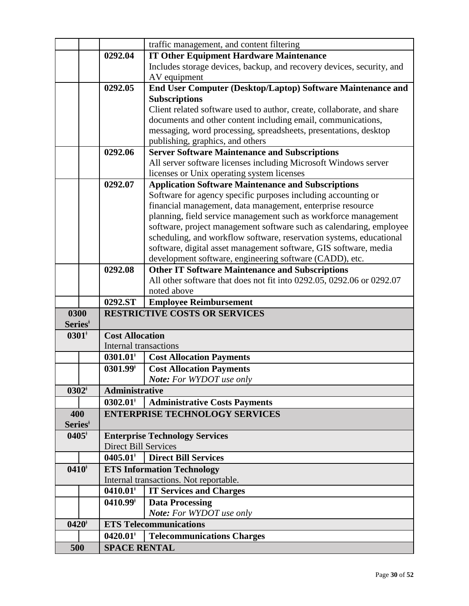|                     |                                               | traffic management, and content filtering                              |
|---------------------|-----------------------------------------------|------------------------------------------------------------------------|
|                     | 0292.04                                       | <b>IT Other Equipment Hardware Maintenance</b>                         |
|                     |                                               | Includes storage devices, backup, and recovery devices, security, and  |
|                     |                                               | AV equipment                                                           |
|                     | 0292.05                                       | End User Computer (Desktop/Laptop) Software Maintenance and            |
|                     |                                               | <b>Subscriptions</b>                                                   |
|                     |                                               | Client related software used to author, create, collaborate, and share |
|                     |                                               | documents and other content including email, communications,           |
|                     |                                               | messaging, word processing, spreadsheets, presentations, desktop       |
|                     |                                               | publishing, graphics, and others                                       |
|                     | 0292.06                                       | <b>Server Software Maintenance and Subscriptions</b>                   |
|                     |                                               | All server software licenses including Microsoft Windows server        |
|                     |                                               | licenses or Unix operating system licenses                             |
|                     | 0292.07                                       | <b>Application Software Maintenance and Subscriptions</b>              |
|                     |                                               | Software for agency specific purposes including accounting or          |
|                     |                                               | financial management, data management, enterprise resource             |
|                     |                                               | planning, field service management such as workforce management        |
|                     |                                               | software, project management software such as calendaring, employee    |
|                     |                                               | scheduling, and workflow software, reservation systems, educational    |
|                     |                                               | software, digital asset management software, GIS software, media       |
|                     |                                               | development software, engineering software (CADD), etc.                |
|                     | 0292.08                                       | <b>Other IT Software Maintenance and Subscriptions</b>                 |
|                     |                                               | All other software that does not fit into 0292.05, 0292.06 or 0292.07  |
|                     |                                               | noted above                                                            |
|                     |                                               |                                                                        |
|                     | 0292.ST                                       | <b>Employee Reimbursement</b>                                          |
| 0300                |                                               | <b>RESTRICTIVE COSTS OR SERVICES</b>                                   |
| Series <sup>‡</sup> |                                               |                                                                        |
| $0301*$             | <b>Cost Allocation</b>                        |                                                                        |
|                     | Internal transactions                         |                                                                        |
|                     | $0301.01$ <sup>*</sup>                        | <b>Cost Allocation Payments</b>                                        |
|                     | $0301.99^{\dagger}$                           | <b>Cost Allocation Payments</b>                                        |
|                     |                                               | Note: For WYDOT use only                                               |
| $0302^{\dagger}$    | <b>Administrative</b>                         |                                                                        |
|                     | $0302.01^*$                                   | <b>Administrative Costs Payments</b>                                   |
| 400                 |                                               | <b>ENTERPRISE TECHNOLOGY SERVICES</b>                                  |
| Series <sup>*</sup> |                                               |                                                                        |
| $0405^{\dagger}$    |                                               | <b>Enterprise Technology Services</b>                                  |
|                     | <b>Direct Bill Services</b>                   |                                                                        |
|                     | $0405.01^{\dagger}$                           | <b>Direct Bill Services</b>                                            |
| $0410*$             |                                               | <b>ETS Information Technology</b>                                      |
|                     |                                               | Internal transactions. Not reportable.                                 |
|                     | $0410.01$ <sup>*</sup>                        | <b>IT Services and Charges</b>                                         |
|                     | $0410.99^{\dagger}$                           | <b>Data Processing</b>                                                 |
|                     |                                               | Note: For WYDOT use only                                               |
| $0420^{\dagger}$    |                                               | <b>ETS Telecommunications</b>                                          |
| 500                 | $0420.01$ <sup>*</sup><br><b>SPACE RENTAL</b> | <b>Telecommunications Charges</b>                                      |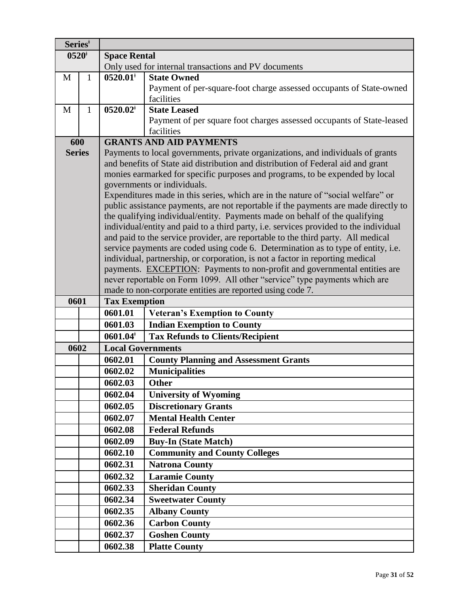| Series <sup>‡</sup> |              |                                                                               |                                                                                                                 |  |  |
|---------------------|--------------|-------------------------------------------------------------------------------|-----------------------------------------------------------------------------------------------------------------|--|--|
|                     | $0520*$      | <b>Space Rental</b>                                                           |                                                                                                                 |  |  |
|                     |              |                                                                               | Only used for internal transactions and PV documents                                                            |  |  |
| M                   | 1            | $0520.01^*$                                                                   | <b>State Owned</b>                                                                                              |  |  |
|                     |              |                                                                               | Payment of per-square-foot charge assessed occupants of State-owned                                             |  |  |
|                     |              |                                                                               | facilities                                                                                                      |  |  |
| M                   | $\mathbf{1}$ | $0520.02^*$                                                                   | <b>State Leased</b>                                                                                             |  |  |
|                     |              |                                                                               | Payment of per square foot charges assessed occupants of State-leased                                           |  |  |
|                     |              |                                                                               | facilities                                                                                                      |  |  |
|                     | 600          |                                                                               | <b>GRANTS AND AID PAYMENTS</b>                                                                                  |  |  |
| <b>Series</b>       |              |                                                                               | Payments to local governments, private organizations, and individuals of grants                                 |  |  |
|                     |              |                                                                               | and benefits of State aid distribution and distribution of Federal aid and grant                                |  |  |
|                     |              |                                                                               | monies earmarked for specific purposes and programs, to be expended by local                                    |  |  |
|                     |              |                                                                               | governments or individuals.<br>Expenditures made in this series, which are in the nature of "social welfare" or |  |  |
|                     |              |                                                                               | public assistance payments, are not reportable if the payments are made directly to                             |  |  |
|                     |              |                                                                               | the qualifying individual/entity. Payments made on behalf of the qualifying                                     |  |  |
|                     |              |                                                                               | individual/entity and paid to a third party, i.e. services provided to the individual                           |  |  |
|                     |              |                                                                               | and paid to the service provider, are reportable to the third party. All medical                                |  |  |
|                     |              |                                                                               | service payments are coded using code 6. Determination as to type of entity, i.e.                               |  |  |
|                     |              | individual, partnership, or corporation, is not a factor in reporting medical |                                                                                                                 |  |  |
|                     |              | payments. EXCEPTION: Payments to non-profit and governmental entities are     |                                                                                                                 |  |  |
|                     |              | never reportable on Form 1099. All other "service" type payments which are    |                                                                                                                 |  |  |
|                     |              |                                                                               | made to non-corporate entities are reported using code 7.                                                       |  |  |
| 0601                |              | <b>Tax Exemption</b>                                                          |                                                                                                                 |  |  |
|                     |              | 0601.01                                                                       | <b>Veteran's Exemption to County</b>                                                                            |  |  |
|                     |              | 0601.03                                                                       | <b>Indian Exemption to County</b>                                                                               |  |  |
|                     |              | 0601.04                                                                       | <b>Tax Refunds to Clients/Recipient</b>                                                                         |  |  |
|                     | 0602         | <b>Local Governments</b>                                                      |                                                                                                                 |  |  |
|                     |              | 0602.01                                                                       | <b>County Planning and Assessment Grants</b>                                                                    |  |  |
|                     |              |                                                                               |                                                                                                                 |  |  |
|                     |              | 0602.02                                                                       | <b>Municipalities</b>                                                                                           |  |  |
|                     |              | 0602.03                                                                       | <b>Other</b>                                                                                                    |  |  |
|                     |              | 0602.04                                                                       | <b>University of Wyoming</b>                                                                                    |  |  |
|                     |              | 0602.05                                                                       | <b>Discretionary Grants</b>                                                                                     |  |  |
|                     |              | 0602.07                                                                       | <b>Mental Health Center</b>                                                                                     |  |  |
|                     |              | 0602.08                                                                       | <b>Federal Refunds</b>                                                                                          |  |  |
|                     |              | 0602.09                                                                       | <b>Buy-In (State Match)</b>                                                                                     |  |  |
|                     |              | 0602.10                                                                       | <b>Community and County Colleges</b>                                                                            |  |  |
|                     |              | 0602.31                                                                       | <b>Natrona County</b>                                                                                           |  |  |
|                     |              | 0602.32                                                                       | <b>Laramie County</b>                                                                                           |  |  |
|                     |              | 0602.33                                                                       | <b>Sheridan County</b>                                                                                          |  |  |
|                     |              | 0602.34                                                                       |                                                                                                                 |  |  |
|                     |              | 0602.35                                                                       | <b>Sweetwater County</b><br><b>Albany County</b>                                                                |  |  |
|                     |              | 0602.36                                                                       |                                                                                                                 |  |  |
|                     |              | 0602.37                                                                       | <b>Carbon County</b><br><b>Goshen County</b>                                                                    |  |  |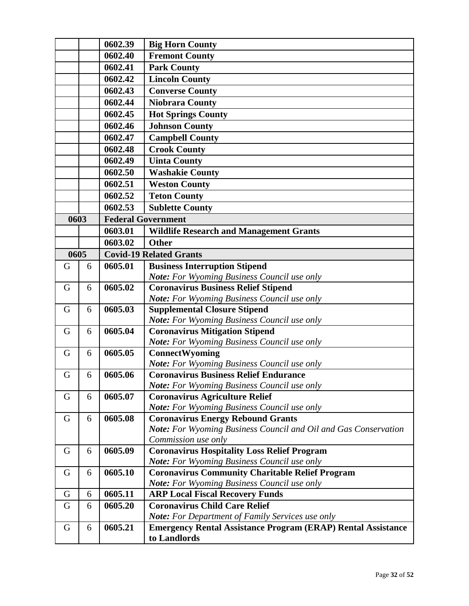|      |   | 0602.39 | <b>Big Horn County</b>                                                                                             |
|------|---|---------|--------------------------------------------------------------------------------------------------------------------|
|      |   | 0602.40 | <b>Fremont County</b>                                                                                              |
|      |   | 0602.41 | <b>Park County</b>                                                                                                 |
|      |   | 0602.42 | <b>Lincoln County</b>                                                                                              |
|      |   | 0602.43 | <b>Converse County</b>                                                                                             |
|      |   | 0602.44 | <b>Niobrara County</b>                                                                                             |
|      |   | 0602.45 | <b>Hot Springs County</b>                                                                                          |
|      |   | 0602.46 | <b>Johnson County</b>                                                                                              |
|      |   | 0602.47 | <b>Campbell County</b>                                                                                             |
|      |   | 0602.48 | <b>Crook County</b>                                                                                                |
|      |   | 0602.49 | <b>Uinta County</b>                                                                                                |
|      |   | 0602.50 | <b>Washakie County</b>                                                                                             |
|      |   | 0602.51 | <b>Weston County</b>                                                                                               |
|      |   | 0602.52 | <b>Teton County</b>                                                                                                |
|      |   | 0602.53 | <b>Sublette County</b>                                                                                             |
| 0603 |   |         | <b>Federal Government</b>                                                                                          |
|      |   | 0603.01 | <b>Wildlife Research and Management Grants</b>                                                                     |
|      |   | 0603.02 | <b>Other</b>                                                                                                       |
| 0605 |   |         | <b>Covid-19 Related Grants</b>                                                                                     |
| G    | 6 | 0605.01 | <b>Business Interruption Stipend</b>                                                                               |
|      |   |         | Note: For Wyoming Business Council use only                                                                        |
| G    | 6 | 0605.02 | <b>Coronavirus Business Relief Stipend</b>                                                                         |
|      |   |         | Note: For Wyoming Business Council use only                                                                        |
| G    | 6 | 0605.03 | <b>Supplemental Closure Stipend</b>                                                                                |
|      |   |         | <b>Note:</b> For Wyoming Business Council use only                                                                 |
| G    | 6 | 0605.04 | <b>Coronavirus Mitigation Stipend</b>                                                                              |
|      |   |         | Note: For Wyoming Business Council use only                                                                        |
| G    | 6 | 0605.05 | ConnectWyoming                                                                                                     |
|      |   |         | <b>Note:</b> For Wyoming Business Council use only                                                                 |
| G    | 6 | 0605.06 | <b>Coronavirus Business Relief Endurance</b>                                                                       |
|      |   |         | <b>Note:</b> For Wyoming Business Council use only                                                                 |
| G    | 6 | 0605.07 | <b>Coronavirus Agriculture Relief</b>                                                                              |
|      |   |         | <b>Note:</b> For Wyoming Business Council use only                                                                 |
| G    | 6 | 0605.08 | <b>Coronavirus Energy Rebound Grants</b><br><b>Note:</b> For Wyoming Business Council and Oil and Gas Conservation |
|      |   |         | Commission use only                                                                                                |
| G    | 6 | 0605.09 | <b>Coronavirus Hospitality Loss Relief Program</b>                                                                 |
|      |   |         | <b>Note:</b> For Wyoming Business Council use only                                                                 |
| G    | 6 | 0605.10 | <b>Coronavirus Community Charitable Relief Program</b>                                                             |
|      |   |         | <b>Note:</b> For Wyoming Business Council use only                                                                 |
| G    | 6 | 0605.11 | <b>ARP Local Fiscal Recovery Funds</b>                                                                             |
| G    | 6 | 0605.20 | <b>Coronavirus Child Care Relief</b>                                                                               |
|      |   |         | <b>Note:</b> For Department of Family Services use only                                                            |
| G    | 6 | 0605.21 | <b>Emergency Rental Assistance Program (ERAP) Rental Assistance</b>                                                |
|      |   |         | to Landlords                                                                                                       |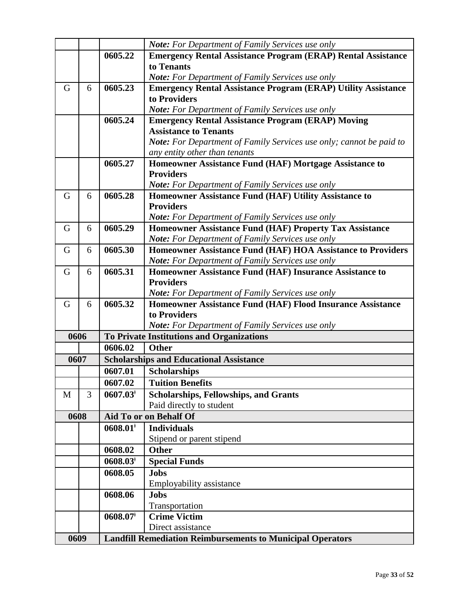|      |   |                        | Note: For Department of Family Services use only                                  |
|------|---|------------------------|-----------------------------------------------------------------------------------|
|      |   | 0605.22                |                                                                                   |
|      |   |                        | <b>Emergency Rental Assistance Program (ERAP) Rental Assistance</b><br>to Tenants |
|      |   |                        |                                                                                   |
|      |   |                        | <b>Note:</b> For Department of Family Services use only                           |
| G    | 6 | 0605.23                | <b>Emergency Rental Assistance Program (ERAP) Utility Assistance</b>              |
|      |   |                        | to Providers                                                                      |
|      |   |                        | <b>Note:</b> For Department of Family Services use only                           |
|      |   | 0605.24                | <b>Emergency Rental Assistance Program (ERAP) Moving</b>                          |
|      |   |                        | <b>Assistance to Tenants</b>                                                      |
|      |   |                        | <b>Note:</b> For Department of Family Services use only; cannot be paid to        |
|      |   |                        | any entity other than tenants                                                     |
|      |   | 0605.27                | Homeowner Assistance Fund (HAF) Mortgage Assistance to                            |
|      |   |                        | <b>Providers</b>                                                                  |
|      |   |                        | <b>Note:</b> For Department of Family Services use only                           |
| G    | 6 | 0605.28                | Homeowner Assistance Fund (HAF) Utility Assistance to                             |
|      |   |                        | <b>Providers</b>                                                                  |
|      |   |                        | <b>Note:</b> For Department of Family Services use only                           |
| G    | 6 | 0605.29                | Homeowner Assistance Fund (HAF) Property Tax Assistance                           |
|      |   |                        | Note: For Department of Family Services use only                                  |
| G    | 6 | 0605.30                | Homeowner Assistance Fund (HAF) HOA Assistance to Providers                       |
|      |   |                        | <b>Note:</b> For Department of Family Services use only                           |
| G    | 6 | 0605.31                | Homeowner Assistance Fund (HAF) Insurance Assistance to                           |
|      |   |                        | <b>Providers</b>                                                                  |
|      |   |                        | Note: For Department of Family Services use only                                  |
| G    | 6 | 0605.32                | Homeowner Assistance Fund (HAF) Flood Insurance Assistance                        |
|      |   |                        | to Providers                                                                      |
|      |   |                        | <b>Note:</b> For Department of Family Services use only                           |
| 0606 |   |                        | To Private Institutions and Organizations                                         |
|      |   | 0606.02                | <b>Other</b>                                                                      |
| 0607 |   |                        | <b>Scholarships and Educational Assistance</b>                                    |
|      |   | 0607.01                | <b>Scholarships</b>                                                               |
|      |   | 0607.02                | <b>Tuition Benefits</b>                                                           |
| M    | 3 | $0607.03*$             | Scholarships, Fellowships, and Grants                                             |
|      |   |                        | Paid directly to student                                                          |
| 0608 |   |                        | Aid To or on Behalf Of                                                            |
|      |   | $0608.01$ <sup>*</sup> | <b>Individuals</b>                                                                |
|      |   |                        | Stipend or parent stipend                                                         |
|      |   | 0608.02                | <b>Other</b>                                                                      |
|      |   |                        |                                                                                   |
|      |   | $0608.03*$             | <b>Special Funds</b>                                                              |
|      |   | 0608.05                | <b>Jobs</b>                                                                       |
|      |   |                        | Employability assistance                                                          |
|      |   | 0608.06                | <b>Jobs</b>                                                                       |
|      |   |                        | Transportation                                                                    |
|      |   | $0608.07$ <sup>*</sup> | <b>Crime Victim</b>                                                               |
|      |   |                        | Direct assistance                                                                 |
| 0609 |   |                        | <b>Landfill Remediation Reimbursements to Municipal Operators</b>                 |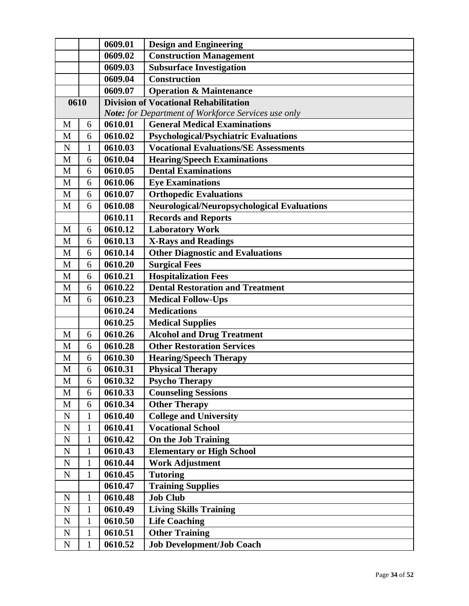|             |              | 0609.01 | <b>Design and Engineering</b>                       |
|-------------|--------------|---------|-----------------------------------------------------|
|             |              | 0609.02 | <b>Construction Management</b>                      |
|             |              | 0609.03 | <b>Subsurface Investigation</b>                     |
|             |              | 0609.04 | <b>Construction</b>                                 |
|             |              | 0609.07 | <b>Operation &amp; Maintenance</b>                  |
| 0610        |              |         | <b>Division of Vocational Rehabilitation</b>        |
|             |              |         | Note: for Department of Workforce Services use only |
| M           | 6            | 0610.01 | <b>General Medical Examinations</b>                 |
| M           | 6            | 0610.02 | <b>Psychological/Psychiatric Evaluations</b>        |
| $\mathbf N$ | $\mathbf{1}$ | 0610.03 | <b>Vocational Evaluations/SE Assessments</b>        |
| M           | 6            | 0610.04 | <b>Hearing/Speech Examinations</b>                  |
| M           | 6            | 0610.05 | <b>Dental Examinations</b>                          |
| M           | 6            | 0610.06 | <b>Eye Examinations</b>                             |
| M           | 6            | 0610.07 | <b>Orthopedic Evaluations</b>                       |
| M           | 6            | 0610.08 | Neurological/Neuropsychological Evaluations         |
|             |              | 0610.11 | <b>Records and Reports</b>                          |
| M           | 6            | 0610.12 | <b>Laboratory Work</b>                              |
| M           | 6            | 0610.13 | <b>X-Rays and Readings</b>                          |
| M           | 6            | 0610.14 | <b>Other Diagnostic and Evaluations</b>             |
| M           | 6            | 0610.20 | <b>Surgical Fees</b>                                |
| M           | 6            | 0610.21 | <b>Hospitalization Fees</b>                         |
| M           | 6            | 0610.22 | <b>Dental Restoration and Treatment</b>             |
| M           | 6            | 0610.23 | <b>Medical Follow-Ups</b>                           |
|             |              | 0610.24 | <b>Medications</b>                                  |
|             |              | 0610.25 | <b>Medical Supplies</b>                             |
| M           | 6            | 0610.26 | <b>Alcohol and Drug Treatment</b>                   |
| M           | 6            | 0610.28 | <b>Other Restoration Services</b>                   |
| M           | 6            | 0610.30 | <b>Hearing/Speech Therapy</b>                       |
| M           | 6            | 0610.31 | <b>Physical Therapy</b>                             |
| M           | 6            | 0610.32 | <b>Psycho Therapy</b>                               |
| M           | 6            | 0610.33 | <b>Counseling Sessions</b>                          |
| $\mathbf M$ | 6            | 0610.34 | <b>Other Therapy</b>                                |
| ${\bf N}$   | 1            | 0610.40 | <b>College and University</b>                       |
| ${\bf N}$   | $\mathbf{1}$ | 0610.41 | <b>Vocational School</b>                            |
| ${\bf N}$   | 1            | 0610.42 | <b>On the Job Training</b>                          |
| ${\bf N}$   | $\mathbf{1}$ | 0610.43 | <b>Elementary or High School</b>                    |
| ${\bf N}$   | 1            | 0610.44 | <b>Work Adjustment</b>                              |
| ${\bf N}$   | $\mathbf{1}$ | 0610.45 | <b>Tutoring</b>                                     |
|             |              | 0610.47 | <b>Training Supplies</b>                            |
| ${\bf N}$   | $\mathbf{1}$ | 0610.48 | <b>Job Club</b>                                     |
| ${\bf N}$   | $\mathbf{1}$ | 0610.49 | <b>Living Skills Training</b>                       |
| ${\bf N}$   | $\mathbf{1}$ | 0610.50 | <b>Life Coaching</b>                                |
| ${\bf N}$   | $\mathbf{1}$ | 0610.51 | <b>Other Training</b>                               |
| ${\bf N}$   | $\mathbf{1}$ | 0610.52 | <b>Job Development/Job Coach</b>                    |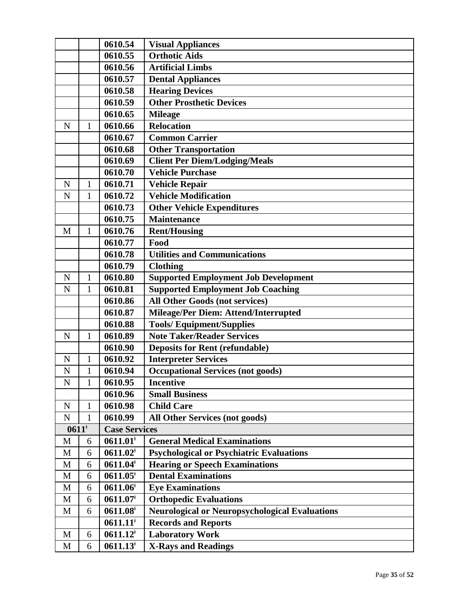|                    |              | 0610.54                | <b>Visual Appliances</b>                              |
|--------------------|--------------|------------------------|-------------------------------------------------------|
|                    |              | 0610.55                | <b>Orthotic Aids</b>                                  |
|                    |              | 0610.56                | <b>Artificial Limbs</b>                               |
|                    |              | 0610.57                | <b>Dental Appliances</b>                              |
|                    |              | 0610.58                | <b>Hearing Devices</b>                                |
|                    |              | 0610.59                | <b>Other Prosthetic Devices</b>                       |
|                    |              | 0610.65                | <b>Mileage</b>                                        |
| N                  | $\mathbf{1}$ | 0610.66                | <b>Relocation</b>                                     |
|                    |              | 0610.67                | <b>Common Carrier</b>                                 |
|                    |              | 0610.68                | <b>Other Transportation</b>                           |
|                    |              | 0610.69                | <b>Client Per Diem/Lodging/Meals</b>                  |
|                    |              | 0610.70                | <b>Vehicle Purchase</b>                               |
| N                  | 1            | 0610.71                | <b>Vehicle Repair</b>                                 |
| N                  | 1            | 0610.72                | <b>Vehicle Modification</b>                           |
|                    |              | 0610.73                | <b>Other Vehicle Expenditures</b>                     |
|                    |              | 0610.75                | <b>Maintenance</b>                                    |
| M                  | $\mathbf{1}$ | 0610.76                | <b>Rent/Housing</b>                                   |
|                    |              | 0610.77                | Food                                                  |
|                    |              | 0610.78                | <b>Utilities and Communications</b>                   |
|                    |              | 0610.79                | <b>Clothing</b>                                       |
| N                  | $\mathbf{1}$ | 0610.80                | <b>Supported Employment Job Development</b>           |
| $\mathbf N$        | 1            | 0610.81                | <b>Supported Employment Job Coaching</b>              |
|                    |              | 0610.86                | <b>All Other Goods (not services)</b>                 |
|                    |              | 0610.87                | Mileage/Per Diem: Attend/Interrupted                  |
|                    |              | 0610.88                | <b>Tools/Equipment/Supplies</b>                       |
| N                  | $\mathbf{1}$ | 0610.89                | <b>Note Taker/Reader Services</b>                     |
|                    |              | 0610.90                | <b>Deposits for Rent (refundable)</b>                 |
| N                  | 1            | 0610.92                | <b>Interpreter Services</b>                           |
| N                  | 1            | 0610.94                | <b>Occupational Services (not goods)</b>              |
| $\overline{\rm N}$ | $\mathbf{1}$ | 0610.95                | <b>Incentive</b>                                      |
|                    |              | 0610.96                | <b>Small Business</b>                                 |
| ${\bf N}$          | $\mathbf{1}$ | 0610.98                | <b>Child Care</b>                                     |
| ${\bf N}$          | $\mathbf{1}$ | 0610.99                | <b>All Other Services (not goods)</b>                 |
| $0611*$            |              | <b>Case Services</b>   |                                                       |
| M                  | 6            | $0611.01*$             | <b>General Medical Examinations</b>                   |
| M                  | 6            | $0611.02*$             | <b>Psychological or Psychiatric Evaluations</b>       |
| M                  | 6            | $0611.04*$             | <b>Hearing or Speech Examinations</b>                 |
| M                  | 6            | $0611.05^*$            | <b>Dental Examinations</b>                            |
| M                  | 6            | $0611.06*$             | <b>Eye Examinations</b>                               |
| M                  | 6            | $0611.07$ <sup>+</sup> | <b>Orthopedic Evaluations</b>                         |
| M                  | 6            | $0611.08^{\dagger}$    | <b>Neurological or Neuropsychological Evaluations</b> |
|                    |              | $0611.11$ <sup>*</sup> | <b>Records and Reports</b>                            |
| M                  | 6            | $0611.12*$             | <b>Laboratory Work</b>                                |
| M                  | 6            | $0611.13^{\dagger}$    | <b>X-Rays and Readings</b>                            |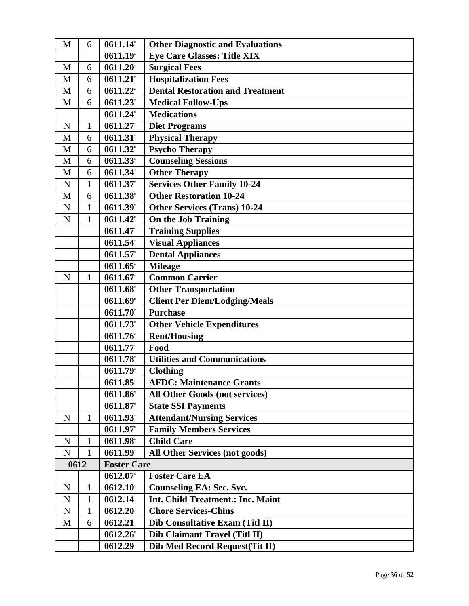| M           | 6            | $0611.14$ <sup>*</sup> | <b>Other Diagnostic and Evaluations</b>  |
|-------------|--------------|------------------------|------------------------------------------|
|             |              | $0611.19*$             | <b>Eye Care Glasses: Title XIX</b>       |
| M           | 6            | $0611.20$ <sup>+</sup> | <b>Surgical Fees</b>                     |
| M           | 6            | $0611.21$ <sup>*</sup> | <b>Hospitalization Fees</b>              |
| M           | 6            | $0611.22$ <sup>+</sup> | <b>Dental Restoration and Treatment</b>  |
| M           | 6            | $0611.23$ <sup>*</sup> | <b>Medical Follow-Ups</b>                |
|             |              | $0611.24$ <sup>*</sup> | <b>Medications</b>                       |
| $\mathbf N$ | 1            | $0611.27$ <sup>+</sup> | <b>Diet Programs</b>                     |
| M           | 6            | $0611.31*$             | <b>Physical Therapy</b>                  |
| M           | 6            | $0611.32$ <sup>*</sup> | <b>Psycho Therapy</b>                    |
| M           | 6            | $0611.33*$             | <b>Counseling Sessions</b>               |
| $\mathbf M$ | 6            | $0611.34$ <sup>*</sup> | <b>Other Therapy</b>                     |
| ${\bf N}$   | 1            | $0611.37$ <sup>+</sup> | <b>Services Other Family 10-24</b>       |
| M           | 6            | $0611.38$ <sup>†</sup> | <b>Other Restoration 10-24</b>           |
| ${\bf N}$   | 1            | $0611.39*$             | <b>Other Services (Trans) 10-24</b>      |
| $\mathbf N$ | $\mathbf{1}$ | $0611.42^{\dagger}$    | On the Job Training                      |
|             |              | $0611.47$ <sup>+</sup> | <b>Training Supplies</b>                 |
|             |              | $0611.54$ <sup>*</sup> | <b>Visual Appliances</b>                 |
|             |              | $0611.57$ <sup>+</sup> | <b>Dental Appliances</b>                 |
|             |              | $0611.65$ <sup>#</sup> | <b>Mileage</b>                           |
| $\mathbf N$ | 1            | $0611.67$ <sup>+</sup> | <b>Common Carrier</b>                    |
|             |              | $0611.68^{\dagger}$    | <b>Other Transportation</b>              |
|             |              | $0611.69$ <sup>+</sup> | <b>Client Per Diem/Lodging/Meals</b>     |
|             |              | $0611.70*$             | <b>Purchase</b>                          |
|             |              | $0611.73$ <sup>*</sup> | <b>Other Vehicle Expenditures</b>        |
|             |              | $0611.76$ <sup>†</sup> | <b>Rent/Housing</b>                      |
|             |              | $0611.77*$             | Food                                     |
|             |              | $0611.78$ <sup>*</sup> | <b>Utilities and Communications</b>      |
|             |              | $0611.79*$             | <b>Clothing</b>                          |
|             |              | $0611.85^{\dagger}$    | <b>AFDC: Maintenance Grants</b>          |
|             |              | $0611.86$ <sup>†</sup> | <b>All Other Goods (not services)</b>    |
|             |              | $0611.87$ <sup>*</sup> | <b>State SSI Payments</b>                |
| $\mathbf N$ | 1            | $0611.93*$             | <b>Attendant/Nursing Services</b>        |
|             |              | $0611.97$ <sup>+</sup> | <b>Family Members Services</b>           |
| ${\bf N}$   | 1            | $0611.98$ <sup>*</sup> | <b>Child Care</b>                        |
| ${\bf N}$   | 1            | $0611.99*$             | <b>All Other Services (not goods)</b>    |
| 0612        |              | <b>Foster Care</b>     |                                          |
|             |              | $0612.07$ <sup>+</sup> | <b>Foster Care EA</b>                    |
| ${\bf N}$   | 1            | $0612.10$ <sup>*</sup> | <b>Counseling EA: Sec. Svc.</b>          |
| ${\bf N}$   | 1            | 0612.14                | <b>Int. Child Treatment.: Inc. Maint</b> |
| $\mathbf N$ | 1            | 0612.20                | <b>Chore Services-Chins</b>              |
| M           | 6            | 0612.21                | Dib Consultative Exam (Titl II)          |
|             |              | $0612.26^{\dagger}$    | Dib Claimant Travel (Titl II)            |
|             |              | 0612.29                | Dib Med Record Request(Tit II)           |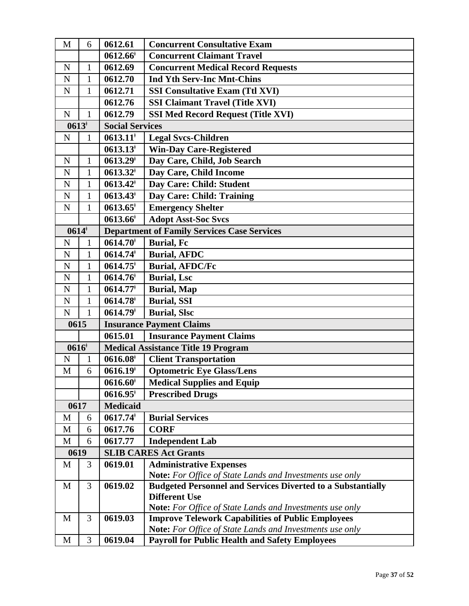| M            | 6              | 0612.61                | <b>Concurrent Consultative Exam</b>                                |  |  |
|--------------|----------------|------------------------|--------------------------------------------------------------------|--|--|
|              |                | $0612.66^{\dagger}$    | <b>Concurrent Claimant Travel</b>                                  |  |  |
| $\mathbf N$  | 1              | 0612.69                | <b>Concurrent Medical Record Requests</b>                          |  |  |
| $\mathbf N$  | $\mathbf{1}$   | 0612.70                | <b>Ind Yth Serv-Inc Mnt-Chins</b>                                  |  |  |
| $\mathbf N$  | 1              | 0612.71                | <b>SSI Consultative Exam (Ttl XVI)</b>                             |  |  |
|              |                | 0612.76                | <b>SSI Claimant Travel (Title XVI)</b>                             |  |  |
| $\mathbf N$  | $\mathbf{1}$   | 0612.79                | <b>SSI Med Record Request (Title XVI)</b>                          |  |  |
| $0613*$      |                | <b>Social Services</b> |                                                                    |  |  |
| ${\bf N}$    | 1              | $0613.11*$             | <b>Legal Svcs-Children</b>                                         |  |  |
|              |                | $0613.13$ <sup>*</sup> | <b>Win-Day Care-Registered</b>                                     |  |  |
| $\mathbf N$  | $\mathbf{1}$   | $0613.29$ <sup>*</sup> | Day Care, Child, Job Search                                        |  |  |
| $\mathbf N$  | $\mathbf{1}$   | $0613.32^*$            | Day Care, Child Income                                             |  |  |
| ${\bf N}$    | $\mathbf{1}$   | $0613.42^*$            | Day Care: Child: Student                                           |  |  |
| ${\bf N}$    | $\mathbf{1}$   | $0613.43^{\dagger}$    | Day Care: Child: Training                                          |  |  |
| $\mathbf N$  | $\mathbf{1}$   | $0613.65^{\dagger}$    | <b>Emergency Shelter</b>                                           |  |  |
|              |                | $0613.66^{\dagger}$    | <b>Adopt Asst-Soc Svcs</b>                                         |  |  |
| $0614*$      |                |                        | <b>Department of Family Services Case Services</b>                 |  |  |
| N            | $\mathbf{1}$   | $0614.70*$             | <b>Burial</b> , Fc                                                 |  |  |
| ${\bf N}$    | $\mathbf{1}$   | $0614.74$ <sup>*</sup> | <b>Burial, AFDC</b>                                                |  |  |
| $\mathbf N$  | $\mathbf{1}$   | $0614.75$ <sup>+</sup> | <b>Burial, AFDC/Fc</b>                                             |  |  |
| ${\bf N}$    | 1              | 0614.76                | <b>Burial, Lsc</b>                                                 |  |  |
| $\mathbf N$  | $\mathbf{1}$   | $0614.77*$             | <b>Burial</b> , Map                                                |  |  |
| ${\bf N}$    | 1              | $0614.78$ <sup>*</sup> | <b>Burial, SSI</b>                                                 |  |  |
| $\mathbf N$  | $\mathbf{1}$   | $0614.79$ <sup>+</sup> | <b>Burial, Slsc</b>                                                |  |  |
| 0615         |                |                        | <b>Insurance Payment Claims</b>                                    |  |  |
|              |                | 0615.01                | <b>Insurance Payment Claims</b>                                    |  |  |
| $0616*$      |                |                        | <b>Medical Assistance Title 19 Program</b>                         |  |  |
| $\mathbf N$  | 1              | $0616.08$ <sup>*</sup> | <b>Client Transportation</b>                                       |  |  |
| $\mathbf{M}$ | 6              | 0616.19 <sup>†</sup>   | <b>Optometric Eye Glass/Lens</b>                                   |  |  |
|              |                | $0616.60*$             | <b>Medical Supplies and Equip</b>                                  |  |  |
|              |                | $0616.95$ <sup>*</sup> | <b>Prescribed Drugs</b>                                            |  |  |
| 0617         |                | <b>Medicaid</b>        |                                                                    |  |  |
| M            | 6              | 0617.74                | <b>Burial Services</b>                                             |  |  |
| M            | 6              | 0617.76                | <b>CORF</b>                                                        |  |  |
| M            | 6              | 0617.77                | <b>Independent Lab</b>                                             |  |  |
| 0619         |                |                        | <b>SLIB CARES Act Grants</b>                                       |  |  |
| M            | 3              | 0619.01                | <b>Administrative Expenses</b>                                     |  |  |
|              |                |                        | <b>Note:</b> For Office of State Lands and Investments use only    |  |  |
| M            | $\overline{3}$ | 0619.02                | <b>Budgeted Personnel and Services Diverted to a Substantially</b> |  |  |
|              |                |                        | <b>Different Use</b>                                               |  |  |
|              |                |                        | <b>Note:</b> For Office of State Lands and Investments use only    |  |  |
| M            | 3              | 0619.03                | <b>Improve Telework Capabilities of Public Employees</b>           |  |  |
|              | 3              | 0619.04                | <b>Note:</b> For Office of State Lands and Investments use only    |  |  |
| M            |                |                        | <b>Payroll for Public Health and Safety Employees</b>              |  |  |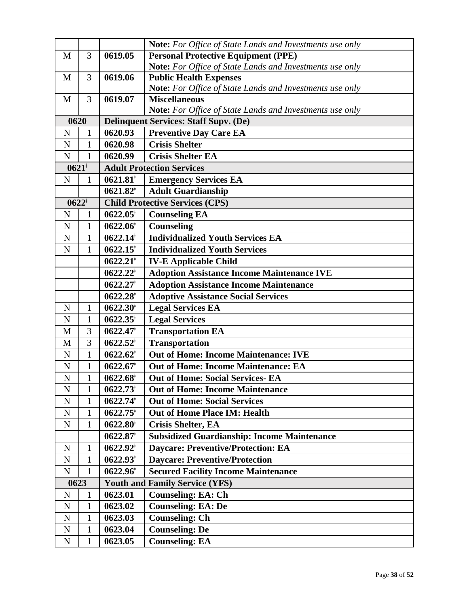|             |              |                        | Note: For Office of State Lands and Investments use only        |
|-------------|--------------|------------------------|-----------------------------------------------------------------|
| M           | 3            | 0619.05                | <b>Personal Protective Equipment (PPE)</b>                      |
|             |              |                        | Note: For Office of State Lands and Investments use only        |
| M           | 3            | 0619.06                | <b>Public Health Expenses</b>                                   |
|             |              |                        | Note: For Office of State Lands and Investments use only        |
| M           | 3            | 0619.07                | <b>Miscellaneous</b>                                            |
|             |              |                        | <b>Note:</b> For Office of State Lands and Investments use only |
| 0620        |              |                        | <b>Delinquent Services: Staff Supv. (De)</b>                    |
| N           | $\mathbf{1}$ | 0620.93                | <b>Preventive Day Care EA</b>                                   |
| $\mathbf N$ | 1            | 0620.98                | <b>Crisis Shelter</b>                                           |
| $\mathbf N$ | $\mathbf{1}$ | 0620.99                | <b>Crisis Shelter EA</b>                                        |
| $0621^*$    |              |                        | <b>Adult Protection Services</b>                                |
| $\mathbf N$ | $\mathbf{1}$ | $0621.81$ <sup>*</sup> | <b>Emergency Services EA</b>                                    |
|             |              | $0621.82$ <sup>*</sup> | <b>Adult Guardianship</b>                                       |
| $0622^*$    |              |                        | <b>Child Protective Services (CPS)</b>                          |
| $\mathbf N$ | $\mathbf{1}$ | $0622.05^*$            | <b>Counseling EA</b>                                            |
| $\mathbf N$ | $\mathbf{1}$ | $0622.06$ <sup>†</sup> | Counseling                                                      |
| $\mathbf N$ | $\mathbf{1}$ | $0622.14$ <sup>*</sup> | <b>Individualized Youth Services EA</b>                         |
| ${\bf N}$   | 1            | $0622.15$ <sup>*</sup> | <b>Individualized Youth Services</b>                            |
|             |              | $0622.21$ <sup>*</sup> | <b>IV-E Applicable Child</b>                                    |
|             |              | $0622.22^*$            | <b>Adoption Assistance Income Maintenance IVE</b>               |
|             |              | $0622.27$ <sup>*</sup> | <b>Adoption Assistance Income Maintenance</b>                   |
|             |              | $0622.28^{\dagger}$    | <b>Adoptive Assistance Social Services</b>                      |
| $\mathbf N$ | 1            | $0622.30*$             | <b>Legal Services EA</b>                                        |
| ${\bf N}$   | 1            | $0622.35^{\dagger}$    | <b>Legal Services</b>                                           |
| M           | 3            | $0622.47*$             | <b>Transportation EA</b>                                        |
| M           | 3            | $0622.52^*$            | <b>Transportation</b>                                           |
| $\mathbf N$ | $\mathbf{1}$ | $0622.62^*$            | <b>Out of Home: Income Maintenance: IVE</b>                     |
| $\mathbf N$ | $\mathbf{1}$ | $0622.67$ <sup>+</sup> | <b>Out of Home: Income Maintenance: EA</b>                      |
| ${\bf N}$   | 1            | $0622.68^{\dagger}$    | <b>Out of Home: Social Services- EA</b>                         |
| ${\bf N}$   | $\mathbf{1}$ | $0622.73$ <sup>*</sup> | <b>Out of Home: Income Maintenance</b>                          |
| ${\bf N}$   | 1            | $0622.74$ <sup>*</sup> | <b>Out of Home: Social Services</b>                             |
| ${\bf N}$   | $\mathbf{1}$ | $0622.75^{\dagger}$    | <b>Out of Home Place IM: Health</b>                             |
| ${\bf N}$   | 1            | $0622.80^{\dagger}$    | <b>Crisis Shelter, EA</b>                                       |
|             |              | $0622.87$ <sup>*</sup> | <b>Subsidized Guardianship: Income Maintenance</b>              |
| $\mathbf N$ | 1            | $0622.92^*$            | <b>Daycare: Preventive/Protection: EA</b>                       |
| ${\bf N}$   | $\mathbf{1}$ | $0622.93^{\dagger}$    | <b>Daycare: Preventive/Protection</b>                           |
| ${\bf N}$   | 1            | $0622.96^{\dagger}$    | <b>Secured Facility Income Maintenance</b>                      |
| 0623        |              |                        | <b>Youth and Family Service (YFS)</b>                           |
| ${\bf N}$   | 1            | 0623.01                | <b>Counseling: EA: Ch</b>                                       |
| ${\bf N}$   | 1            | 0623.02                | <b>Counseling: EA: De</b>                                       |
| ${\bf N}$   | $\mathbf{1}$ | 0623.03                | <b>Counseling: Ch</b>                                           |
| ${\bf N}$   | 1            | 0623.04                | <b>Counseling: De</b>                                           |
| ${\bf N}$   | 1            | 0623.05                | <b>Counseling: EA</b>                                           |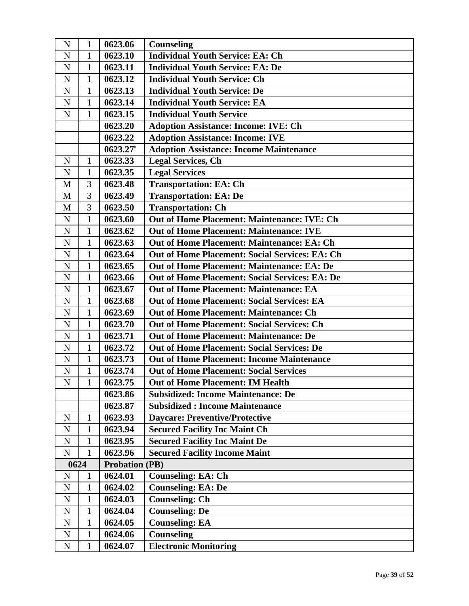| N           | $\mathbf{1}$   | 0623.06                | <b>Counseling</b>                                     |
|-------------|----------------|------------------------|-------------------------------------------------------|
| N           | 1              | 0623.10                | <b>Individual Youth Service: EA: Ch</b>               |
| $\mathbf N$ | 1              | 0623.11                | <b>Individual Youth Service: EA: De</b>               |
| ${\bf N}$   | $\mathbf{1}$   | 0623.12                | <b>Individual Youth Service: Ch</b>                   |
| ${\bf N}$   | 1              | 0623.13                | <b>Individual Youth Service: De</b>                   |
| ${\bf N}$   | $\mathbf{1}$   | 0623.14                | <b>Individual Youth Service: EA</b>                   |
| $\mathbf N$ | $\mathbf{1}$   | 0623.15                | <b>Individual Youth Service</b>                       |
|             |                | 0623.20                | <b>Adoption Assistance: Income: IVE: Ch</b>           |
|             |                | 0623.22                | <b>Adoption Assistance: Income: IVE</b>               |
|             |                | $0623.27$ <sup>+</sup> | <b>Adoption Assistance: Income Maintenance</b>        |
| $\mathbf N$ | $\mathbf{1}$   | 0623.33                | <b>Legal Services, Ch</b>                             |
| ${\bf N}$   | $\mathbf{1}$   | 0623.35                | <b>Legal Services</b>                                 |
| M           | 3              | 0623.48                | <b>Transportation: EA: Ch</b>                         |
| M           | 3              | 0623.49                | <b>Transportation: EA: De</b>                         |
| M           | $\overline{3}$ | 0623.50                | <b>Transportation: Ch</b>                             |
| ${\bf N}$   | $\mathbf{1}$   | 0623.60                | Out of Home Placement: Maintenance: IVE: Ch           |
| ${\bf N}$   | $\mathbf{1}$   | 0623.62                | <b>Out of Home Placement: Maintenance: IVE</b>        |
| ${\bf N}$   | $\mathbf{1}$   | 0623.63                | Out of Home Placement: Maintenance: EA: Ch            |
| ${\bf N}$   | $\mathbf{1}$   | 0623.64                | <b>Out of Home Placement: Social Services: EA: Ch</b> |
| $\mathbf N$ | $\mathbf{1}$   | 0623.65                | <b>Out of Home Placement: Maintenance: EA: De</b>     |
| ${\bf N}$   | $\mathbf{1}$   | 0623.66                | <b>Out of Home Placement: Social Services: EA: De</b> |
| ${\bf N}$   | $\mathbf{1}$   | 0623.67                | <b>Out of Home Placement: Maintenance: EA</b>         |
| ${\bf N}$   | $\mathbf{1}$   | 0623.68                | <b>Out of Home Placement: Social Services: EA</b>     |
| ${\bf N}$   | $\mathbf{1}$   | 0623.69                | <b>Out of Home Placement: Maintenance: Ch</b>         |
| ${\bf N}$   | $\mathbf{1}$   | 0623.70                | <b>Out of Home Placement: Social Services: Ch</b>     |
| $\mathbf N$ | $\mathbf{1}$   | 0623.71                | <b>Out of Home Placement: Maintenance: De</b>         |
| ${\bf N}$   | $\mathbf{1}$   | 0623.72                | <b>Out of Home Placement: Social Services: De</b>     |
| ${\bf N}$   | $\mathbf{1}$   | 0623.73                | <b>Out of Home Placement: Income Maintenance</b>      |
| ${\bf N}$   | $\mathbf{1}$   | 0623.74                | <b>Out of Home Placement: Social Services</b>         |
| $\mathbf N$ | $\mathbf{1}$   | 0623.75                | <b>Out of Home Placement: IM Health</b>               |
|             |                | 0623.86                | <b>Subsidized: Income Maintenance: De</b>             |
|             |                | 0623.87                | <b>Subsidized: Income Maintenance</b>                 |
| $\mathbf N$ | $\mathbf{1}$   | 0623.93                | <b>Daycare: Preventive/Protective</b>                 |
| ${\bf N}$   | $\mathbf{1}$   | 0623.94                | <b>Secured Facility Inc Maint Ch</b>                  |
| $\mathbf N$ | $\mathbf{1}$   | 0623.95                | <b>Secured Facility Inc Maint De</b>                  |
| ${\bf N}$   | $\mathbf{1}$   | 0623.96                | <b>Secured Facility Income Maint</b>                  |
| 0624        |                | <b>Probation (PB)</b>  |                                                       |
| $\mathbf N$ | 1              | 0624.01                | <b>Counseling: EA: Ch</b>                             |
| ${\bf N}$   | $\mathbf{1}$   | 0624.02                | <b>Counseling: EA: De</b>                             |
| ${\bf N}$   | 1              | 0624.03                | <b>Counseling: Ch</b>                                 |
| ${\bf N}$   | $\mathbf{1}$   | 0624.04                | <b>Counseling: De</b>                                 |
| ${\bf N}$   | $\mathbf{1}$   | 0624.05                | <b>Counseling: EA</b>                                 |
| ${\bf N}$   | $\mathbf{1}$   | 0624.06                | <b>Counseling</b>                                     |
| ${\bf N}$   | $\mathbf{1}$   | 0624.07                | <b>Electronic Monitoring</b>                          |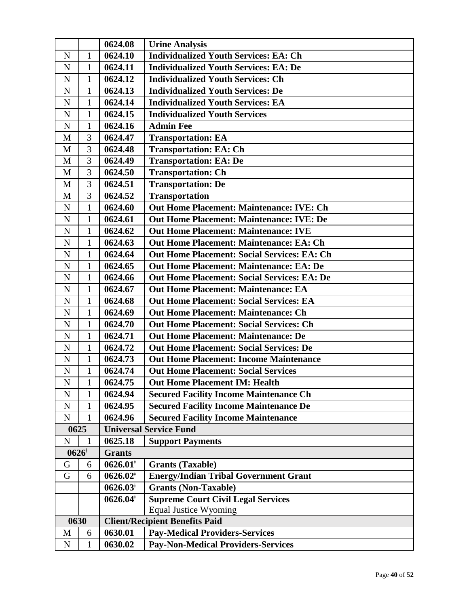|                |              | 0624.08                | <b>Urine Analysis</b>                              |
|----------------|--------------|------------------------|----------------------------------------------------|
| $\mathbf N$    | $\mathbf{1}$ | 0624.10                | <b>Individualized Youth Services: EA: Ch</b>       |
| ${\bf N}$      | 1            | 0624.11                | <b>Individualized Youth Services: EA: De</b>       |
| ${\bf N}$      | $\mathbf{1}$ | 0624.12                | <b>Individualized Youth Services: Ch</b>           |
| ${\bf N}$      | 1            | 0624.13                | <b>Individualized Youth Services: De</b>           |
| ${\bf N}$      | 1            | 0624.14                | <b>Individualized Youth Services: EA</b>           |
| $\mathbf N$    | $\mathbf{1}$ | 0624.15                | <b>Individualized Youth Services</b>               |
| ${\bf N}$      | 1            | 0624.16                | <b>Admin Fee</b>                                   |
| M              | 3            | 0624.47                | <b>Transportation: EA</b>                          |
| M              | 3            | 0624.48                | <b>Transportation: EA: Ch</b>                      |
| M              | 3            | 0624.49                | <b>Transportation: EA: De</b>                      |
| M              | 3            | 0624.50                | <b>Transportation: Ch</b>                          |
| M              | 3            | 0624.51                | <b>Transportation: De</b>                          |
| M              | 3            | 0624.52                | <b>Transportation</b>                              |
| ${\bf N}$      | $\mathbf{1}$ | 0624.60                | <b>Out Home Placement: Maintenance: IVE: Ch</b>    |
| ${\bf N}$      | 1            | 0624.61                | <b>Out Home Placement: Maintenance: IVE: De</b>    |
| ${\bf N}$      | $\mathbf{1}$ | 0624.62                | <b>Out Home Placement: Maintenance: IVE</b>        |
| $\mathbf N$    | $\mathbf{1}$ | 0624.63                | <b>Out Home Placement: Maintenance: EA: Ch</b>     |
| $\mathbf N$    | $\mathbf{1}$ | 0624.64                | <b>Out Home Placement: Social Services: EA: Ch</b> |
| ${\bf N}$      | $\mathbf{1}$ | 0624.65                | <b>Out Home Placement: Maintenance: EA: De</b>     |
| $\overline{N}$ | $\mathbf{1}$ | 0624.66                | <b>Out Home Placement: Social Services: EA: De</b> |
| N              | $\mathbf{1}$ | 0624.67                | <b>Out Home Placement: Maintenance: EA</b>         |
| ${\bf N}$      | $\mathbf{1}$ | 0624.68                | <b>Out Home Placement: Social Services: EA</b>     |
| ${\bf N}$      | $\mathbf{1}$ | 0624.69                | <b>Out Home Placement: Maintenance: Ch</b>         |
| ${\bf N}$      | 1            | 0624.70                | <b>Out Home Placement: Social Services: Ch</b>     |
| $\overline{N}$ | $\mathbf{1}$ | 0624.71                | <b>Out Home Placement: Maintenance: De</b>         |
| ${\bf N}$      | 1            | 0624.72                | <b>Out Home Placement: Social Services: De</b>     |
| ${\bf N}$      | $\mathbf{1}$ | 0624.73                | <b>Out Home Placement: Income Maintenance</b>      |
| ${\bf N}$      | $\mathbf{1}$ | 0624.74                | <b>Out Home Placement: Social Services</b>         |
| N              | $\mathbf{1}$ | 0624.75                | <b>Out Home Placement IM: Health</b>               |
| N              | 1            | 0624.94                | <b>Secured Facility Income Maintenance Ch</b>      |
| $\mathbf N$    | 1            | 0624.95                | <b>Secured Facility Income Maintenance De</b>      |
| ${\bf N}$      | $\mathbf{1}$ | 0624.96                | <b>Secured Facility Income Maintenance</b>         |
| 0625           |              |                        | <b>Universal Service Fund</b>                      |
| $\mathbf N$    | 1            | 0625.18                | <b>Support Payments</b>                            |
| $0626*$        |              | <b>Grants</b>          |                                                    |
| G              | 6            | $0626.01*$             | <b>Grants (Taxable)</b>                            |
| G              | 6            | $0626.02$ <sup>*</sup> | <b>Energy/Indian Tribal Government Grant</b>       |
|                |              | $0626.03*$             | Grants (Non-Taxable)                               |
|                |              | $0626.04^*$            | <b>Supreme Court Civil Legal Services</b>          |
|                |              |                        | <b>Equal Justice Wyoming</b>                       |
| 0630           |              |                        | <b>Client/Recipient Benefits Paid</b>              |
| M              | 6            | 0630.01                | <b>Pay-Medical Providers-Services</b>              |
| $\mathbf N$    | 1            | 0630.02                | <b>Pay-Non-Medical Providers-Services</b>          |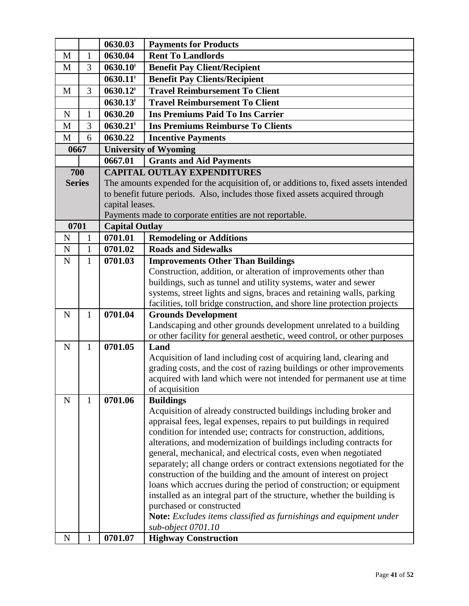|               |              | 0630.03                | <b>Payments for Products</b>                                                                                                              |
|---------------|--------------|------------------------|-------------------------------------------------------------------------------------------------------------------------------------------|
| M             | $\mathbf{1}$ | 0630.04                | <b>Rent To Landlords</b>                                                                                                                  |
| M             | 3            | $0630.10$ <sup>*</sup> | <b>Benefit Pay Client/Recipient</b>                                                                                                       |
|               |              | $0630.11$ <sup>*</sup> | <b>Benefit Pay Clients/Recipient</b>                                                                                                      |
| M             | 3            | $0630.12$ <sup>*</sup> | <b>Travel Reimbursement To Client</b>                                                                                                     |
|               |              | $0630.13$ <sup>*</sup> | <b>Travel Reimbursement To Client</b>                                                                                                     |
| $\mathbf N$   | $\mathbf{1}$ | 0630.20                | <b>Ins Premiums Paid To Ins Carrier</b>                                                                                                   |
| M             | 3            | $0630.21$ <sup>*</sup> | <b>Ins Premiums Reimburse To Clients</b>                                                                                                  |
| M             | 6            | 0630.22                | <b>Incentive Payments</b>                                                                                                                 |
| 0667          |              |                        | <b>University of Wyoming</b>                                                                                                              |
|               |              | 0667.01                | <b>Grants and Aid Payments</b>                                                                                                            |
| 700           |              |                        | <b>CAPITAL OUTLAY EXPENDITURES</b>                                                                                                        |
| <b>Series</b> |              |                        | The amounts expended for the acquisition of, or additions to, fixed assets intended                                                       |
|               |              |                        | to benefit future periods. Also, includes those fixed assets acquired through                                                             |
|               |              | capital leases.        |                                                                                                                                           |
|               |              |                        | Payments made to corporate entities are not reportable.                                                                                   |
| 0701          |              | <b>Capital Outlay</b>  |                                                                                                                                           |
| $\mathbf N$   | $\mathbf{1}$ | 0701.01                | <b>Remodeling or Additions</b>                                                                                                            |
| $\mathbf N$   | $\mathbf{1}$ | 0701.02                | <b>Roads and Sidewalks</b>                                                                                                                |
| $\mathbf N$   | $\mathbf{1}$ | 0701.03                | <b>Improvements Other Than Buildings</b>                                                                                                  |
|               |              |                        | Construction, addition, or alteration of improvements other than<br>buildings, such as tunnel and utility systems, water and sewer        |
|               |              |                        | systems, street lights and signs, braces and retaining walls, parking                                                                     |
|               |              |                        | facilities, toll bridge construction, and shore line protection projects                                                                  |
| $\mathbf N$   | $\mathbf{1}$ | 0701.04                | <b>Grounds Development</b>                                                                                                                |
|               |              |                        | Landscaping and other grounds development unrelated to a building                                                                         |
|               |              |                        | or other facility for general aesthetic, weed control, or other purposes                                                                  |
| $\mathbf N$   | $\mathbf{1}$ | 0701.05                | Land                                                                                                                                      |
|               |              |                        | Acquisition of land including cost of acquiring land, clearing and                                                                        |
|               |              |                        | grading costs, and the cost of razing buildings or other improvements                                                                     |
|               |              |                        | acquired with land which were not intended for permanent use at time                                                                      |
|               |              |                        | of acquisition                                                                                                                            |
| $\mathbf N$   | 1            | 0701.06                | <b>Buildings</b>                                                                                                                          |
|               |              |                        | Acquisition of already constructed buildings including broker and<br>appraisal fees, legal expenses, repairs to put buildings in required |
|               |              |                        | condition for intended use; contracts for construction, additions,                                                                        |
|               |              |                        | alterations, and modernization of buildings including contracts for                                                                       |
|               |              |                        | general, mechanical, and electrical costs, even when negotiated                                                                           |
|               |              |                        | separately; all change orders or contract extensions negotiated for the                                                                   |
|               |              |                        | construction of the building and the amount of interest on project                                                                        |
|               |              |                        | loans which accrues during the period of construction; or equipment                                                                       |
|               |              |                        | installed as an integral part of the structure, whether the building is                                                                   |
|               |              |                        | purchased or constructed                                                                                                                  |
|               |              |                        | Note: Excludes items classified as furnishings and equipment under                                                                        |
|               |              | 0701.07                | sub-object 0701.10                                                                                                                        |
| N             | 1            |                        | <b>Highway Construction</b>                                                                                                               |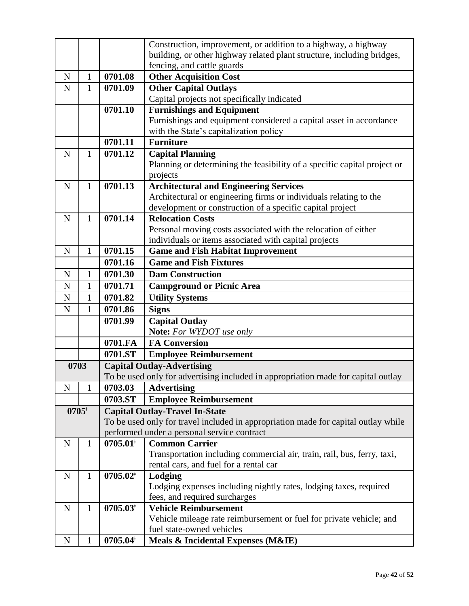|                |              |                        | Construction, improvement, or addition to a highway, a highway                     |
|----------------|--------------|------------------------|------------------------------------------------------------------------------------|
|                |              |                        | building, or other highway related plant structure, including bridges,             |
|                |              |                        | fencing, and cattle guards                                                         |
| $\mathbf N$    | $\mathbf{1}$ | 0701.08                | <b>Other Acquisition Cost</b>                                                      |
| N              | 1            | 0701.09                | <b>Other Capital Outlays</b>                                                       |
|                |              |                        | Capital projects not specifically indicated                                        |
|                |              | 0701.10                | <b>Furnishings and Equipment</b>                                                   |
|                |              |                        | Furnishings and equipment considered a capital asset in accordance                 |
|                |              |                        | with the State's capitalization policy                                             |
|                |              | 0701.11                | <b>Furniture</b>                                                                   |
| $\mathbf N$    | 1            | 0701.12                | <b>Capital Planning</b>                                                            |
|                |              |                        | Planning or determining the feasibility of a specific capital project or           |
|                |              |                        | projects                                                                           |
| $\mathbf N$    | 1            | 0701.13                | <b>Architectural and Engineering Services</b>                                      |
|                |              |                        | Architectural or engineering firms or individuals relating to the                  |
|                |              |                        | development or construction of a specific capital project                          |
| N              | $\mathbf{1}$ | 0701.14                | <b>Relocation Costs</b>                                                            |
|                |              |                        | Personal moving costs associated with the relocation of either                     |
|                |              |                        | individuals or items associated with capital projects                              |
| $\mathbf N$    | 1            | 0701.15                | <b>Game and Fish Habitat Improvement</b>                                           |
|                |              | 0701.16                | <b>Game and Fish Fixtures</b>                                                      |
| $\mathbf N$    | $\mathbf{1}$ | 0701.30                | <b>Dam Construction</b>                                                            |
| $\mathbf N$    | 1            | 0701.71                | <b>Campground or Picnic Area</b>                                                   |
| N              | $\mathbf{1}$ | 0701.82                | <b>Utility Systems</b>                                                             |
| N              | 1            | 0701.86                | <b>Signs</b>                                                                       |
|                |              | 0701.99                | <b>Capital Outlay</b>                                                              |
|                |              |                        | Note: For WYDOT use only                                                           |
|                |              | 0701.FA                | <b>FA Conversion</b>                                                               |
|                |              | 0701.ST                | <b>Employee Reimbursement</b>                                                      |
| 0703           |              |                        | <b>Capital Outlay-Advertising</b>                                                  |
|                |              |                        | To be used only for advertising included in appropriation made for capital outlay  |
| ${\bf N}$      | 1            | 0703.03                | <b>Advertising</b>                                                                 |
|                |              | 0703.ST                | <b>Employee Reimbursement</b>                                                      |
| $0705^{\circ}$ |              |                        | <b>Capital Outlay-Travel In-State</b>                                              |
|                |              |                        | To be used only for travel included in appropriation made for capital outlay while |
|                |              |                        | performed under a personal service contract                                        |
| ${\bf N}$      | $\mathbf{1}$ | $0705.01$ <sup>*</sup> | <b>Common Carrier</b>                                                              |
|                |              |                        | Transportation including commercial air, train, rail, bus, ferry, taxi,            |
|                |              |                        | rental cars, and fuel for a rental car                                             |
| $\mathbf N$    | $\mathbf{1}$ | $0705.02*$             | Lodging                                                                            |
|                |              |                        | Lodging expenses including nightly rates, lodging taxes, required                  |
|                |              |                        | fees, and required surcharges                                                      |
| ${\bf N}$      | $\mathbf{1}$ | $0705.03^{\dagger}$    | <b>Vehicle Reimbursement</b>                                                       |
|                |              |                        | Vehicle mileage rate reimbursement or fuel for private vehicle; and                |
|                |              |                        | fuel state-owned vehicles                                                          |
| ${\bf N}$      | 1            | $0705.04*$             | Meals & Incidental Expenses (M&IE)                                                 |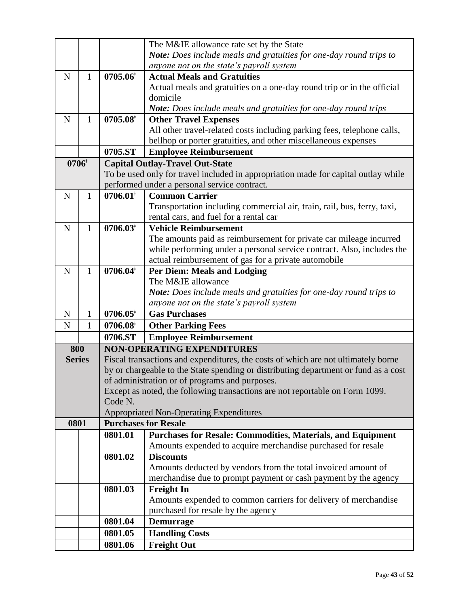|               |              |                        | The M&IE allowance rate set by the State                                            |
|---------------|--------------|------------------------|-------------------------------------------------------------------------------------|
|               |              |                        | Note: Does include meals and gratuities for one-day round trips to                  |
|               |              |                        | anyone not on the state's payroll system                                            |
| $\mathbf N$   | $\mathbf{1}$ | 0705.06                | <b>Actual Meals and Gratuities</b>                                                  |
|               |              |                        |                                                                                     |
|               |              |                        | Actual meals and gratuities on a one-day round trip or in the official              |
|               |              |                        | domicile                                                                            |
|               |              |                        | Note: Does include meals and gratuities for one-day round trips                     |
| N             | 1            | $0705.08$ <sup>*</sup> | <b>Other Travel Expenses</b>                                                        |
|               |              |                        | All other travel-related costs including parking fees, telephone calls,             |
|               |              |                        | bellhop or porter gratuities, and other miscellaneous expenses                      |
|               |              | 0705.ST                | <b>Employee Reimbursement</b>                                                       |
| $0706*$       |              |                        | <b>Capital Outlay-Travel Out-State</b>                                              |
|               |              |                        | To be used only for travel included in appropriation made for capital outlay while  |
|               |              |                        | performed under a personal service contract.                                        |
| $\mathbf N$   | $\mathbf{1}$ | $0706.01$ <sup>*</sup> | <b>Common Carrier</b>                                                               |
|               |              |                        | Transportation including commercial air, train, rail, bus, ferry, taxi,             |
|               |              |                        | rental cars, and fuel for a rental car                                              |
| $\mathbf N$   | $\mathbf{1}$ | $0706.03*$             | <b>Vehicle Reimbursement</b>                                                        |
|               |              |                        | The amounts paid as reimbursement for private car mileage incurred                  |
|               |              |                        | while performing under a personal service contract. Also, includes the              |
|               |              |                        | actual reimbursement of gas for a private automobile                                |
| $\mathbf N$   | 1            | $0706.04*$             | <b>Per Diem: Meals and Lodging</b>                                                  |
|               |              |                        | The M&IE allowance                                                                  |
|               |              |                        | Note: Does include meals and gratuities for one-day round trips to                  |
|               |              |                        | anyone not on the state's payroll system                                            |
| N             | 1            | $0706.05^*$            | <b>Gas Purchases</b>                                                                |
| N             | $\mathbf{1}$ | 0706.08                | <b>Other Parking Fees</b>                                                           |
|               |              | 0706.ST                | <b>Employee Reimbursement</b>                                                       |
| 800           |              |                        | <b>NON-OPERATING EXPENDITURES</b>                                                   |
| <b>Series</b> |              |                        | Fiscal transactions and expenditures, the costs of which are not ultimately borne   |
|               |              |                        | by or chargeable to the State spending or distributing department or fund as a cost |
|               |              |                        | of administration or of programs and purposes.                                      |
|               |              |                        | Except as noted, the following transactions are not reportable on Form 1099.        |
|               |              | Code N.                |                                                                                     |
|               |              |                        | <b>Appropriated Non-Operating Expenditures</b>                                      |
| 0801          |              |                        | <b>Purchases for Resale</b>                                                         |
|               |              | 0801.01                | <b>Purchases for Resale: Commodities, Materials, and Equipment</b>                  |
|               |              |                        | Amounts expended to acquire merchandise purchased for resale                        |
|               |              | 0801.02                | <b>Discounts</b>                                                                    |
|               |              |                        | Amounts deducted by vendors from the total invoiced amount of                       |
|               |              |                        | merchandise due to prompt payment or cash payment by the agency                     |
|               |              | 0801.03                | <b>Freight In</b>                                                                   |
|               |              |                        | Amounts expended to common carriers for delivery of merchandise                     |
|               |              |                        | purchased for resale by the agency                                                  |
|               |              | 0801.04                | <b>Demurrage</b>                                                                    |
|               |              | 0801.05                | <b>Handling Costs</b>                                                               |
|               |              | 0801.06                | <b>Freight Out</b>                                                                  |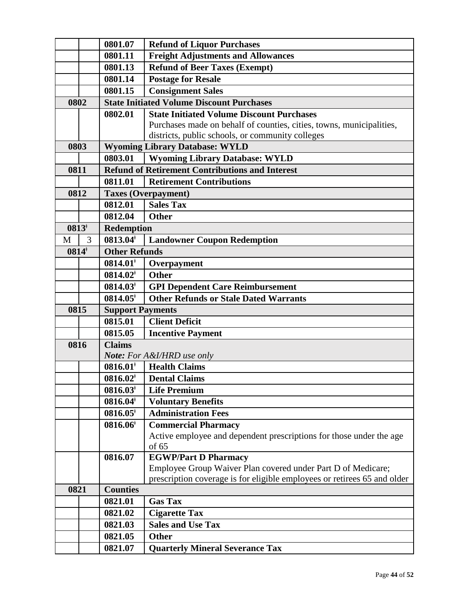|         |   | 0801.07                 | <b>Refund of Liquor Purchases</b>                                        |
|---------|---|-------------------------|--------------------------------------------------------------------------|
|         |   | 0801.11                 | <b>Freight Adjustments and Allowances</b>                                |
|         |   | 0801.13                 | <b>Refund of Beer Taxes (Exempt)</b>                                     |
|         |   | 0801.14                 | <b>Postage for Resale</b>                                                |
|         |   | 0801.15                 | <b>Consignment Sales</b>                                                 |
| 0802    |   |                         | <b>State Initiated Volume Discount Purchases</b>                         |
|         |   | 0802.01                 | <b>State Initiated Volume Discount Purchases</b>                         |
|         |   |                         | Purchases made on behalf of counties, cities, towns, municipalities,     |
|         |   |                         | districts, public schools, or community colleges                         |
| 0803    |   |                         | <b>Wyoming Library Database: WYLD</b>                                    |
|         |   | 0803.01                 | <b>Wyoming Library Database: WYLD</b>                                    |
| 0811    |   |                         | <b>Refund of Retirement Contributions and Interest</b>                   |
|         |   | 0811.01                 | <b>Retirement Contributions</b>                                          |
| 0812    |   |                         | <b>Taxes (Overpayment)</b>                                               |
|         |   | 0812.01                 | <b>Sales Tax</b>                                                         |
|         |   | 0812.04                 | <b>Other</b>                                                             |
| $0813*$ |   | <b>Redemption</b>       |                                                                          |
| M       | 3 | $0813.04$ <sup>*</sup>  | <b>Landowner Coupon Redemption</b>                                       |
| $0814*$ |   | <b>Other Refunds</b>    |                                                                          |
|         |   | $0814.01*$              | Overpayment                                                              |
|         |   | $0814.02*$              | <b>Other</b>                                                             |
|         |   | $0814.03*$              | <b>GPI Dependent Care Reimbursement</b>                                  |
|         |   | $0814.05$ <sup>*</sup>  | <b>Other Refunds or Stale Dated Warrants</b>                             |
| 0815    |   | <b>Support Payments</b> |                                                                          |
|         |   | 0815.01                 | <b>Client Deficit</b>                                                    |
|         |   | 0815.05                 | <b>Incentive Payment</b>                                                 |
| 0816    |   | <b>Claims</b>           |                                                                          |
|         |   |                         | <b>Note:</b> For A&I/HRD use only                                        |
|         |   | $0816.01$ <sup>*</sup>  | <b>Health Claims</b>                                                     |
|         |   | $0816.02*$              | <b>Dental Claims</b>                                                     |
|         |   | $0816.03*$              | <b>Life Premium</b>                                                      |
|         |   | $0816.04^*$             | <b>Voluntary Benefits</b>                                                |
|         |   | $0816.05*$              | <b>Administration Fees</b>                                               |
|         |   | 0816.06                 | <b>Commercial Pharmacy</b>                                               |
|         |   |                         | Active employee and dependent prescriptions for those under the age      |
|         |   |                         | of 65                                                                    |
|         |   | 0816.07                 | <b>EGWP/Part D Pharmacy</b>                                              |
|         |   |                         | Employee Group Waiver Plan covered under Part D of Medicare;             |
|         |   |                         | prescription coverage is for eligible employees or retirees 65 and older |
| 0821    |   | <b>Counties</b>         |                                                                          |
|         |   | 0821.01                 | <b>Gas Tax</b>                                                           |
|         |   | 0821.02                 | <b>Cigarette Tax</b>                                                     |
|         |   | 0821.03                 | <b>Sales and Use Tax</b>                                                 |
|         |   | 0821.05                 | <b>Other</b>                                                             |
|         |   | 0821.07                 | <b>Quarterly Mineral Severance Tax</b>                                   |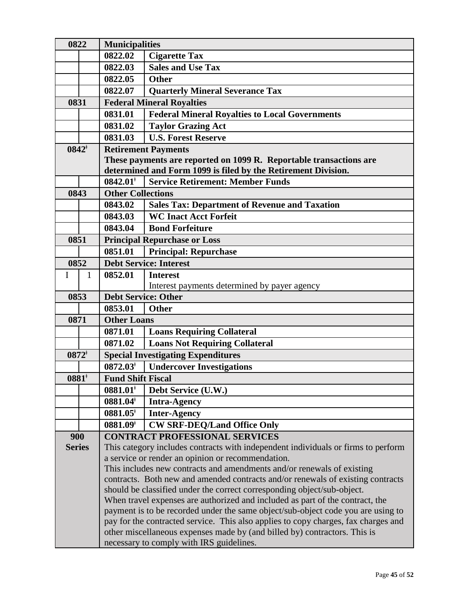| 0822<br><b>Municipalities</b> |                                    |                                                                                                                                                                 |                                                                        |  |
|-------------------------------|------------------------------------|-----------------------------------------------------------------------------------------------------------------------------------------------------------------|------------------------------------------------------------------------|--|
|                               |                                    | 0822.02                                                                                                                                                         | <b>Cigarette Tax</b>                                                   |  |
|                               |                                    | 0822.03                                                                                                                                                         | <b>Sales and Use Tax</b>                                               |  |
|                               |                                    | 0822.05                                                                                                                                                         | <b>Other</b>                                                           |  |
|                               |                                    | 0822.07                                                                                                                                                         | <b>Quarterly Mineral Severance Tax</b>                                 |  |
| 0831                          |                                    | <b>Federal Mineral Royalties</b>                                                                                                                                |                                                                        |  |
|                               |                                    | 0831.01                                                                                                                                                         | <b>Federal Mineral Royalties to Local Governments</b>                  |  |
|                               |                                    | 0831.02                                                                                                                                                         | <b>Taylor Grazing Act</b>                                              |  |
|                               |                                    | 0831.03                                                                                                                                                         | <b>U.S. Forest Reserve</b>                                             |  |
|                               | $0842^{\dagger}$                   |                                                                                                                                                                 | <b>Retirement Payments</b>                                             |  |
|                               |                                    | These payments are reported on 1099 R. Reportable transactions are                                                                                              |                                                                        |  |
|                               |                                    |                                                                                                                                                                 | determined and Form 1099 is filed by the Retirement Division.          |  |
|                               |                                    | $0842.01$ <sup>*</sup>                                                                                                                                          | <b>Service Retirement: Member Funds</b>                                |  |
| 0843                          |                                    | <b>Other Collections</b>                                                                                                                                        |                                                                        |  |
|                               |                                    | 0843.02                                                                                                                                                         | <b>Sales Tax: Department of Revenue and Taxation</b>                   |  |
|                               |                                    | 0843.03                                                                                                                                                         | <b>WC Inact Acct Forfeit</b>                                           |  |
|                               |                                    | 0843.04                                                                                                                                                         | <b>Bond Forfeiture</b>                                                 |  |
| 0851                          |                                    |                                                                                                                                                                 | <b>Principal Repurchase or Loss</b>                                    |  |
|                               |                                    | 0851.01                                                                                                                                                         | <b>Principal: Repurchase</b>                                           |  |
|                               | 0852                               |                                                                                                                                                                 | <b>Debt Service: Interest</b>                                          |  |
| $\mathbf I$                   | 1                                  | 0852.01                                                                                                                                                         | <b>Interest</b>                                                        |  |
|                               |                                    |                                                                                                                                                                 | Interest payments determined by payer agency                           |  |
|                               | 0853<br><b>Debt Service: Other</b> |                                                                                                                                                                 |                                                                        |  |
|                               |                                    | 0853.01                                                                                                                                                         | <b>Other</b>                                                           |  |
| 0871                          |                                    | <b>Other Loans</b>                                                                                                                                              |                                                                        |  |
|                               |                                    | 0871.01                                                                                                                                                         | <b>Loans Requiring Collateral</b>                                      |  |
|                               |                                    | 0871.02                                                                                                                                                         | <b>Loans Not Requiring Collateral</b>                                  |  |
|                               | $0872*$                            |                                                                                                                                                                 | <b>Special Investigating Expenditures</b>                              |  |
|                               |                                    | $0872.03^{\dagger}$                                                                                                                                             | <b>Undercover Investigations</b>                                       |  |
| 0881                          |                                    | <b>Fund Shift Fiscal</b>                                                                                                                                        |                                                                        |  |
|                               |                                    | $0881.01*$                                                                                                                                                      | Debt Service (U.W.)                                                    |  |
|                               |                                    | $0881.04^*$                                                                                                                                                     | <b>Intra-Agency</b>                                                    |  |
|                               |                                    | $0881.05$ <sup>*</sup>                                                                                                                                          | <b>Inter-Agency</b>                                                    |  |
|                               |                                    | $0881.09*$                                                                                                                                                      | <b>CW SRF-DEQ/Land Office Only</b>                                     |  |
| 900                           |                                    |                                                                                                                                                                 | <b>CONTRACT PROFESSIONAL SERVICES</b>                                  |  |
| <b>Series</b>                 |                                    | This category includes contracts with independent individuals or firms to perform                                                                               |                                                                        |  |
|                               |                                    | a service or render an opinion or recommendation.                                                                                                               |                                                                        |  |
|                               |                                    |                                                                                                                                                                 | This includes new contracts and amendments and/or renewals of existing |  |
|                               |                                    | contracts. Both new and amended contracts and/or renewals of existing contracts                                                                                 |                                                                        |  |
|                               |                                    | should be classified under the correct corresponding object/sub-object.                                                                                         |                                                                        |  |
|                               |                                    | When travel expenses are authorized and included as part of the contract, the                                                                                   |                                                                        |  |
|                               |                                    | payment is to be recorded under the same object/sub-object code you are using to                                                                                |                                                                        |  |
|                               |                                    | pay for the contracted service. This also applies to copy charges, fax charges and<br>other miscellaneous expenses made by (and billed by) contractors. This is |                                                                        |  |
|                               |                                    |                                                                                                                                                                 |                                                                        |  |
|                               |                                    | necessary to comply with IRS guidelines.                                                                                                                        |                                                                        |  |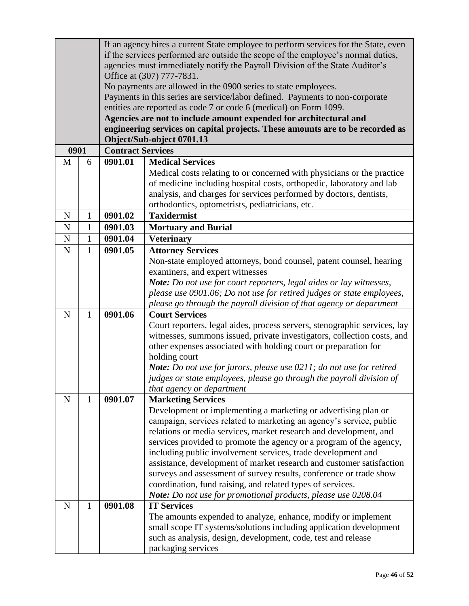|             |              |                                                                                  | If an agency hires a current State employee to perform services for the State, even                                                  |  |  |
|-------------|--------------|----------------------------------------------------------------------------------|--------------------------------------------------------------------------------------------------------------------------------------|--|--|
|             |              | if the services performed are outside the scope of the employee's normal duties, |                                                                                                                                      |  |  |
|             |              | agencies must immediately notify the Payroll Division of the State Auditor's     |                                                                                                                                      |  |  |
|             |              | Office at (307) 777-7831.                                                        |                                                                                                                                      |  |  |
|             |              | No payments are allowed in the 0900 series to state employees.                   |                                                                                                                                      |  |  |
|             |              |                                                                                  | Payments in this series are service/labor defined. Payments to non-corporate                                                         |  |  |
|             |              |                                                                                  | entities are reported as code 7 or code 6 (medical) on Form 1099.                                                                    |  |  |
|             |              |                                                                                  | Agencies are not to include amount expended for architectural and                                                                    |  |  |
|             |              |                                                                                  | engineering services on capital projects. These amounts are to be recorded as<br>Object/Sub-object 0701.13                           |  |  |
| 0901        |              | <b>Contract Services</b>                                                         |                                                                                                                                      |  |  |
| M           | 6            | 0901.01                                                                          | <b>Medical Services</b>                                                                                                              |  |  |
|             |              |                                                                                  | Medical costs relating to or concerned with physicians or the practice                                                               |  |  |
|             |              |                                                                                  | of medicine including hospital costs, orthopedic, laboratory and lab                                                                 |  |  |
|             |              |                                                                                  | analysis, and charges for services performed by doctors, dentists,                                                                   |  |  |
|             |              |                                                                                  | orthodontics, optometrists, pediatricians, etc.                                                                                      |  |  |
| $\mathbf N$ | $\mathbf{1}$ | 0901.02                                                                          | <b>Taxidermist</b>                                                                                                                   |  |  |
| ${\bf N}$   | 1            | 0901.03                                                                          | <b>Mortuary and Burial</b>                                                                                                           |  |  |
| ${\bf N}$   | $\mathbf{1}$ | 0901.04                                                                          | <b>Veterinary</b>                                                                                                                    |  |  |
| ${\bf N}$   | 1            | 0901.05                                                                          | <b>Attorney Services</b>                                                                                                             |  |  |
|             |              |                                                                                  | Non-state employed attorneys, bond counsel, patent counsel, hearing                                                                  |  |  |
|             |              |                                                                                  | examiners, and expert witnesses                                                                                                      |  |  |
|             |              |                                                                                  | Note: Do not use for court reporters, legal aides or lay witnesses,                                                                  |  |  |
|             |              |                                                                                  | please use 0901.06; Do not use for retired judges or state employees,                                                                |  |  |
|             |              |                                                                                  | please go through the payroll division of that agency or department                                                                  |  |  |
| $\mathbf N$ | $\mathbf{1}$ | 0901.06                                                                          | <b>Court Services</b>                                                                                                                |  |  |
|             |              |                                                                                  | Court reporters, legal aides, process servers, stenographic services, lay                                                            |  |  |
|             |              |                                                                                  | witnesses, summons issued, private investigators, collection costs, and                                                              |  |  |
|             |              |                                                                                  | other expenses associated with holding court or preparation for                                                                      |  |  |
|             |              |                                                                                  | holding court                                                                                                                        |  |  |
|             |              |                                                                                  | Note: Do not use for jurors, please use 0211; do not use for retired                                                                 |  |  |
|             |              |                                                                                  | judges or state employees, please go through the payroll division of                                                                 |  |  |
|             |              |                                                                                  | that agency or department                                                                                                            |  |  |
| ${\bf N}$   | $\mathbf{1}$ | 0901.07                                                                          | <b>Marketing Services</b>                                                                                                            |  |  |
|             |              |                                                                                  | Development or implementing a marketing or advertising plan or                                                                       |  |  |
|             |              |                                                                                  | campaign, services related to marketing an agency's service, public                                                                  |  |  |
|             |              |                                                                                  | relations or media services, market research and development, and                                                                    |  |  |
|             |              |                                                                                  | services provided to promote the agency or a program of the agency,                                                                  |  |  |
|             |              |                                                                                  | including public involvement services, trade development and<br>assistance, development of market research and customer satisfaction |  |  |
|             |              |                                                                                  | surveys and assessment of survey results, conference or trade show                                                                   |  |  |
|             |              |                                                                                  | coordination, fund raising, and related types of services.                                                                           |  |  |
|             |              |                                                                                  | Note: Do not use for promotional products, please use 0208.04                                                                        |  |  |
| $\mathbf N$ | 1            | 0901.08                                                                          | <b>IT Services</b>                                                                                                                   |  |  |
|             |              |                                                                                  | The amounts expended to analyze, enhance, modify or implement                                                                        |  |  |
|             |              |                                                                                  | small scope IT systems/solutions including application development                                                                   |  |  |
|             |              |                                                                                  | such as analysis, design, development, code, test and release                                                                        |  |  |
|             |              |                                                                                  | packaging services                                                                                                                   |  |  |
|             |              |                                                                                  |                                                                                                                                      |  |  |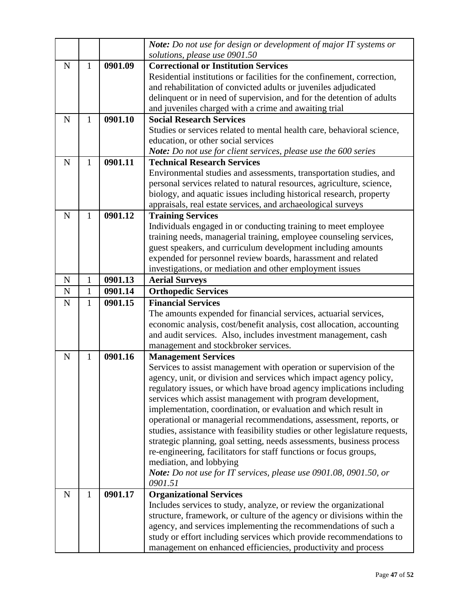|             |              |                      | Note: Do not use for design or development of major IT systems or<br>solutions, please use 0901.50                                      |
|-------------|--------------|----------------------|-----------------------------------------------------------------------------------------------------------------------------------------|
| $\mathbf N$ | $\mathbf{1}$ | 0901.09              | <b>Correctional or Institution Services</b>                                                                                             |
|             |              |                      | Residential institutions or facilities for the confinement, correction,                                                                 |
|             |              |                      | and rehabilitation of convicted adults or juveniles adjudicated                                                                         |
|             |              |                      | delinquent or in need of supervision, and for the detention of adults                                                                   |
|             |              |                      | and juveniles charged with a crime and awaiting trial                                                                                   |
| $\mathbf N$ | 1            | 0901.10              | <b>Social Research Services</b>                                                                                                         |
|             |              |                      | Studies or services related to mental health care, behavioral science,                                                                  |
|             |              |                      | education, or other social services                                                                                                     |
|             |              |                      | Note: Do not use for client services, please use the 600 series                                                                         |
| $\mathbf N$ | 1            | 0901.11              | <b>Technical Research Services</b>                                                                                                      |
|             |              |                      | Environmental studies and assessments, transportation studies, and                                                                      |
|             |              |                      | personal services related to natural resources, agriculture, science,                                                                   |
|             |              |                      | biology, and aquatic issues including historical research, property                                                                     |
|             |              |                      | appraisals, real estate services, and archaeological surveys                                                                            |
| $\mathbf N$ | $\mathbf{1}$ | 0901.12              | <b>Training Services</b>                                                                                                                |
|             |              |                      | Individuals engaged in or conducting training to meet employee                                                                          |
|             |              |                      | training needs, managerial training, employee counseling services,                                                                      |
|             |              |                      | guest speakers, and curriculum development including amounts                                                                            |
|             |              |                      | expended for personnel review boards, harassment and related                                                                            |
|             |              | 0901.13              | investigations, or mediation and other employment issues                                                                                |
| $\mathbf N$ | 1            |                      | <b>Aerial Surveys</b>                                                                                                                   |
| N           | $\mathbf{1}$ | 0901.14              | <b>Orthopedic Services</b>                                                                                                              |
| $\mathbf N$ | 1            | $\overline{0}901.15$ | <b>Financial Services</b>                                                                                                               |
|             |              |                      | The amounts expended for financial services, actuarial services,                                                                        |
|             |              |                      | economic analysis, cost/benefit analysis, cost allocation, accounting<br>and audit services. Also, includes investment management, cash |
|             |              |                      | management and stockbroker services.                                                                                                    |
| $\mathbf N$ | $\mathbf{1}$ | 0901.16              | <b>Management Services</b>                                                                                                              |
|             |              |                      | Services to assist management with operation or supervision of the                                                                      |
|             |              |                      | agency, unit, or division and services which impact agency policy,                                                                      |
|             |              |                      | regulatory issues, or which have broad agency implications including                                                                    |
|             |              |                      | services which assist management with program development,                                                                              |
|             |              |                      | implementation, coordination, or evaluation and which result in                                                                         |
|             |              |                      | operational or managerial recommendations, assessment, reports, or                                                                      |
|             |              |                      | studies, assistance with feasibility studies or other legislature requests,                                                             |
|             |              |                      | strategic planning, goal setting, needs assessments, business process                                                                   |
|             |              |                      | re-engineering, facilitators for staff functions or focus groups,                                                                       |
|             |              |                      | mediation, and lobbying                                                                                                                 |
|             |              |                      | Note: Do not use for IT services, please use 0901.08, 0901.50, or                                                                       |
|             |              |                      | 0901.51                                                                                                                                 |
| $\mathbf N$ | $\mathbf{1}$ | 0901.17              | <b>Organizational Services</b>                                                                                                          |
|             |              |                      | Includes services to study, analyze, or review the organizational                                                                       |
|             |              |                      | structure, framework, or culture of the agency or divisions within the                                                                  |
|             |              |                      | agency, and services implementing the recommendations of such a                                                                         |
|             |              |                      | study or effort including services which provide recommendations to                                                                     |
|             |              |                      | management on enhanced efficiencies, productivity and process                                                                           |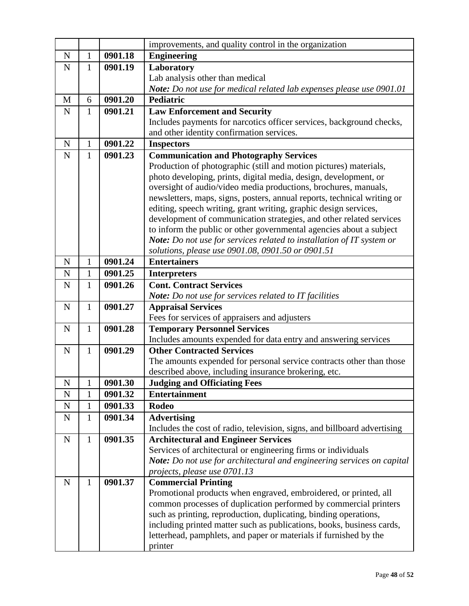|             |              |         | improvements, and quality control in the organization                                                  |
|-------------|--------------|---------|--------------------------------------------------------------------------------------------------------|
| $\mathbf N$ | 1            | 0901.18 | <b>Engineering</b>                                                                                     |
| $\mathbf N$ | $\mathbf{1}$ | 0901.19 | Laboratory                                                                                             |
|             |              |         | Lab analysis other than medical                                                                        |
|             |              |         | Note: Do not use for medical related lab expenses please use 0901.01                                   |
| M           | 6            | 0901.20 | <b>Pediatric</b>                                                                                       |
| $\mathbf N$ | 1            | 0901.21 | <b>Law Enforcement and Security</b>                                                                    |
|             |              |         | Includes payments for narcotics officer services, background checks,                                   |
|             |              |         | and other identity confirmation services.                                                              |
| $\mathbf N$ | 1            | 0901.22 | <b>Inspectors</b>                                                                                      |
| $\mathbf N$ | $\mathbf{1}$ | 0901.23 | <b>Communication and Photography Services</b>                                                          |
|             |              |         | Production of photographic (still and motion pictures) materials,                                      |
|             |              |         | photo developing, prints, digital media, design, development, or                                       |
|             |              |         | oversight of audio/video media productions, brochures, manuals,                                        |
|             |              |         | newsletters, maps, signs, posters, annual reports, technical writing or                                |
|             |              |         | editing, speech writing, grant writing, graphic design services,                                       |
|             |              |         | development of communication strategies, and other related services                                    |
|             |              |         | to inform the public or other governmental agencies about a subject                                    |
|             |              |         | Note: Do not use for services related to installation of IT system or                                  |
|             |              |         | solutions, please use 0901.08, 0901.50 or 0901.51                                                      |
| $\mathbf N$ | 1            | 0901.24 | <b>Entertainers</b>                                                                                    |
| N           | $\mathbf{1}$ | 0901.25 | <b>Interpreters</b>                                                                                    |
| $\mathbf N$ | 1            | 0901.26 | <b>Cont. Contract Services</b>                                                                         |
|             |              |         | <b>Note:</b> Do not use for services related to IT facilities                                          |
| $\mathbf N$ | $\mathbf{1}$ | 0901.27 | <b>Appraisal Services</b>                                                                              |
|             |              | 0901.28 | Fees for services of appraisers and adjusters                                                          |
| $\mathbf N$ | $\mathbf{1}$ |         | <b>Temporary Personnel Services</b><br>Includes amounts expended for data entry and answering services |
| $\mathbf N$ | 1            | 0901.29 | <b>Other Contracted Services</b>                                                                       |
|             |              |         | The amounts expended for personal service contracts other than those                                   |
|             |              |         | described above, including insurance brokering, etc.                                                   |
| N           |              | 0901.30 | <b>Judging and Officiating Fees</b>                                                                    |
| ${\bf N}$   | $\mathbf{1}$ | 0901.32 | <b>Entertainment</b>                                                                                   |
| ${\bf N}$   | $\mathbf{1}$ | 0901.33 | <b>Rodeo</b>                                                                                           |
| $\mathbf N$ | 1            | 0901.34 | <b>Advertising</b>                                                                                     |
|             |              |         | Includes the cost of radio, television, signs, and billboard advertising                               |
| ${\bf N}$   | 1            | 0901.35 | <b>Architectural and Engineer Services</b>                                                             |
|             |              |         | Services of architectural or engineering firms or individuals                                          |
|             |              |         | Note: Do not use for architectural and engineering services on capital                                 |
|             |              |         | projects, please use 0701.13                                                                           |
| $\mathbf N$ | 1            | 0901.37 | <b>Commercial Printing</b>                                                                             |
|             |              |         | Promotional products when engraved, embroidered, or printed, all                                       |
|             |              |         | common processes of duplication performed by commercial printers                                       |
|             |              |         | such as printing, reproduction, duplicating, binding operations,                                       |
|             |              |         | including printed matter such as publications, books, business cards,                                  |
|             |              |         | letterhead, pamphlets, and paper or materials if furnished by the                                      |
|             |              |         | printer                                                                                                |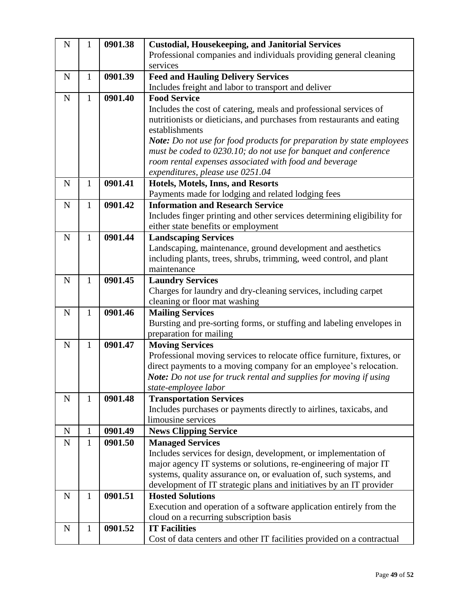| ${\bf N}$   | 1            | 0901.38 | <b>Custodial, Housekeeping, and Janitorial Services</b>                 |
|-------------|--------------|---------|-------------------------------------------------------------------------|
|             |              |         | Professional companies and individuals providing general cleaning       |
|             |              |         | services                                                                |
| $\mathbf N$ | $\mathbf{1}$ | 0901.39 | <b>Feed and Hauling Delivery Services</b>                               |
|             |              |         | Includes freight and labor to transport and deliver                     |
| ${\bf N}$   | 1            | 0901.40 | <b>Food Service</b>                                                     |
|             |              |         | Includes the cost of catering, meals and professional services of       |
|             |              |         | nutritionists or dieticians, and purchases from restaurants and eating  |
|             |              |         | establishments                                                          |
|             |              |         | Note: Do not use for food products for preparation by state employees   |
|             |              |         | must be coded to 0230.10; do not use for banquet and conference         |
|             |              |         | room rental expenses associated with food and beverage                  |
|             |              |         | expenditures, please use 0251.04                                        |
| $\mathbf N$ | $\mathbf{1}$ | 0901.41 | Hotels, Motels, Inns, and Resorts                                       |
|             |              |         | Payments made for lodging and related lodging fees                      |
| $\mathbf N$ | $\mathbf{1}$ | 0901.42 | <b>Information and Research Service</b>                                 |
|             |              |         | Includes finger printing and other services determining eligibility for |
|             |              |         | either state benefits or employment                                     |
| $\mathbf N$ | $\mathbf{1}$ | 0901.44 | <b>Landscaping Services</b>                                             |
|             |              |         | Landscaping, maintenance, ground development and aesthetics             |
|             |              |         | including plants, trees, shrubs, trimming, weed control, and plant      |
|             |              |         | maintenance                                                             |
| ${\bf N}$   | $\mathbf{1}$ | 0901.45 | <b>Laundry Services</b>                                                 |
|             |              |         | Charges for laundry and dry-cleaning services, including carpet         |
|             |              |         | cleaning or floor mat washing                                           |
| $\mathbf N$ | $\mathbf{1}$ | 0901.46 | <b>Mailing Services</b>                                                 |
|             |              |         | Bursting and pre-sorting forms, or stuffing and labeling envelopes in   |
|             |              |         | preparation for mailing                                                 |
| ${\bf N}$   | 1            | 0901.47 | <b>Moving Services</b>                                                  |
|             |              |         | Professional moving services to relocate office furniture, fixtures, or |
|             |              |         | direct payments to a moving company for an employee's relocation.       |
|             |              |         | Note: Do not use for truck rental and supplies for moving if using      |
|             |              |         | state-employee labor                                                    |
| ${\bf N}$   | $\mathbf{1}$ | 0901.48 | <b>Transportation Services</b>                                          |
|             |              |         | Includes purchases or payments directly to airlines, taxicabs, and      |
|             |              |         | limousine services                                                      |
| $\mathbf N$ | $\mathbf{1}$ | 0901.49 | <b>News Clipping Service</b>                                            |
| $\mathbf N$ | 1            | 0901.50 | <b>Managed Services</b>                                                 |
|             |              |         | Includes services for design, development, or implementation of         |
|             |              |         | major agency IT systems or solutions, re-engineering of major IT        |
|             |              |         | systems, quality assurance on, or evaluation of, such systems, and      |
|             |              |         | development of IT strategic plans and initiatives by an IT provider     |
| ${\bf N}$   | 1            | 0901.51 | <b>Hosted Solutions</b>                                                 |
|             |              |         | Execution and operation of a software application entirely from the     |
|             |              |         | cloud on a recurring subscription basis                                 |
| ${\bf N}$   | $\mathbf{1}$ | 0901.52 | <b>IT Facilities</b>                                                    |
|             |              |         | Cost of data centers and other IT facilities provided on a contractual  |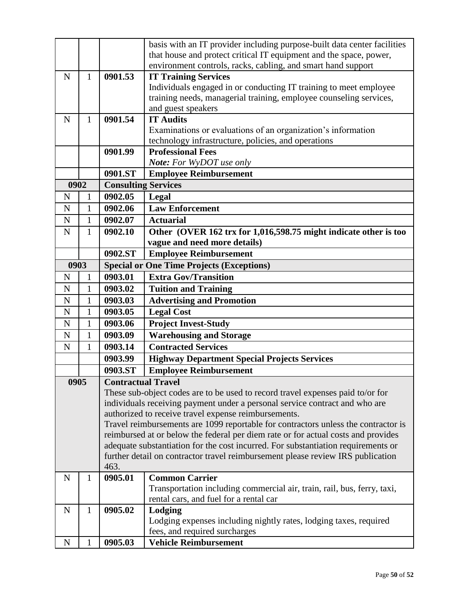|             |              |                                                                                   | basis with an IT provider including purpose-built data center facilities           |
|-------------|--------------|-----------------------------------------------------------------------------------|------------------------------------------------------------------------------------|
|             |              |                                                                                   | that house and protect critical IT equipment and the space, power,                 |
|             |              |                                                                                   | environment controls, racks, cabling, and smart hand support                       |
| N           | $\mathbf{1}$ | 0901.53                                                                           | <b>IT Training Services</b>                                                        |
|             |              |                                                                                   | Individuals engaged in or conducting IT training to meet employee                  |
|             |              |                                                                                   | training needs, managerial training, employee counseling services,                 |
|             |              |                                                                                   | and guest speakers                                                                 |
| $\mathbf N$ | 1            | 0901.54                                                                           | <b>IT Audits</b>                                                                   |
|             |              |                                                                                   | Examinations or evaluations of an organization's information                       |
|             |              |                                                                                   | technology infrastructure, policies, and operations                                |
|             |              | 0901.99                                                                           | <b>Professional Fees</b>                                                           |
|             |              |                                                                                   | <b>Note:</b> For WyDOT use only                                                    |
|             |              | 0901.ST                                                                           | <b>Employee Reimbursement</b>                                                      |
| 0902        |              |                                                                                   | <b>Consulting Services</b>                                                         |
| N           | 1            | 0902.05                                                                           | Legal                                                                              |
| N           | $\mathbf{1}$ | 0902.06                                                                           | <b>Law Enforcement</b>                                                             |
| $\mathbf N$ | $\mathbf{1}$ | 0902.07                                                                           | <b>Actuarial</b>                                                                   |
| $\mathbf N$ | $\mathbf{1}$ | 0902.10                                                                           | Other (OVER 162 trx for 1,016,598.75 might indicate other is too                   |
|             |              |                                                                                   | vague and need more details)                                                       |
|             |              | 0902.ST                                                                           | <b>Employee Reimbursement</b>                                                      |
| 0903        |              |                                                                                   | <b>Special or One Time Projects (Exceptions)</b>                                   |
| N           | 1            | 0903.01                                                                           | <b>Extra Gov/Transition</b>                                                        |
| N           | $\mathbf{1}$ | 0903.02                                                                           | <b>Tuition and Training</b>                                                        |
| N           | $\mathbf{1}$ | 0903.03                                                                           | <b>Advertising and Promotion</b>                                                   |
| N           | $\mathbf{1}$ | 0903.05                                                                           | <b>Legal Cost</b>                                                                  |
| $\mathbf N$ | $\mathbf{1}$ | 0903.06                                                                           | <b>Project Invest-Study</b>                                                        |
| N           | $\mathbf{1}$ | 0903.09                                                                           | <b>Warehousing and Storage</b>                                                     |
| $\mathbf N$ | $\mathbf{1}$ | 0903.14                                                                           | <b>Contracted Services</b>                                                         |
|             |              | 0903.99                                                                           | <b>Highway Department Special Projects Services</b>                                |
|             |              | 0903.ST                                                                           | <b>Employee Reimbursement</b>                                                      |
| 0905        |              | <b>Contractual Travel</b>                                                         |                                                                                    |
|             |              |                                                                                   | These sub-object codes are to be used to record travel expenses paid to/or for     |
|             |              |                                                                                   | individuals receiving payment under a personal service contract and who are        |
|             |              | authorized to receive travel expense reimbursements.                              |                                                                                    |
|             |              |                                                                                   | Travel reimbursements are 1099 reportable for contractors unless the contractor is |
|             |              | reimbursed at or below the federal per diem rate or for actual costs and provides |                                                                                    |
|             |              | adequate substantiation for the cost incurred. For substantiation requirements or |                                                                                    |
|             |              |                                                                                   | further detail on contractor travel reimbursement please review IRS publication    |
|             |              | 463.                                                                              |                                                                                    |
| N           | 1            | 0905.01                                                                           | <b>Common Carrier</b>                                                              |
|             |              |                                                                                   | Transportation including commercial air, train, rail, bus, ferry, taxi,            |
|             |              |                                                                                   | rental cars, and fuel for a rental car                                             |
| $\mathbf N$ | $\mathbf{1}$ | 0905.02                                                                           | Lodging                                                                            |
|             |              |                                                                                   | Lodging expenses including nightly rates, lodging taxes, required                  |
|             |              |                                                                                   | fees, and required surcharges                                                      |
| $\mathbf N$ | $\mathbf{1}$ | 0905.03                                                                           | <b>Vehicle Reimbursement</b>                                                       |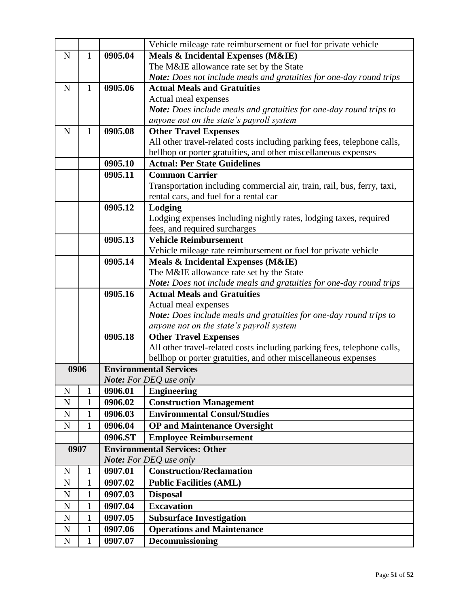|             |              |         | Vehicle mileage rate reimbursement or fuel for private vehicle                             |
|-------------|--------------|---------|--------------------------------------------------------------------------------------------|
| $\mathbf N$ | 1            | 0905.04 | Meals & Incidental Expenses (M&IE)                                                         |
|             |              |         | The M&IE allowance rate set by the State                                                   |
|             |              |         | Note: Does not include meals and gratuities for one-day round trips                        |
| ${\bf N}$   | 1            | 0905.06 | <b>Actual Meals and Gratuities</b>                                                         |
|             |              |         | Actual meal expenses                                                                       |
|             |              |         | Note: Does include meals and gratuities for one-day round trips to                         |
|             |              |         | anyone not on the state's payroll system                                                   |
| $\mathbf N$ | $\mathbf{1}$ | 0905.08 | <b>Other Travel Expenses</b>                                                               |
|             |              |         | All other travel-related costs including parking fees, telephone calls,                    |
|             |              |         | bellhop or porter gratuities, and other miscellaneous expenses                             |
|             |              | 0905.10 | <b>Actual: Per State Guidelines</b>                                                        |
|             |              | 0905.11 | <b>Common Carrier</b>                                                                      |
|             |              |         | Transportation including commercial air, train, rail, bus, ferry, taxi,                    |
|             |              |         | rental cars, and fuel for a rental car                                                     |
|             |              | 0905.12 | Lodging                                                                                    |
|             |              |         | Lodging expenses including nightly rates, lodging taxes, required                          |
|             |              |         | fees, and required surcharges                                                              |
|             |              | 0905.13 | <b>Vehicle Reimbursement</b>                                                               |
|             |              |         | Vehicle mileage rate reimbursement or fuel for private vehicle                             |
|             |              | 0905.14 | Meals & Incidental Expenses (M&IE)                                                         |
|             |              |         | The M&IE allowance rate set by the State                                                   |
|             |              | 0905.16 | Note: Does not include meals and gratuities for one-day round trips                        |
|             |              |         | <b>Actual Meals and Gratuities</b>                                                         |
|             |              |         | Actual meal expenses<br>Note: Does include meals and gratuities for one-day round trips to |
|             |              |         | anyone not on the state's payroll system                                                   |
|             |              | 0905.18 | <b>Other Travel Expenses</b>                                                               |
|             |              |         | All other travel-related costs including parking fees, telephone calls,                    |
|             |              |         | bellhop or porter gratuities, and other miscellaneous expenses                             |
| 0906        |              |         | <b>Environmental Services</b>                                                              |
|             |              |         | <b>Note:</b> For DEQ use only                                                              |
| N           | 1            | 0906.01 | <b>Engineering</b>                                                                         |
| $\mathbf N$ | $\mathbf{1}$ | 0906.02 | <b>Construction Management</b>                                                             |
| ${\bf N}$   | 1            | 0906.03 | <b>Environmental Consul/Studies</b>                                                        |
| ${\bf N}$   | $\mathbf{1}$ | 0906.04 | <b>OP</b> and Maintenance Oversight                                                        |
|             |              | 0906.ST | <b>Employee Reimbursement</b>                                                              |
| 0907        |              |         | <b>Environmental Services: Other</b>                                                       |
|             |              |         | Note: For DEQ use only                                                                     |
| $\mathbf N$ | 1            | 0907.01 | <b>Construction/Reclamation</b>                                                            |
| ${\bf N}$   | $\mathbf{1}$ | 0907.02 | <b>Public Facilities (AML)</b>                                                             |
| ${\bf N}$   | $\mathbf{1}$ | 0907.03 | <b>Disposal</b>                                                                            |
| ${\bf N}$   | 1            | 0907.04 | <b>Excavation</b>                                                                          |
| ${\bf N}$   | $\mathbf{1}$ | 0907.05 | <b>Subsurface Investigation</b>                                                            |
| ${\bf N}$   | $\mathbf{1}$ | 0907.06 | <b>Operations and Maintenance</b>                                                          |
| ${\bf N}$   | $\mathbf{1}$ | 0907.07 | <b>Decommissioning</b>                                                                     |
|             |              |         |                                                                                            |